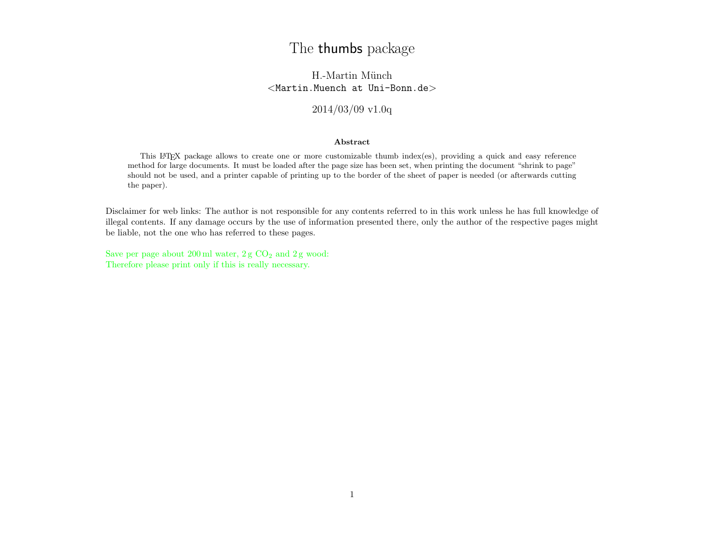# The thumbs package

H.-Martin Münch  $<$ Martin.Muench at Uni-Bonn.de $>$ 

2014/03/09 v1.0q

# Abstract

This LATEX package allows to create one or more customizable thumb index(es), providing a quick and easy reference method for large documents. It must be loaded after the page size has been set, when printing the document "shrink to page" should not be used, and a printer capable of printing up to the border of the sheet of paper is needed (or afterwards cutting the paper).

Disclaimer for web links: The author is not responsible for any contents referred to in this work unless he has full knowledge of illegal contents. If any damage occurs by the use of information presented there, only the author of the respective pages might be liable, not the one who has referred to these pages.

Save per page about  $200 \,\mathrm{ml}$  water,  $2 \,\mathrm{g}$  CO<sub>2</sub> and  $2 \,\mathrm{g}$  wood: Therefore please print only if this is really necessary.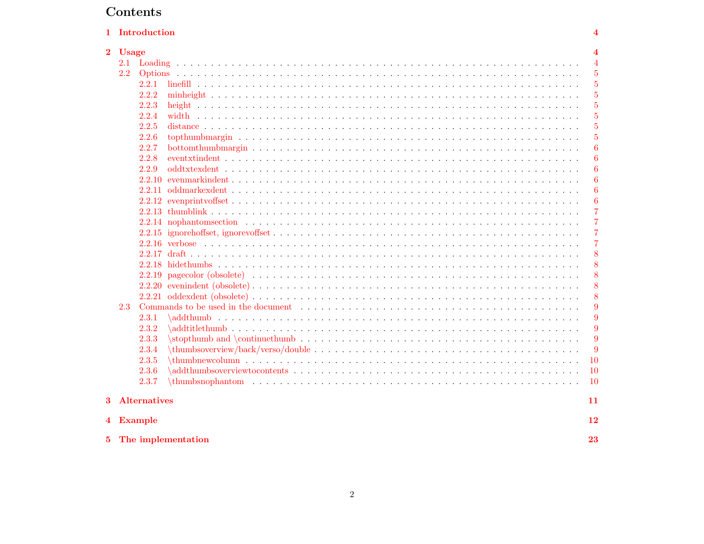# Contents

|          |              | 1 Introduction |                    |                  |
|----------|--------------|----------------|--------------------|------------------|
| $\bf{2}$ | <b>Usage</b> |                |                    |                  |
|          | 2.1          |                |                    |                  |
|          | 2.2          |                |                    | $\overline{5}$   |
|          |              | 2.2.1          |                    | $\overline{5}$   |
|          |              | 2.2.2          |                    | $\overline{5}$   |
|          |              | 2.2.3          |                    | $\overline{5}$   |
|          |              | 2.2.4          |                    | $\overline{5}$   |
|          |              | 2.2.5          |                    | 5                |
|          |              | 2.2.6          |                    | 5                |
|          |              | 2.2.7          |                    | $\boldsymbol{6}$ |
|          |              | 2.2.8          |                    | $\boldsymbol{6}$ |
|          |              | 2.2.9          |                    | $\boldsymbol{6}$ |
|          |              | 2.2.10         |                    | 6                |
|          |              |                |                    | 6                |
|          |              |                |                    | $\boldsymbol{6}$ |
|          |              |                |                    | $\overline{7}$   |
|          |              |                |                    | $\overline{7}$   |
|          |              |                |                    | $\overline{7}$   |
|          |              |                |                    | $\overline{7}$   |
|          |              |                |                    | 8                |
|          |              |                |                    | 8                |
|          |              |                |                    | 8                |
|          |              |                |                    | 8                |
|          |              |                |                    | 8                |
|          | 2.3          |                |                    | 9                |
|          |              | 2.3.1          |                    | 9                |
|          |              | 2.3.2          |                    | 9                |
|          |              | 2.3.3          |                    | 9                |
|          |              | 2.3.4          |                    | 9                |
|          |              | 2.3.5          |                    | 10               |
|          |              | 2.3.6          |                    | 10               |
|          |              |                |                    | 10               |
|          |              | 2.3.7          |                    |                  |
|          |              | 3 Alternatives |                    | 11               |
|          |              | 4 Example      |                    | 12               |
|          |              |                |                    |                  |
| 5.       |              |                | The implementation | 23               |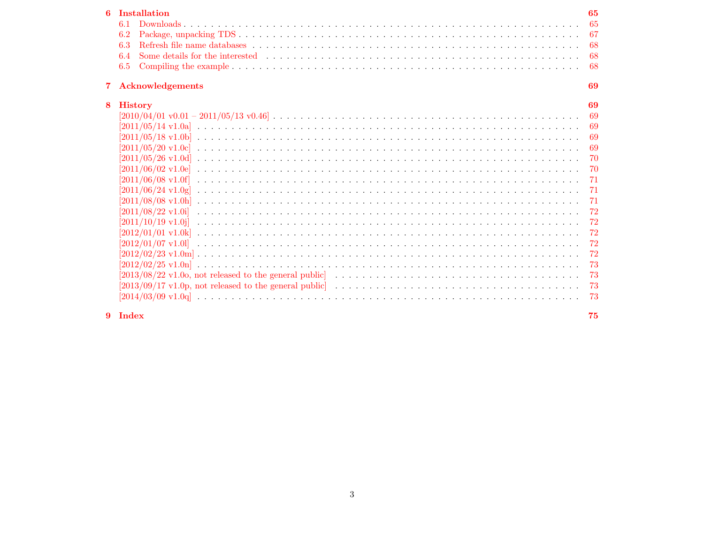| 6           | <b>Installation</b>     | 65   |
|-------------|-------------------------|------|
|             | 6.1                     | 65   |
|             | 6.2                     | -67  |
|             | 6.3                     | 68   |
|             | 6.4                     | -68  |
|             | 6.5                     | -68  |
| $7^{\circ}$ | <b>Acknowledgements</b> | 69   |
| 8           | <b>History</b>          | 69   |
|             |                         | - 69 |
|             |                         | -69  |
|             |                         | -69  |
|             |                         | -69  |
|             |                         | 70   |
|             |                         | 70   |
|             |                         | -71  |
|             |                         | -71  |
|             |                         | 71   |
|             |                         | 72   |
|             |                         | 72   |
|             |                         | 72   |
|             |                         | 72   |
|             |                         | 72   |
|             |                         | 73   |
|             |                         | 73   |
|             |                         | 73   |
|             |                         | 73   |
|             |                         |      |

9 Index

75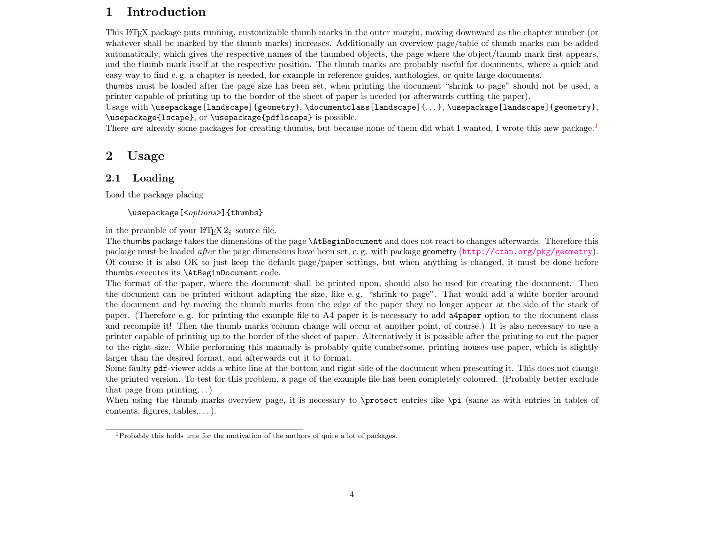# <span id="page-3-0"></span>1 Introduction

This LATEX package puts running, customizable thumb marks in the outer margin, moving downward as the chapter number (or whatever shall be marked by the thumb marks) increases. Additionally an overview page/table of thumb marks can be added automatically, which gives the respective names of the thumbed objects, the page where the object/thumb mark first appears, and the thumb mark itself at the respective position. The thumb marks are probably useful for documents, where a quick and easy way to find e. g. a chapter is needed, for example in reference guides, anthologies, or quite large documents.

thumbs must be loaded after the page size has been set, when printing the document "shrink to page" should not be used, a printer capable of printing up to the border of the sheet of paper is needed (or afterwards cutting the paper).

Usage with \usepackage[landscape]{geometry}, \documentclass[landscape]{. . . }, \usepackage[landscape]{geometry}, \usepackage{lscape}, or \usepackage{pdflscape} is possible.

There are already some packages for creating thumbs, but because none of them did what I wanted, I wrote this new package.<sup>[1](#page-3-3)</sup>

# <span id="page-3-1"></span>2 Usage

# <span id="page-3-2"></span>2.1 Loading

Load the package placing

\usepackage[<options>]{thumbs}

in the preamble of your  $\mathbb{H}\mathbb{F}X$   $2_{\epsilon}$  source file.

The thumbs package takes the dimensions of the page \AtBeginDocument and does not react to changes afterwards. Therefore this package must be loaded *after* the page dimensions have been set, e.g. with package geometry (<http://ctan.org/pkg/geometry>). Of course it is also OK to just keep the default page/paper settings, but when anything is changed, it must be done before thumbs executes its \AtBeginDocument code.

The format of the paper, where the document shall be printed upon, should also be used for creating the document. Then the document can be printed without adapting the size, like e.g. "shrink to page". That would add a white border around the document and by moving the thumb marks from the edge of the paper they no longer appear at the side of the stack of paper. (Therefore e. g. for printing the example file to A4 paper it is necessary to add a4paper option to the document class and recompile it! Then the thumb marks column change will occur at another point, of course.) It is also necessary to use a printer capable of printing up to the border of the sheet of paper. Alternatively it is possible after the printing to cut the paper to the right size. While performing this manually is probably quite cumbersome, printing houses use paper, which is slightly larger than the desired format, and afterwards cut it to format.

Some faulty pdf-viewer adds a white line at the bottom and right side of the document when presenting it. This does not change the printed version. To test for this problem, a page of the example file has been completely coloured. (Probably better exclude that page from printing. . . )

When using the thumb marks overview page, it is necessary to \protect entries like \pi (same as with entries in tables of contents, figures, tables,. . . ).

<span id="page-3-3"></span><sup>1</sup>Probably this holds true for the motivation of the authors of quite a lot of packages.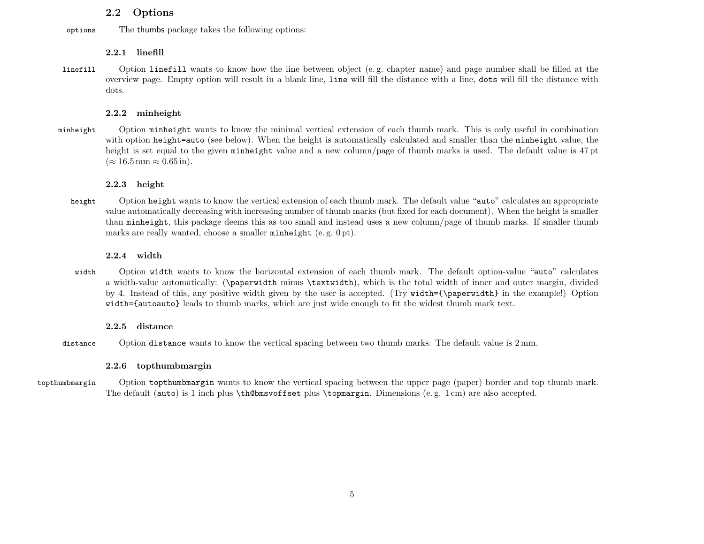# <span id="page-4-0"></span>2.2 Options

options The thumbs package takes the following options:

# <span id="page-4-1"></span>2.2.1 linefill

linefill Option linefill wants to know how the line between object (e. g. chapter name) and page number shall be filled at the overview page. Empty option will result in a blank line, line will fill the distance with a line, dots will fill the distance with dots.

# <span id="page-4-2"></span>2.2.2 minheight

minheight Option minheight wants to know the minimal vertical extension of each thumb mark. This is only useful in combination with option height=auto (see below). When the height is automatically calculated and smaller than the minheight value, the height is set equal to the given minheight value and a new column/page of thumb marks is used. The default value is 47 pt  $(\approx 16.5 \,\mathrm{mm} \approx 0.65 \,\mathrm{in}).$ 

# <span id="page-4-3"></span>2.2.3 height

height Option height wants to know the vertical extension of each thumb mark. The default value "auto" calculates an appropriate value automatically decreasing with increasing number of thumb marks (but fixed for each document). When the height is smaller than minheight, this package deems this as too small and instead uses a new column/page of thumb marks. If smaller thumb marks are really wanted, choose a smaller minheight (e.g. 0 pt).

# <span id="page-4-4"></span>2.2.4 width

width Option width wants to know the horizontal extension of each thumb mark. The default option-value "auto" calculates a width-value automatically: (\paperwidth minus \textwidth), which is the total width of inner and outer margin, divided by 4. Instead of this, any positive width given by the user is accepted. (Try width={\paperwidth} in the example!) Option width={autoauto} leads to thumb marks, which are just wide enough to fit the widest thumb mark text.

# <span id="page-4-5"></span>2.2.5 distance

distance Option distance wants to know the vertical spacing between two thumb marks. The default value is 2 mm.

# <span id="page-4-6"></span>2.2.6 topthumbmargin

topthumbmargin Option topthumbmargin wants to know the vertical spacing between the upper page (paper) border and top thumb mark. The default (auto) is 1 inch plus \th@bmsvoffset plus \topmargin. Dimensions (e. g. 1 cm) are also accepted.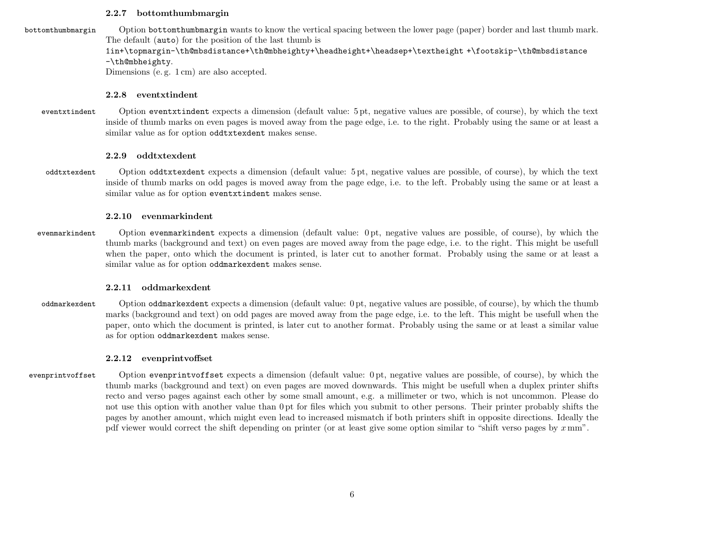## <span id="page-5-0"></span>2.2.7 bottomthumbmargin

bottomthumbmargin Option bottomthumbmargin wants to know the vertical spacing between the lower page (paper) border and last thumb mark. The default (auto) for the position of the last thumb is

# 1in+\topmargin-\th@mbsdistance+\th@mbheighty+\headheight+\headsep+\textheight +\footskip-\th@mbsdistance -\th@mbheighty.

Dimensions (e. g. 1 cm) are also accepted.

# <span id="page-5-1"></span>2.2.8 eventxtindent

eventxtindent Option eventxtindent expects a dimension (default value: 5 pt, negative values are possible, of course), by which the text inside of thumb marks on even pages is moved away from the page edge, i.e. to the right. Probably using the same or at least a similar value as for option oddtxtexdent makes sense.

# <span id="page-5-2"></span>2.2.9 oddtxtexdent

oddtxtexdent Option oddtxtexdent expects a dimension (default value: 5 pt, negative values are possible, of course), by which the text inside of thumb marks on odd pages is moved away from the page edge, i.e. to the left. Probably using the same or at least a similar value as for option eventxtindent makes sense.

# <span id="page-5-3"></span>2.2.10 evenmarkindent

evenmarkindent Option evenmarkindent expects a dimension (default value: 0 pt, negative values are possible, of course), by which the thumb marks (background and text) on even pages are moved away from the page edge, i.e. to the right. This might be usefull when the paper, onto which the document is printed, is later cut to another format. Probably using the same or at least a similar value as for option oddmarkexdent makes sense.

# <span id="page-5-4"></span>2.2.11 oddmarkexdent

oddmarkexdent Option oddmarkexdent expects a dimension (default value: 0 pt, negative values are possible, of course), by which the thumb marks (background and text) on odd pages are moved away from the page edge, i.e. to the left. This might be usefull when the paper, onto which the document is printed, is later cut to another format. Probably using the same or at least a similar value as for option oddmarkexdent makes sense.

# <span id="page-5-5"></span>2.2.12 evenprintvoffset

evenprintvoffset Option evenprintvoffset expects a dimension (default value: 0 pt, negative values are possible, of course), by which the thumb marks (background and text) on even pages are moved downwards. This might be usefull when a duplex printer shifts recto and verso pages against each other by some small amount, e.g. a millimeter or two, which is not uncommon. Please do not use this option with another value than 0 pt for files which you submit to other persons. Their printer probably shifts the pages by another amount, which might even lead to increased mismatch if both printers shift in opposite directions. Ideally the pdf viewer would correct the shift depending on printer (or at least give some option similar to "shift verso pages by  $x \, \text{mm}$ ".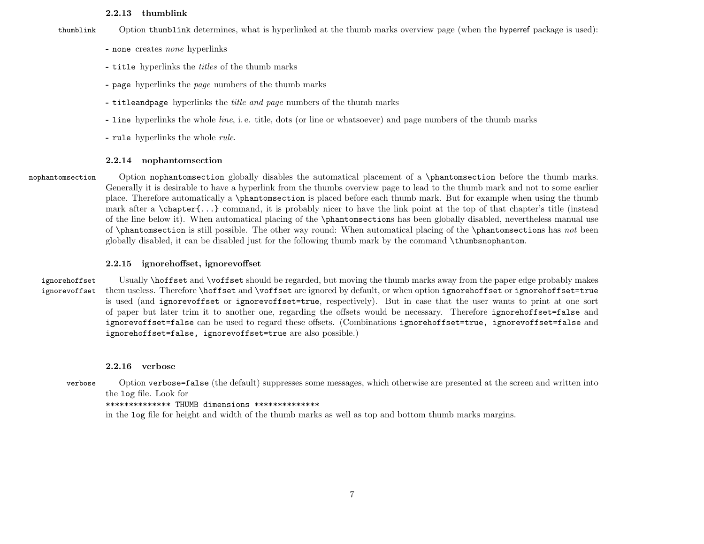### <span id="page-6-0"></span>2.2.13 thumblink

thumblink Option thumblink determines, what is hyperlinked at the thumb marks overview page (when the hyperref package is used):

- none creates none hyperlinks
- title hyperlinks the titles of the thumb marks
- page hyperlinks the page numbers of the thumb marks
- titleandpage hyperlinks the *title and page* numbers of the thumb marks
- line hyperlinks the whole line, i. e. title, dots (or line or whatsoever) and page numbers of the thumb marks
- rule hyperlinks the whole rule.

# <span id="page-6-1"></span>2.2.14 nophantomsection

nophantomsection Option nophantomsection globally disables the automatical placement of a \phantomsection before the thumb marks. Generally it is desirable to have a hyperlink from the thumbs overview page to lead to the thumb mark and not to some earlier place. Therefore automatically a \phantomsection is placed before each thumb mark. But for example when using the thumb mark after a \chapter{...} command, it is probably nicer to have the link point at the top of that chapter's title (instead of the line below it). When automatical placing of the \phantomsections has been globally disabled, nevertheless manual use of \phantomsection is still possible. The other way round: When automatical placing of the \phantomsections has not been globally disabled, it can be disabled just for the following thumb mark by the command \thumbsnophantom.

# <span id="page-6-2"></span>2.2.15 ignorehoffset, ignorevoffset

# ignorehoffset Usually \hoffset and \voffset should be regarded, but moving the thumb marks away from the paper edge probably makes ignorevoffset them useless. Therefore \hoffset and \voffset are ignored by default, or when option ignorehoffset or ignorehoffset=true is used (and ignorevoffset or ignorevoffset=true, respectively). But in case that the user wants to print at one sort of paper but later trim it to another one, regarding the offsets would be necessary. Therefore ignorehoffset=false and ignorevoffset=false can be used to regard these offsets. (Combinations ignorehoffset=true, ignorevoffset=false and ignorehoffset=false, ignorevoffset=true are also possible.)

# <span id="page-6-3"></span>2.2.16 verbose

verbose Option verbose=false (the default) suppresses some messages, which otherwise are presented at the screen and written into the log file. Look for

# \*\*\*\*\*\*\*\*\*\*\*\*\*\* THUMB dimensions \*\*\*\*\*\*\*\*\*\*\*\*\*\*

in the log file for height and width of the thumb marks as well as top and bottom thumb marks margins.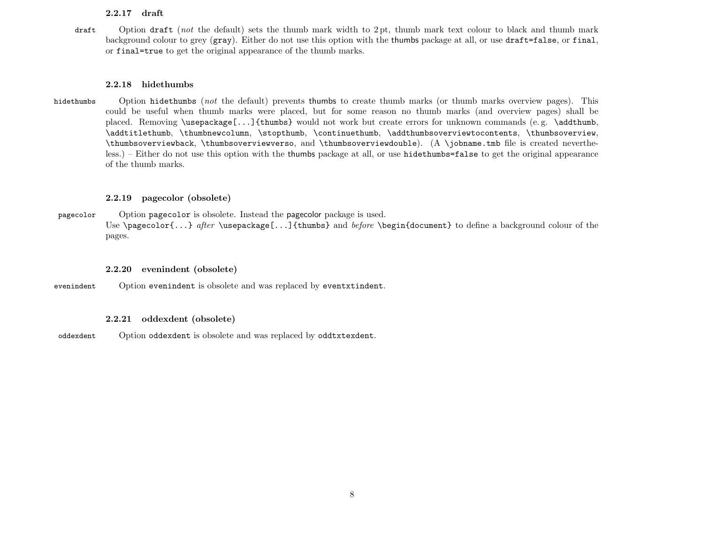# <span id="page-7-0"></span>2.2.17 draft

draft Option draft (not the default) sets the thumb mark width to 2 pt, thumb mark text colour to black and thumb mark background colour to grey (gray). Either do not use this option with the thumbs package at all, or use draft=false, or final, or final=true to get the original appearance of the thumb marks.

### <span id="page-7-1"></span>2.2.18 hidethumbs

hidethumbs Option hidethumbs (not the default) prevents thumbs to create thumb marks (or thumb marks overview pages). This could be useful when thumb marks were placed, but for some reason no thumb marks (and overview pages) shall be placed. Removing \usepackage[...]{thumbs} would not work but create errors for unknown commands (e. g. \addthumb, \addtitlethumb, \thumbnewcolumn, \stopthumb, \continuethumb, \addthumbsoverviewtocontents, \thumbsoverview, \thumbsoverviewback, \thumbsoverviewverso, and \thumbsoverviewdouble). (A \jobname.tmb file is created nevertheless.) – Either do not use this option with the thumbs package at all, or use hidethumbs=false to get the original appearance of the thumb marks.

# <span id="page-7-2"></span>2.2.19 pagecolor (obsolete)

pagecolor Option pagecolor is obsolete. Instead the pagecolor package is used. Use \pagecolor{...} after \usepackage[...]{thumbs} and before \begin{document} to define a background colour of the pages.

# <span id="page-7-3"></span>2.2.20 evenindent (obsolete)

evenindent Option evenindent is obsolete and was replaced by eventxtindent.

# <span id="page-7-4"></span>2.2.21 oddexdent (obsolete)

oddexdent Option oddexdent is obsolete and was replaced by oddtxtexdent.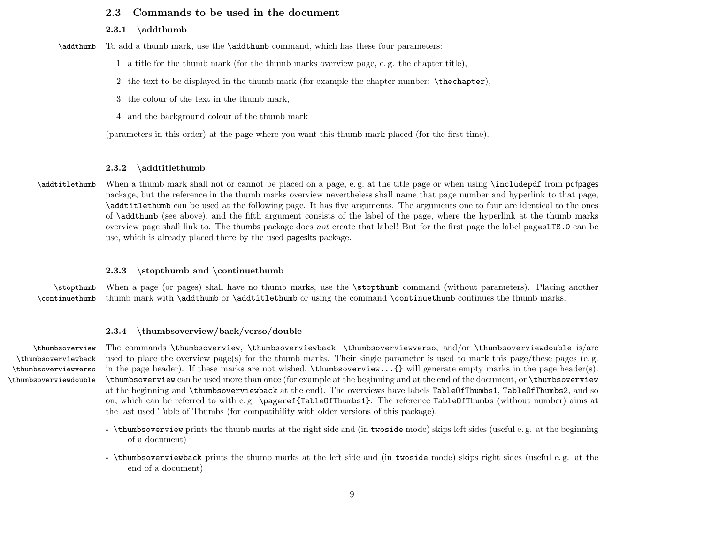# <span id="page-8-0"></span>2.3 Commands to be used in the document

### <span id="page-8-1"></span> $2.3.1$  \addthumb

\addthumb To add a thumb mark, use the \addthumb command, which has these four parameters:

1. a title for the thumb mark (for the thumb marks overview page, e. g. the chapter title),

2. the text to be displayed in the thumb mark (for example the chapter number: \thechapter),

3. the colour of the text in the thumb mark,

4. and the background colour of the thumb mark

(parameters in this order) at the page where you want this thumb mark placed (for the first time).

## <span id="page-8-2"></span>2.3.2 \addtitlethumb

\addtitlethumb When a thumb mark shall not or cannot be placed on a page, e.g. at the title page or when using \includepdf from pdfpages package, but the reference in the thumb marks overview nevertheless shall name that page number and hyperlink to that page, \addtitlethumb can be used at the following page. It has five arguments. The arguments one to four are identical to the ones of \addthumb (see above), and the fifth argument consists of the label of the page, where the hyperlink at the thumb marks overview page shall link to. The thumbs package does not create that label! But for the first page the label pagesLTS.0 can be use, which is already placed there by the used pageslts package.

# <span id="page-8-3"></span>2.3.3  $\to$  and  $\to$

\stopthumb When a page (or pages) shall have no thumb marks, use the \stopthumb command (without parameters). Placing another \continuethumb thumb mark with \addthumb or \addtitlethumb or using the command \continuethumb continues the thumb marks.

### <span id="page-8-4"></span>2.3.4 \thumbsoverview/back/verso/double

\thumbsoverviewback \thumbsoverviewverso \thumbsoverviewdouble

\thumbsoverview The commands \thumbsoverview, \thumbsoverviewback, \thumbsoverviewverso, and/or \thumbsoverviewdouble is/are used to place the overview page(s) for the thumb marks. Their single parameter is used to mark this page/these pages (e. g. in the page header). If these marks are not wished, \thumbsoverview...{} will generate empty marks in the page header(s). \thumbsoverview can be used more than once (for example at the beginning and at the end of the document, or \thumbsoverview at the beginning and \thumbsoverviewback at the end). The overviews have labels TableOfThumbs1, TableOfThumbs2, and so on, which can be referred to with e. g. \pageref{TableOfThumbs1}. The reference TableOfThumbs (without number) aims at the last used Table of Thumbs (for compatibility with older versions of this package).

- \thumbsoverview prints the thumb marks at the right side and (in twoside mode) skips left sides (useful e. g. at the beginning of a document)
- \thumbsoverviewback prints the thumb marks at the left side and (in twoside mode) skips right sides (useful e. g. at the end of a document)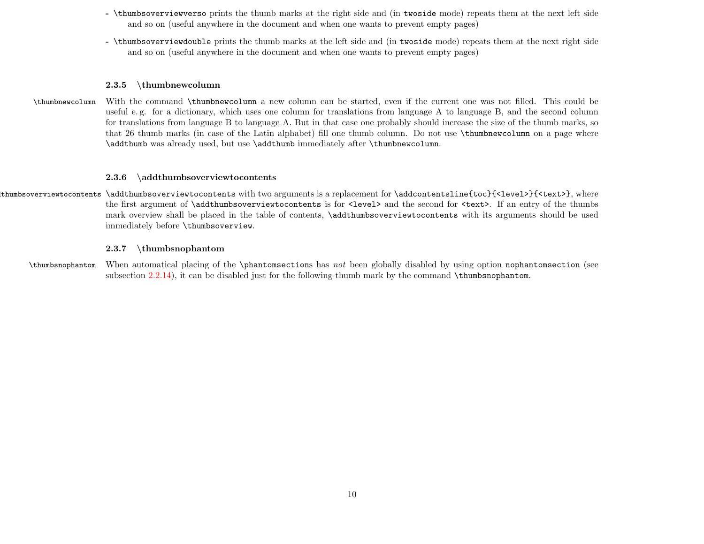- \thumbsoverviewverso prints the thumb marks at the right side and (in twoside mode) repeats them at the next left side and so on (useful anywhere in the document and when one wants to prevent empty pages)
- \thumbsoverviewdouble prints the thumb marks at the left side and (in twoside mode) repeats them at the next right side and so on (useful anywhere in the document and when one wants to prevent empty pages)

# <span id="page-9-0"></span>2.3.5 \thumbnewcolumn

\thumbnewcolumn With the command \thumbnewcolumn a new column can be started, even if the current one was not filled. This could be useful e. g. for a dictionary, which uses one column for translations from language A to language B, and the second column for translations from language B to language A. But in that case one probably should increase the size of the thumb marks, so that 26 thumb marks (in case of the Latin alphabet) fill one thumb column. Do not use \thumbnewcolumn on a page where \addthumb was already used, but use \addthumb immediately after \thumbnewcolumn.

## <span id="page-9-1"></span>2.3.6 \addthumbsoverviewtocontents

\addthumbsoverviewtocontents \addthumbsoverviewtocontents with two arguments is a replacement for \addcontentsline{toc}{<level>}{<text>}, where the first argument of **\addthumbsoverviewtocontents** is for **<level>** and the second for **<text>**. If an entry of the thumbs mark overview shall be placed in the table of contents, \addthumbsoverviewtocontents with its arguments should be used immediately before \thumbsoverview.

### <span id="page-9-2"></span>2.3.7 \thumbsnophantom

\thumbsnophantom When automatical placing of the \phantomsections has not been globally disabled by using option nophantomsection (see subsection [2.2.14\)](#page-6-1), it can be disabled just for the following thumb mark by the command \thumbsnophantom.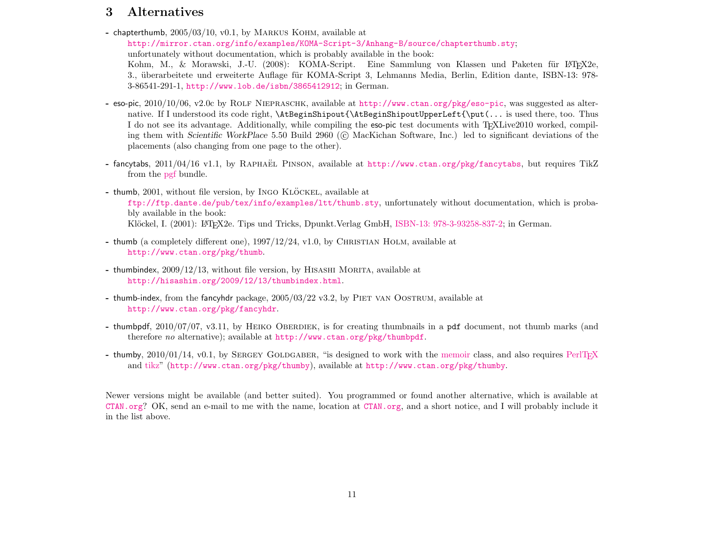# <span id="page-10-0"></span>3 Alternatives

- chapterthumb,  $2005/03/10$ , v0.1, by MARKUS KOHM, available at <http://mirror.ctan.org/info/examples/KOMA-Script-3/Anhang-B/source/chapterthumb.sty>; unfortunately without documentation, which is probably available in the book: Kohm, M., & Morawski, J.-U. (2008): KOMA-Script. Eine Sammlung von Klassen und Paketen für L<sup>AT</sup>FX2e, 3., überarbeitete und erweiterte Auflage für KOMA-Script 3, Lehmanns Media, Berlin, Edition dante, ISBN-13: 978-3-86541-291-1, <http://www.lob.de/isbn/3865412912>; in German.
- eso-pic, 2010/10/06, v2.0c by Rolf Niepraschk, available at <http://www.ctan.org/pkg/eso-pic>, was suggested as alternative. If I understood its code right, \AtBeginShipout{\AtBeginShipoutUpperLeft{\put(... is used there, too. Thus I do not see its advantage. Additionally, while compiling the eso-pic test documents with T<sub>E</sub>XLive2010 worked, compiling them with Scientific WorkPlace 5.50 Build 2960 (C) MacKichan Software, Inc.) led to significant deviations of the placements (also changing from one page to the other).
- fancytabs,  $2011/04/16$  v1.1, by RAPHAEL PINSON, available at <http://www.ctan.org/pkg/fancytabs>, but requires TikZ from the [pgf](http://www.ctan.org/pkg/pgf) bundle.
- $-$  thumb, 2001, without file version, by INGO KLÖCKEL, available at <ftp://ftp.dante.de/pub/tex/info/examples/ltt/thumb.sty>, unfortunately without documentation, which is probably available in the book: Klöckel, I. (2001): LATEX2e. Tips und Tricks, Dpunkt.Verlag GmbH, [ISBN-13: 978-3-93258-837-2;](http://amazon.de/o/ASIN/3932588371) in German.
- thumb (a completely different one),  $1997/12/24$ , v1.0, by CHRISTIAN HOLM, available at <http://www.ctan.org/pkg/thumb>.
- thumbindex,  $2009/12/13$ , without file version, by HISASHI MORITA, available at <http://hisashim.org/2009/12/13/thumbindex.html>.
- thumb-index, from the fancyhdr package, 2005/03/22 v3.2, by Piet van Oostrum, available at <http://www.ctan.org/pkg/fancyhdr>.
- thumbpdf,  $2010/07/07$ , v3.11, by HEIKO OBERDIEK, is for creating thumbnails in a pdf document, not thumb marks (and therefore no alternative); available at <http://www.ctan.org/pkg/thumbpdf>.
- thumby,  $2010/01/14$ ,  $v0.1$ , by SERGEY GOLDGABER, "is designed to work with the [memoir](http://www.ctan.org/pkg/memoir) class, and also requires PerlTFX and [tikz"](http://www.ctan.org/pkg/pgf) (<http://www.ctan.org/pkg/thumby>), available at <http://www.ctan.org/pkg/thumby>.

Newer versions might be available (and better suited). You programmed or found another alternative, which is available at <CTAN.org>? OK, send an e-mail to me with the name, location at <CTAN.org>, and a short notice, and I will probably include it in the list above.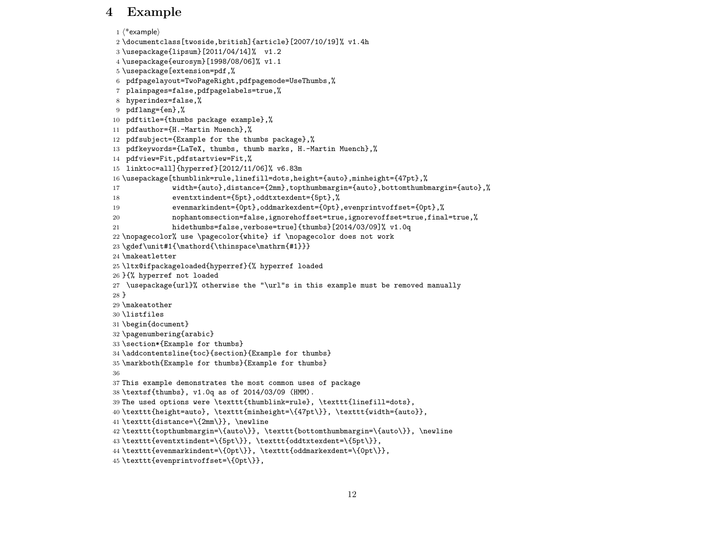# <span id="page-11-0"></span>4 Example

```
1 \langle *example\rangle2 \documentclass[twoside,british]{article}[2007/10/19]% v1.4h
3 \usepackage{lipsum}[2011/04/14]% v1.2
4 \usepackage{eurosym}[1998/08/06]% v1.1
5 \usepackage[extension=pdf,%
6 pdfpagelayout=TwoPageRight,pdfpagemode=UseThumbs,%
7 plainpages=false,pdfpagelabels=true,%
8 hyperindex=false,%
9 pdflang={en},%
10 pdftitle={thumbs package example},%
11 pdfauthor={H.-Martin Muench},%
12 pdfsubject={Example for the thumbs package},%
13 pdfkeywords={LaTeX, thumbs, thumb marks, H.-Martin Muench},%
14 pdfview=Fit,pdfstartview=Fit,%
15 linktoc=all]{hyperref}[2012/11/06]% v6.83m
16 \usepackage[thumblink=rule,linefill=dots,height={auto},minheight={47pt},%
17 width={auto},distance={2mm},topthumbmargin={auto},bottomthumbmargin={auto},%
18 eventxtindent={5pt},oddtxtexdent={5pt},%
19 evenmarkindent={0pt},oddmarkexdent={0pt},evenprintvoffset={0pt},%
20 nophantomsection=false,ignorehoffset=true,ignorevoffset=true,final=true,%
21 hidethumbs=false,verbose=true]{thumbs}[2014/03/09]% v1.0q
22 \nopagecolor% use \pagecolor{white} if \nopagecolor does not work
23 \gdef\unit#1{\mathord{\thinspace\mathrm{#1}}}
24 \makeatletter
25 \ltx@ifpackageloaded{hyperref}{% hyperref loaded
26 }{% hyperref not loaded
27 \usepackage{url}% otherwise the "\url"s in this example must be removed manually
28 }
29 \makeatother
30 \listfiles
31 \begin{document}
32 \pagenumbering{arabic}
33 \section*{Example for thumbs}
34 \addcontentsline{toc}{section}{Example for thumbs}
35 \markboth{Example for thumbs}{Example for thumbs}
36
37 This example demonstrates the most common uses of package
38 \textsf{thumbs}, v1.0q as of 2014/03/09 (HMM).
39 The used options were \texttt{thumblink=rule}, \texttt{linefill=dots},
40 \texttt{height=auto}, \texttt{minheight=\{47pt\}}, \texttt{width={auto}},
41 \texttt{distance=\{2mm\}}, \newline
42 \texttt{topthumbmargin=\{auto\}}, \texttt{bottomthumbmargin=\{auto\}}, \newline
43 \texttt{eventxtindent=\{5pt\}}, \texttt{oddtxtexdent=\{5pt\}},
44 \texttt{evenmarkindent=\{0pt\}}, \texttt{oddmarkexdent=\{0pt\}},
45 \texttt{evenprintvoffset=\{0pt\}},
```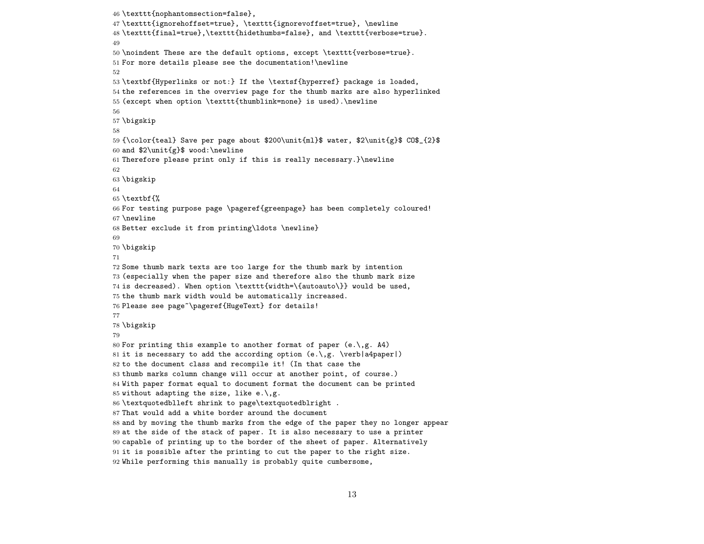```
46 \texttt{nophantomsection=false},
47 \texttt{ignorehoffset=true}, \texttt{ignorevoffset=true}, \newline
48 \texttt{final=true},\texttt{hidethumbs=false}, and \texttt{verbose=true}.
49
50 \noindent These are the default options, except \texttt{verbose=true}.
51 For more details please see the documentation!\newline
52
53 \textbf{Hyperlinks or not:} If the \textsf{hyperref} package is loaded,
54 the references in the overview page for the thumb marks are also hyperlinked
55 (except when option \texttt{thumblink=none} is used).\newline
56
57 \bigskip
58
59 {\color{teal} Save per page about $200\unit{ml}$ water, $2\unit{g}$ CO$_{2}$
60 and $2\unit{g}$ wood:\newline
61 Therefore please print only if this is really necessary.}\newline
62
63 \bigskip
64
65 \textbf{%
66 For testing purpose page \pageref{greenpage} has been completely coloured!
67 \newline
68 Better exclude it from printing\ldots \newline}
69
70 \bigskip
71
72 Some thumb mark texts are too large for the thumb mark by intention
73 (especially when the paper size and therefore also the thumb mark size
74 is decreased). When option \texttt{width=\{autoauto\}} would be used,
75 the thumb mark width would be automatically increased.
76 Please see page~\pageref{HugeText} for details!
77
78 \bigskip
79
80 For printing this example to another format of paper (e.\,g. A4)
81 it is necessary to add the according option (e.\, \, g. \, \, \text{verb|a4paper|})82 to the document class and recompile it! (In that case the
83 thumb marks column change will occur at another point, of course.)
84 With paper format equal to document format the document can be printed
85 without adapting the size, like e.\, \backslash, g.86 \textquotedblleft shrink to page\textquotedblright .
87 That would add a white border around the document
88 and by moving the thumb marks from the edge of the paper they no longer appear
89 at the side of the stack of paper. It is also necessary to use a printer
90 capable of printing up to the border of the sheet of paper. Alternatively
91 it is possible after the printing to cut the paper to the right size.
92 While performing this manually is probably quite cumbersome,
```

```
13
```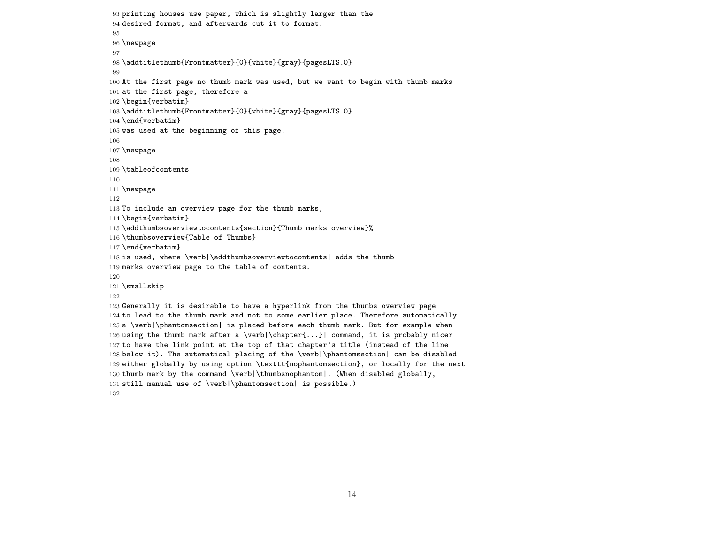```
93 printing houses use paper, which is slightly larger than the
94 desired format, and afterwards cut it to format.
95
96 \newpage
97
98 \addtitlethumb{Frontmatter}{0}{white}{gray}{pagesLTS.0}
99
100 At the first page no thumb mark was used, but we want to begin with thumb marks
101 at the first page, therefore a
102 \begin{verbatim}
103 \addtitlethumb{Frontmatter}{0}{white}{gray}{pagesLTS.0}
104 \end{verbatim}
105 was used at the beginning of this page.
106
107 \newpage
108
109 \tableofcontents
110
111 \newpage
112
113 To include an overview page for the thumb marks,
114 \begin{verbatim}
115 \addthumbsoverviewtocontents{section}{Thumb marks overview}%
116 \thumbsoverview{Table of Thumbs}
117 \end{verbatim}
118 is used, where \verb|\addthumbsoverviewtocontents| adds the thumb
119 marks overview page to the table of contents.
120
121 \smallskip
122
123 Generally it is desirable to have a hyperlink from the thumbs overview page
124 to lead to the thumb mark and not to some earlier place. Therefore automatically
125 a \verb|\phantomsection| is placed before each thumb mark. But for example when
126 using the thumb mark after a \verb|\chapter{...}| command, it is probably nicer
127 to have the link point at the top of that chapter's title (instead of the line
128 below it). The automatical placing of the \verb|\phantomsection| can be disabled
129 either globally by using option \texttt{nophantomsection}, or locally for the next
130 thumb mark by the command \verb|\thumbsnophantom|. (When disabled globally,
131 still manual use of \verb|\phantomsection| is possible.)
132
```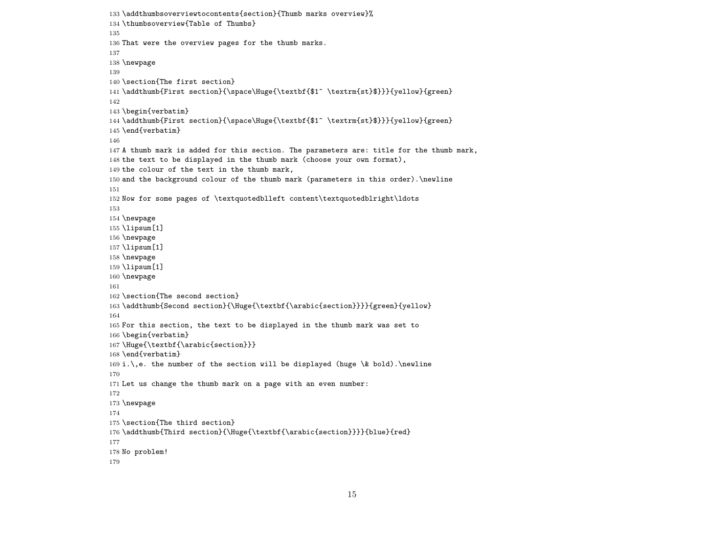```
133 \addthumbsoverviewtocontents{section}{Thumb marks overview}%
134 \thumbsoverview{Table of Thumbs}
135
136 That were the overview pages for the thumb marks.
137
138 \newpage
139
140 \section{The first section}
141 \addthumb{First section}{\space\Huge{\textbf{$1^ \textrm{st}$}}}{yellow}{green}
142
143 \begin{verbatim}
144 \addthumb{First section}{\space\Huge{\textbf{$1^ \textrm{st}$}}}{yellow}{green}
145 \end{verbatim}
146
147 A thumb mark is added for this section. The parameters are: title for the thumb mark,
148 the text to be displayed in the thumb mark (choose your own format),
149 the colour of the text in the thumb mark,
150 and the background colour of the thumb mark (parameters in this order).\newline
151
152 Now for some pages of \textquotedblleft content\textquotedblright\ldots
153
154 \newpage
155 \lipsum[1]
156 \newpage
157 \lipsum[1]
158 \newpage
159 \lipsum[1]
160 \newpage
161
162 \section{The second section}
163 \addthumb{Second section}{\Huge{\textbf{\arabic{section}}}}{green}{yellow}
164
165 For this section, the text to be displayed in the thumb mark was set to
166 \begin{verbatim}
167 \Huge{\textbf{\arabic{section}}}
168 \end{verbatim}
169 i.\,e. the number of the section will be displayed (huge \& bold).\newline
170
171 Let us change the thumb mark on a page with an even number:
172
173 \newpage
174
175 \section{The third section}
176 \addthumb{Third section}{\Huge{\textbf{\arabic{section}}}}{blue}{red}
177
178 No problem!
179
```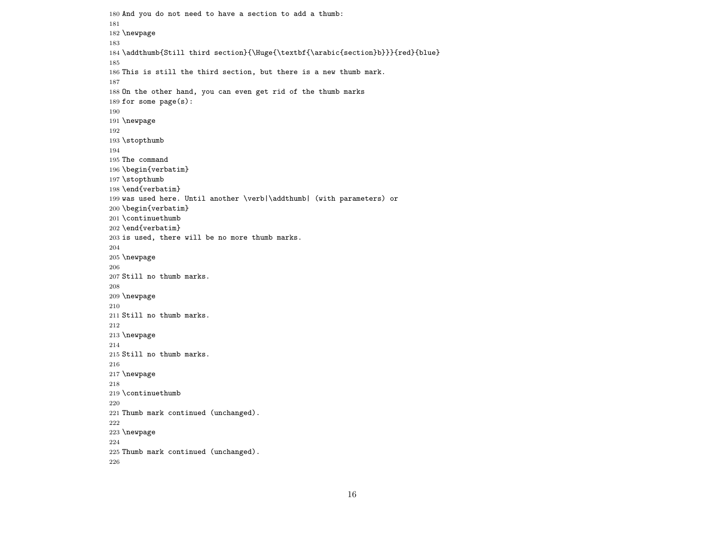```
180 And you do not need to have a section to add a thumb:
181
182 \newpage
183
184 \addthumb{Still third section}{\Huge{\textbf{\arabic{section}b}}}{red}{blue}
185
186 This is still the third section, but there is a new thumb mark.
187
188 On the other hand, you can even get rid of the thumb marks
189 for some page(s):
190
191 \newpage
192
193 \stopthumb
194
195 The command
196 \begin{verbatim}
197 \stopthumb
198 \end{verbatim}
199 was used here. Until another \verb|\addthumb| (with parameters) or
200 \begin{verbatim}
201 \continuethumb
202 \end{verbatim}
203 is used, there will be no more thumb marks.
204
205 \newpage
206
207 Still no thumb marks.
208
209 \newpage
210
211 Still no thumb marks.
212
213 \newpage
214
215 Still no thumb marks.
216
217 \newpage
218
219 \continuethumb
220
221 Thumb mark continued (unchanged).
222
223 \newpage
224
225 Thumb mark continued (unchanged).
226
```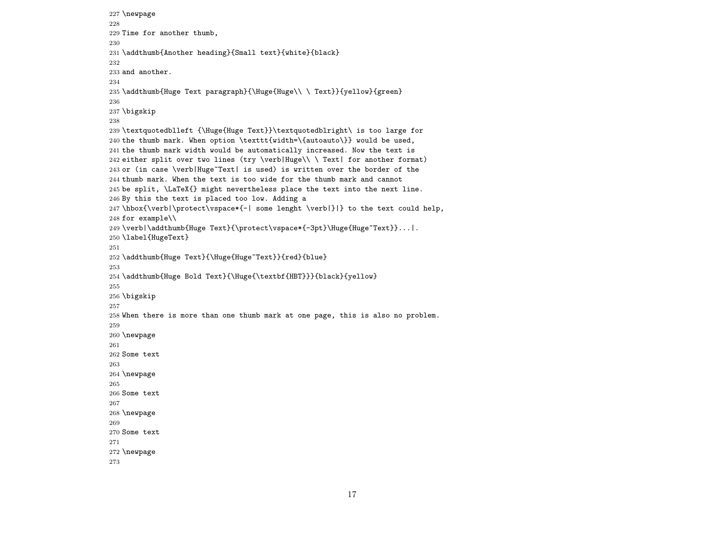```
227 \newpage
228
229 Time for another thumb,
230
231 \addthumb{Another heading}{Small text}{white}{black}
232
233 and another.
234
235 \addthumb{Huge Text paragraph}{\Huge{Huge\\ \ Text}}{yellow}{green}
236
237 \bigskip
238
239 \textquotedblleft {\Huge{Huge Text}}\textquotedblright\ is too large for
240 the thumb mark. When option \texttt{width=\{autoauto\}} would be used,
241 the thumb mark width would be automatically increased. Now the text is
242 either split over two lines (try \verb|Huge\\ \ Text| for another format)
243 or (in case \verb|Huge~Text| is used) is written over the border of the
244 thumb mark. When the text is too wide for the thumb mark and cannot
245 be split, \LaTeX{} might nevertheless place the text into the next line.
246 By this the text is placed too low. Adding a
247 \hbox{\verb|\protect\vspace*{-| some lenght \verb|}|} to the text could help,
248 for example\\
249 \verb|\addthumb{Huge Text}{\protect\vspace*{-3pt}\Huge{Huge~Text}}...|.
250 \label{HugeText}
251
252 \addthumb{Huge Text}{\Huge{Huge~Text}}{red}{blue}
253
254 \addthumb{Huge Bold Text}{\Huge{\textbf{HBT}}}{black}{yellow}
255
256 \bigskip
257
258 When there is more than one thumb mark at one page, this is also no problem.
259
260 \newpage
261
262 Some text
263
264 \newpage
265
266 Some text
267
268 \newpage
269
270 Some text
271
272 \newpage
273
```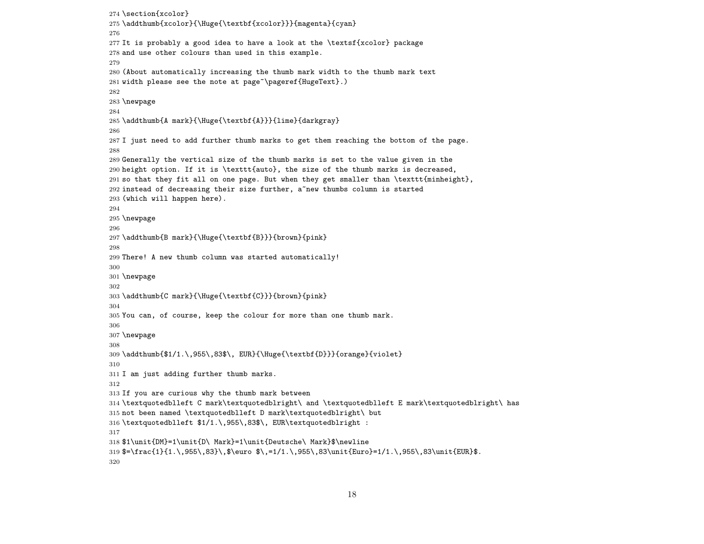```
274 \section{xcolor}
275 \addthumb{xcolor}{\Huge{\textbf{xcolor}}}{magenta}{cyan}
276
277 It is probably a good idea to have a look at the \textsf{xcolor} package
278 and use other colours than used in this example.
279
280 (About automatically increasing the thumb mark width to the thumb mark text
281 width please see the note at page<sup>~</sup>\pageref{HugeText}.)
282
283 \newpage
284
285 \addthumb{A mark}{\Huge{\textbf{A}}}{lime}{darkgray}
286
287 I just need to add further thumb marks to get them reaching the bottom of the page.
288
289 Generally the vertical size of the thumb marks is set to the value given in the
290 height option. If it is \texttt{auto}, the size of the thumb marks is decreased,
291 so that they fit all on one page. But when they get smaller than \texttt{minheight},
292 instead of decreasing their size further, a new thumbs column is started
293 (which will happen here).
294
295 \newpage
296
297 \addthumb{B mark}{\Huge{\textbf{B}}}{brown}{pink}
298
299 There! A new thumb column was started automatically!
300
301 \newpage
302
303 \addthumb{C mark}{\Huge{\textbf{C}}}{brown}{pink}
304
305 You can, of course, keep the colour for more than one thumb mark.
306
307 \newpage
308
309 \addthumb{$1/1.\,955\,83$\, EUR}{\Huge{\textbf{D}}}{orange}{violet}
310
311 I am just adding further thumb marks.
312
313 If you are curious why the thumb mark between
314 \textquotedblleft C mark\textquotedblright\ and \textquotedblleft E mark\textquotedblright\ has
315 not been named \textquotedblleft D mark\textquotedblright\ but
316 \textquotedblleft $1/1.\,955\,83$\, EUR\textquotedblright :
317
318 $1\unit{DM}=1\unit{D\ Mark}=1\unit{Deutsche\ Mark}$\newline
319 \frac{1}{1.\,955\,83}\,\ \, \euro \,-1/1.\,, 955\,83\unit{Euro}=1/1.\,955\,83\unit{EUR}$.
320
```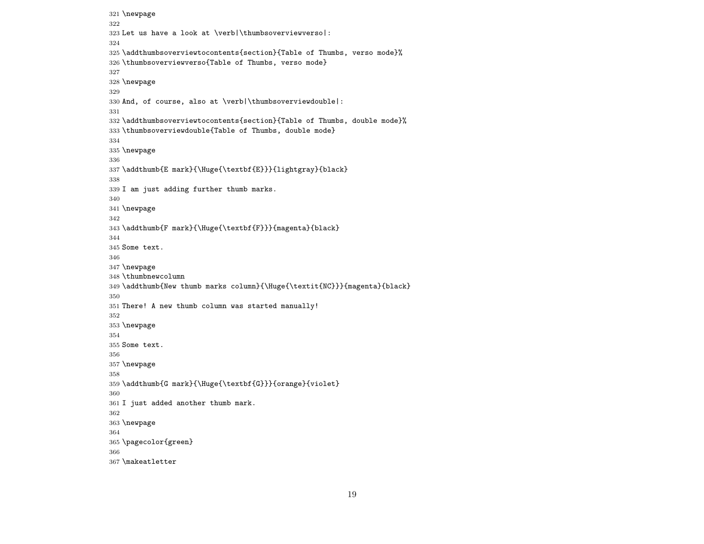```
321 \newpage
322
323 Let us have a look at \verb|\thumbsoverviewverso|:
324
325 \addthumbsoverviewtocontents{section}{Table of Thumbs, verso mode}%
326 \thumbsoverviewverso{Table of Thumbs, verso mode}
327
328 \newpage
329
330 And, of course, also at \verb|\thumbsoverviewdouble|:
331
332 \addthumbsoverviewtocontents{section}{Table of Thumbs, double mode}%
333 \thumbsoverviewdouble{Table of Thumbs, double mode}
334
335 \newpage
336
337 \addthumb{E mark}{\Huge{\textbf{E}}}{lightgray}{black}
338
339 I am just adding further thumb marks.
340
341 \newpage
342
343 \addthumb{F mark}{\Huge{\textbf{F}}}{magenta}{black}
344
345 Some text.
346
347 \newpage
348 \thumbnewcolumn
349 \addthumb{New thumb marks column}{\Huge{\textit{NC}}}{magenta}{black}
350
351 There! A new thumb column was started manually!
352
353 \newpage
354
355 Some text.
356
357 \newpage
358
359 \addthumb{G mark}{\Huge{\textbf{G}}}{orange}{violet}
360
361 I just added another thumb mark.
362
363 \newpage
364
365 \pagecolor{green}
366
367 \makeatletter
```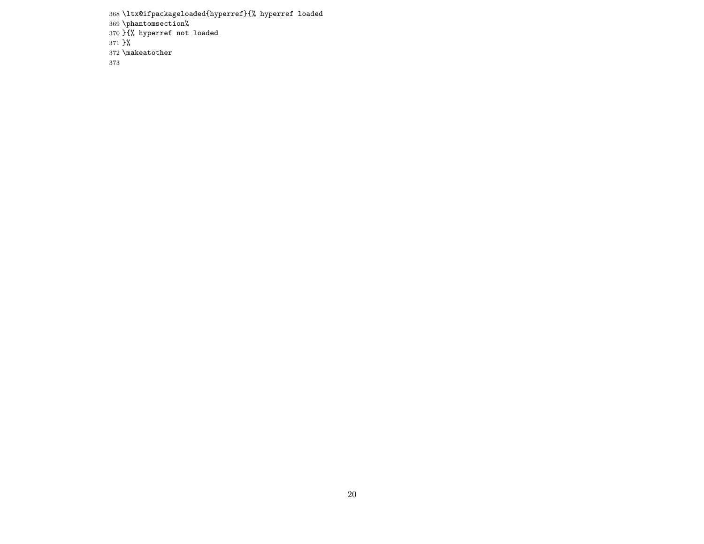```
368 \ltx@ifpackageloaded{hyperref}{% hyperref loaded
369 \phantomsection%
370 }{% hyperref not loaded
371 }%
372 \makeatother \,373
```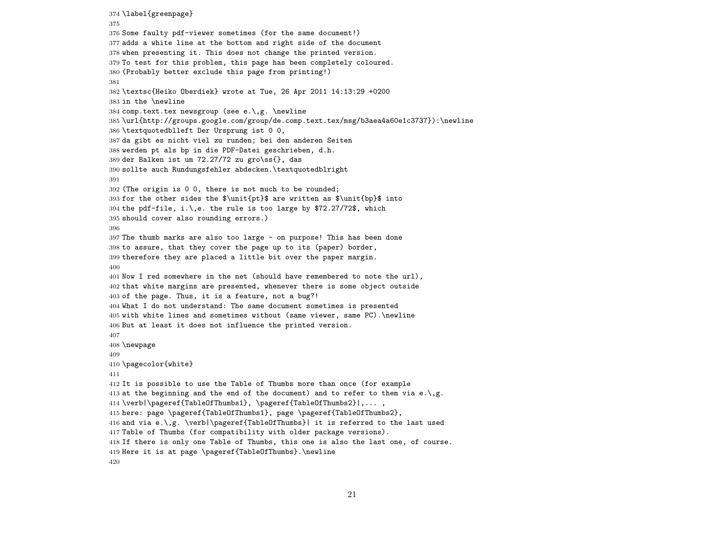\label{greenpage} Some faulty pdf-viewer sometimes (for the same document!) adds a white line at the bottom and right side of the document when presenting it. This does not change the printed version. To test for this problem, this page has been completely coloured. (Probably better exclude this page from printing!) \textsc{Heiko Oberdiek} wrote at Tue, 26 Apr 2011 14:13:29 +0200 in the \newline 384 comp.text.tex newsgroup (see e.\,g. \newline \url{http://groups.google.com/group/de.comp.text.tex/msg/b3aea4a60e1c3737}):\newline \textquotedblleft Der Ursprung ist 0 0, da gibt es nicht viel zu runden; bei den anderen Seiten werden pt als bp in die PDF-Datei geschrieben, d.h. der Balken ist um 72.27/72 zu gro\ss{}, das sollte auch Rundungsfehler abdecken.\textquotedblright (The origin is 0 0, there is not much to be rounded; 393 for the other sides the  $\unit{pt}$  are written as  $\unit{pt}$  into 394 the pdf-file, i.\,e. the rule is too large by  $$72.27/72$ \$, which should cover also rounding errors.) The thumb marks are also too large - on purpose! This has been done to assure, that they cover the page up to its (paper) border, therefore they are placed a little bit over the paper margin. Now I red somewhere in the net (should have remembered to note the url), that white margins are presented, whenever there is some object outside of the page. Thus, it is a feature, not a bug?! What I do not understand: The same document sometimes is presented with white lines and sometimes without (same viewer, same PC).\newline But at least it does not influence the printed version. \newpage \pagecolor{white} It is possible to use the Table of Thumbs more than once (for example 413 at the beginning and the end of the document) and to refer to them via  $e.\,$ ,g. \verb|\pageref{TableOfThumbs1}, \pageref{TableOfThumbs2}|,... , here: page \pageref{TableOfThumbs1}, page \pageref{TableOfThumbs2}, 416 and via e.\,g. \verb|\pageref{TableOfThumbs}| it is referred to the last used Table of Thumbs (for compatibility with older package versions). If there is only one Table of Thumbs, this one is also the last one, of course. Here it is at page \pageref{TableOfThumbs}.\newline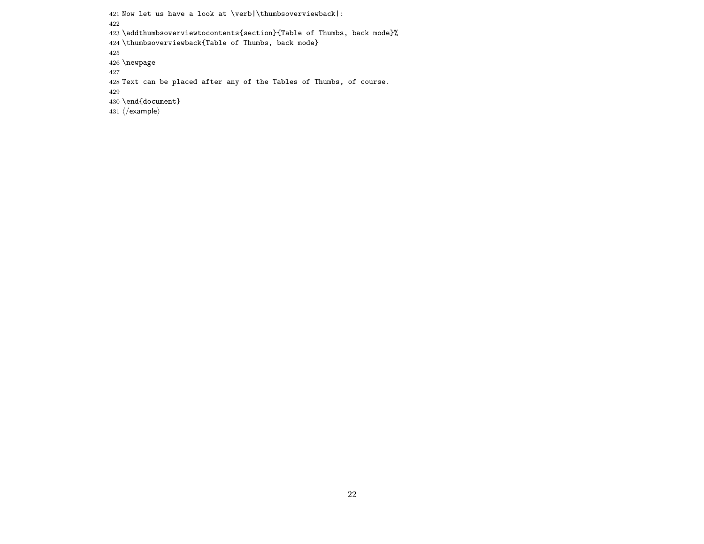```
421 Now let us have a look at \verb|\thumbsoverviewback|:
422
423 \addthumbsoverviewtocontents{section}{Table of Thumbs, back mode}%
424 \thumbsoverviewback{Table of Thumbs, back mode}
425
426 \newpage
427
428 Text can be placed after any of the Tables of Thumbs, of course.
429
430 \end{document}
431 \; \langle/example\rangle
```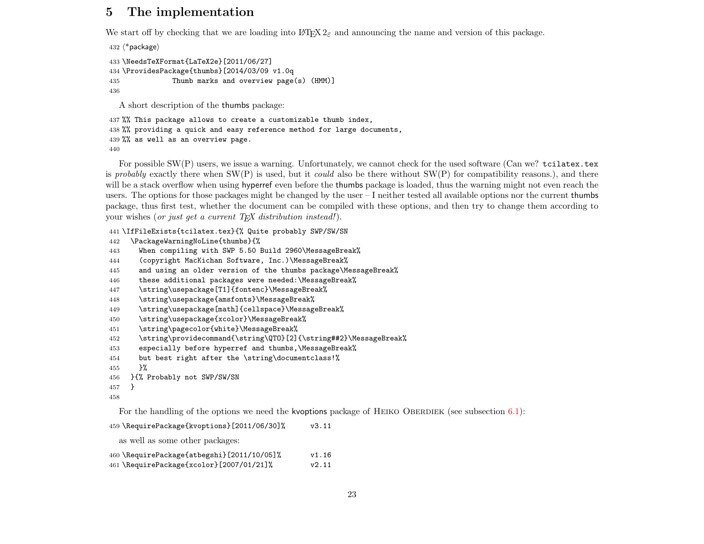# <span id="page-22-0"></span>5 The implementation

We start off by checking that we are loading into LATEX  $2\varepsilon$  and announcing the name and version of this package.

```
432 \langle*package\rangle433 \NeedsTeXFormat{LaTeX2e}[2011/06/27]
434 \ProvidesPackage{thumbs}[2014/03/09 v1.0q
435 Thumb marks and overview page(s) (HMM)]
436
  A short description of the thumbs package:
```

```
437 %% This package allows to create a customizable thumb index,
438 %% providing a quick and easy reference method for large documents,
439 %% as well as an overview page.
440
```
For possible SW(P) users, we issue a warning. Unfortunately, we cannot check for the used software (Can we? tcilatex.tex is probably exactly there when  $SW(P)$  is used, but it could also be there without  $SW(P)$  for compatibility reasons.), and there will be a stack overflow when using hyperref even before the thumbs package is loaded, thus the warning might not even reach the users. The options for those packages might be changed by the user – I neither tested all available options nor the current thumbs package, thus first test, whether the document can be compiled with these options, and then try to change them according to your wishes (or just get a current  $T_{E}X$  distribution instead!).

\IfFileExists{tcilatex.tex}{% Quite probably SWP/SW/SN

- \PackageWarningNoLine{thumbs}{%
- When compiling with SWP 5.50 Build 2960\MessageBreak%
- (copyright MacKichan Software, Inc.)\MessageBreak%
- and using an older version of the thumbs package\MessageBreak%
- these additional packages were needed:\MessageBreak%
- \string\usepackage[T1]{fontenc}\MessageBreak%
- \string\usepackage{amsfonts}\MessageBreak%
- \string\usepackage[math]{cellspace}\MessageBreak%
- \string\usepackage{xcolor}\MessageBreak%
- \string\pagecolor{white}\MessageBreak%
- \string\providecommand{\string\QTO}[2]{\string##2}\MessageBreak%
- especially before hyperref and thumbs,\MessageBreak%
- but best right after the \string\documentclass!%
- }%

```
456 }{% Probably not SWP/SW/SN
```

```
457 }
```

```
458
```
For the handling of the options we need the kvoptions package of HEIKO OBERDIEK (see subsection  $6.1$ ):

```
459 \RequirePackage{kvoptions}[2011/06/30]% v3.11
```
as well as some other packages:

| 460 \RequirePackage{atbegshi}[2011/10/05]% | v1.16 |
|--------------------------------------------|-------|
| 461 \RequirePackage{xcolor}[2007/01/21]%   | v2.11 |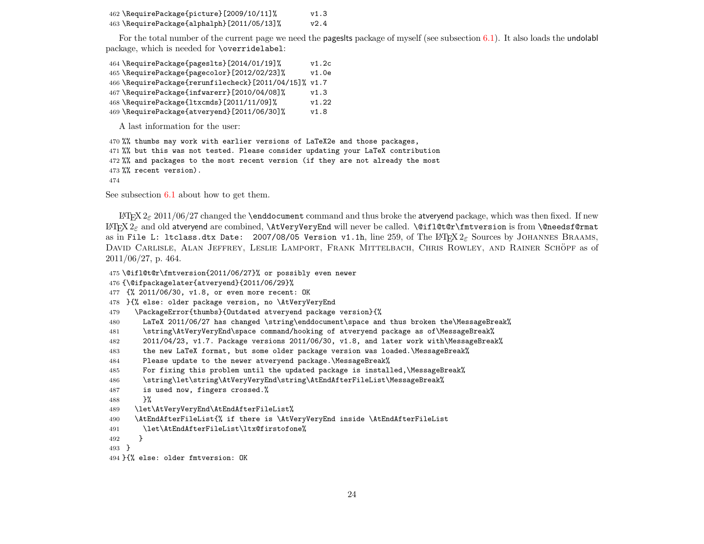| 462 \RequirePackage{picture}[2009/10/11]%  | v1.3 |
|--------------------------------------------|------|
| 463 \RequirePackage{alphalph}[2011/05/13]% | v2.4 |

For the total number of the current page we need the pageslts package of myself (see subsection [6.1\)](#page-64-1). It also loads the undolabl package, which is needed for \overridelabel:

 \RequirePackage{pageslts}[2014/01/19]% v1.2c \RequirePackage{pagecolor}[2012/02/23]% v1.0e \RequirePackage{rerunfilecheck}[2011/04/15]% v1.7 \RequirePackage{infwarerr}[2010/04/08]% v1.3 \RequirePackage{ltxcmds}[2011/11/09]% v1.22 \RequirePackage{atveryend}[2011/06/30]% v1.8

A last information for the user:

%% thumbs may work with earlier versions of LaTeX2e and those packages,

%% but this was not tested. Please consider updating your LaTeX contribution

%% and packages to the most recent version (if they are not already the most

%% recent version).

See subsection [6.1](#page-64-1) about how to get them.

 $E_{TRX} 2 \epsilon 2011/06/27$  changed the **\enddocument** command and thus broke the atveryend package, which was then fixed. If new  $\text{Lipx}_{2\varepsilon}$  and old atveryend are combined,  $\text{LipyPeryEnd}$  will never be called.  $\text{Ciflet}$  $\text{TryPeryString}$  is from  $\text{Cepu}$ as in File L: ltclass.dtx Date: 2007/08/05 Version v1.1h, line 259, of The L<sup>AT</sup>FX 2<sub>ε</sub> Sources by JOHANNES BRAAMS, DAVID CARLISLE, ALAN JEFFREY, LESLIE LAMPORT, FRANK MITTELBACH, CHRIS ROWLEY, AND RAINER SCHÖPF as of 2011/06/27, p. 464.

- \@ifl@t@r\fmtversion{2011/06/27}% or possibly even newer
- {\@ifpackagelater{atveryend}{2011/06/29}%
- {% 2011/06/30, v1.8, or even more recent: OK
- }{% else: older package version, no \AtVeryVeryEnd
- \PackageError{thumbs}{Outdated atveryend package version}{%
- LaTeX 2011/06/27 has changed \string\enddocument\space and thus broken the\MessageBreak%
- \string\AtVeryVeryEnd\space command/hooking of atveryend package as of\MessageBreak%
- 2011/04/23, v1.7. Package versions 2011/06/30, v1.8, and later work with\MessageBreak%
- the new LaTeX format, but some older package version was loaded.\MessageBreak%
- Please update to the newer atveryend package.\MessageBreak%
- For fixing this problem until the updated package is installed,\MessageBreak%
- \string\let\string\AtVeryVeryEnd\string\AtEndAfterFileList\MessageBreak%
- is used now, fingers crossed.%
- **}%**
- \let\AtVeryVeryEnd\AtEndAfterFileList%
- \AtEndAfterFileList{% if there is \AtVeryVeryEnd inside \AtEndAfterFileList
- \let\AtEndAfterFileList\ltx@firstofone%
- }

}

}{% else: older fmtversion: OK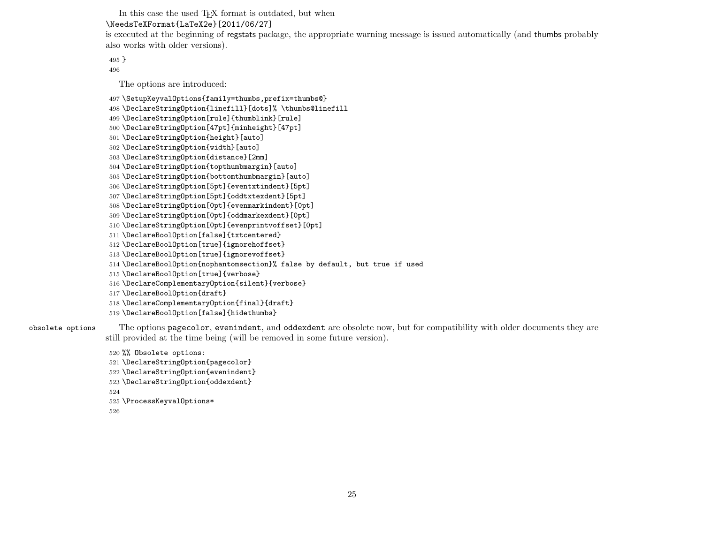In this case the used T<sub>EX</sub> format is outdated, but when \NeedsTeXFormat{LaTeX2e}[2011/06/27] is executed at the beginning of regstats package, the appropriate warning message is issued automatically (and thumbs probably

}

The options are introduced:

also works with older versions).

\SetupKeyvalOptions{family=thumbs,prefix=thumbs@}

\DeclareStringOption{linefill}[dots]% \thumbs@linefill

```
499 \DeclareStringOption[rule]{thumblink}[rule]
```

```
500 \DeclareStringOption[47pt]{minheight}[47pt]
```

```
501 \DeclareStringOption{height}[auto]
```

```
502 \DeclareStringOption{width}[auto]
```

```
503 \DeclareStringOption{distance}[2mm]
```

```
504 \DeclareStringOption{topthumbmargin}[auto]
```

```
505 \DeclareStringOption{bottomthumbmargin}[auto]
```

```
506 \DeclareStringOption[5pt]{eventxtindent}[5pt]
```

```
507 \DeclareStringOption[5pt]{oddtxtexdent}[5pt]
```

```
508 \DeclareStringOption[0pt]{evenmarkindent}[0pt]
```

```
509 \DeclareStringOption[0pt]{oddmarkexdent}[0pt]
```

```
510 \DeclareStringOption[0pt]{evenprintvoffset}[0pt]
```

```
511 \DeclareBoolOption[false]{txtcentered}
```

```
512 \DeclareBoolOption[true]{ignorehoffset}
```

```
513 \DeclareBoolOption[true]{ignorevoffset}
```

```
514 \DeclareBoolOption{nophantomsection}% false by default, but true if used
```

```
515 \DeclareBoolOption[true]{verbose}
```

```
516 \DeclareComplementaryOption{silent}{verbose}
```

```
517 \DeclareBoolOption{draft}
```

```
518 \DeclareComplementaryOption{final}{draft}
```

```
519 \DeclareBoolOption[false]{hidethumbs}
```
obsolete options The options pagecolor, evenindent, and oddexdent are obsolete now, but for compatibility with older documents they are still provided at the time being (will be removed in some future version).

```
520 %% Obsolete options:
```

```
521 \DeclareStringOption{pagecolor}
```

```
522 \DeclareStringOption{evenindent}
```

```
523 \DeclareStringOption{oddexdent}
```

```
524
```

```
525 \ProcessKeyvalOptions*
```

```
526
```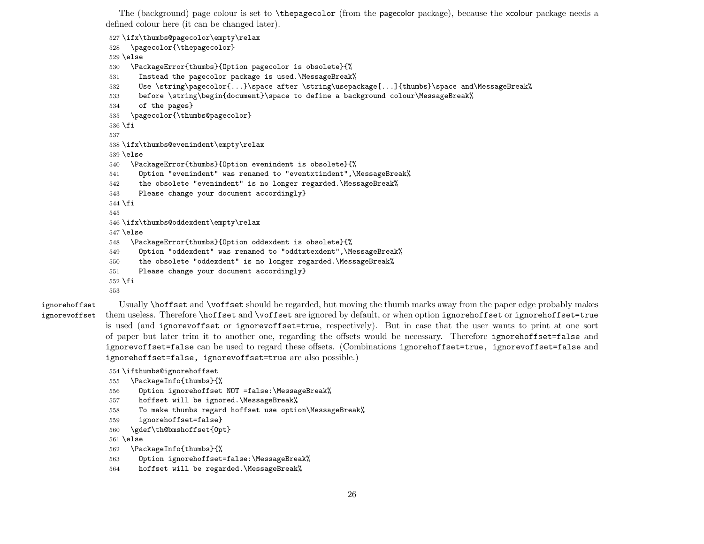The (background) page colour is set to \thepagecolor (from the pagecolor package), because the xcolour package needs a defined colour here (it can be changed later).

\ifx\thumbs@pagecolor\empty\relax

```
528 \pagecolor{\thepagecolor}
529 \else
530 \PackageError{thumbs}{Option pagecolor is obsolete}{%
531 Instead the pagecolor package is used.\MessageBreak%
532 Use \string\pagecolor{...}\space after \string\usepackage[...]{thumbs}\space and\MessageBreak%
533 before \string\begin{document}\space to define a background colour\MessageBreak%
534 of the pages}
535 \pagecolor{\thumbs@pagecolor}
536 \fi
537
538 \ifx\thumbs@evenindent\empty\relax
539 \else
540 \PackageError{thumbs}{Option evenindent is obsolete}{%
541 Option "evenindent" was renamed to "eventxtindent",\MessageBreak%
542 the obsolete "evenindent" is no longer regarded.\MessageBreak%
543 Please change your document accordingly}
544 \ifmmode \big\vert 544 \ifmmode \big\vert545
546 \ifx\thumbs@oddexdent\empty\relax
547 \else
548 \PackageError{thumbs}{Option oddexdent is obsolete}{%
549 Option "oddexdent" was renamed to "oddtxtexdent",\MessageBreak%
550 the obsolete "oddexdent" is no longer regarded.\MessageBreak%
551 Please change your document accordingly}
552 \fi
553
```
ignorehoffset Usually \hoffset and \voffset should be regarded, but moving the thumb marks away from the paper edge probably makes ignorevoffset them useless. Therefore \hoffset and \voffset are ignored by default, or when option ignorehoffset or ignorehoffset=true is used (and ignorevoffset or ignorevoffset=true, respectively). But in case that the user wants to print at one sort of paper but later trim it to another one, regarding the offsets would be necessary. Therefore ignorehoffset=false and ignorevoffset=false can be used to regard these offsets. (Combinations ignorehoffset=true, ignorevoffset=false and ignorehoffset=false, ignorevoffset=true are also possible.)

```
554 \ifthumbs@ignorehoffset
```

```
555 \PackageInfo{thumbs}{%
```
- Option ignorehoffset NOT =false:\MessageBreak%
- hoffset will be ignored.\MessageBreak%
- To make thumbs regard hoffset use option\MessageBreak%

```
559 ignorehoffset=false}
```

```
560 \gdef\th@bmshoffset{0pt}
```
\else

```
562 \PackageInfo{thumbs}{%
```
- Option ignorehoffset=false:\MessageBreak%
- hoffset will be regarded.\MessageBreak%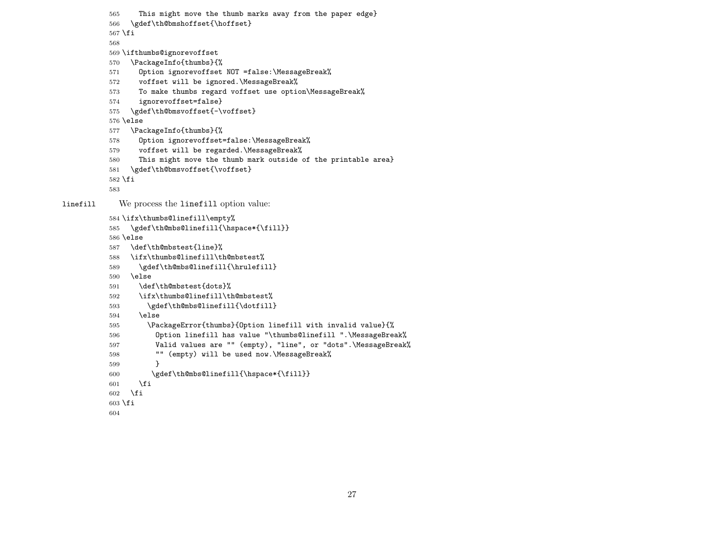```
565 This might move the thumb marks away from the paper edge}
          566 \gdef\th@bmshoffset{\hoffset}
          567 \fi
          568
          569 \ifthumbs@ignorevoffset
          570 \PackageInfo{thumbs}{%
          571 Option ignorevoffset NOT =false:\MessageBreak%
          572 voffset will be ignored.\MessageBreak%
          573 To make thumbs regard voffset use option\MessageBreak%
          574 ignorevoffset=false}
          575 \gdef\th@bmsvoffset{-\voffset}
          576 \else
          577 \PackageInfo{thumbs}{%
          578 Option ignorevoffset=false:\MessageBreak%
          579 voffset will be regarded.\MessageBreak%
          580 This might move the thumb mark outside of the printable area}
          581 \gdef\th@bmsvoffset{\voffset}
          582 \fi
          583
linefill We process the linefill option value:
          584 \ifx\thumbs@linefill\empty%
          585 \gdef\th@mbs@linefill{\hspace*{\fill}}
          586 \else
          587 \def\th@mbstest{line}%
          588 \ifx\thumbs@linefill\th@mbstest%
          589 \gdef\th@mbs@linefill{\hrulefill}
          590 \else
          591 \def\th@mbstest{dots}%
          592 \ifx\thumbs@linefill\th@mbstest%
          593 \gdef\th@mbs@linefill{\dotfill}
          594 \else
          595 \PackageError{thumbs}{Option linefill with invalid value}{%
          596 Option linefill has value "\thumbs@linefill ".\MessageBreak%
          597 Valid values are "" (empty), "line", or "dots".\MessageBreak%
          598 "" (empty) will be used now.\MessageBreak%
          599 }
          600 \gdef\th@mbs@linefill{\hspace*{\fill}}
          601 \fi
          602 \fi
          603 \fi
          604
```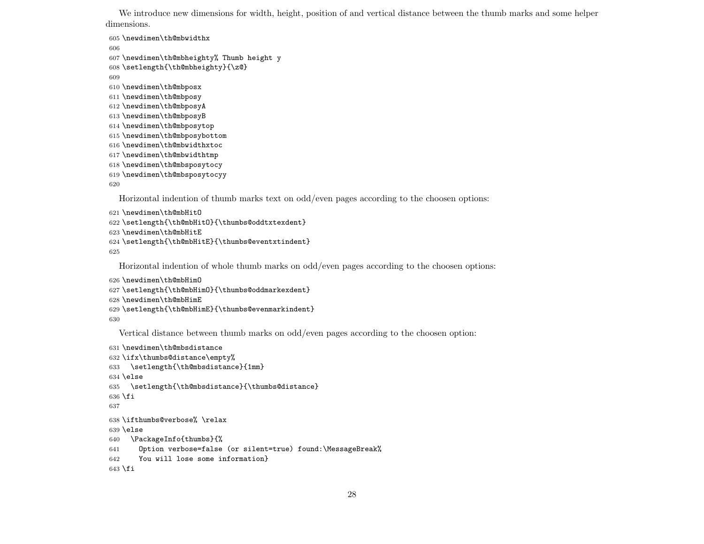We introduce new dimensions for width, height, position of and vertical distance between the thumb marks and some helper dimensions.

```
605 \newdimen\th@mbwidthx
606
607 \newdimen\th@mbheighty% Thumb height y
608 \setlength{\th@mbheighty}{\z@}
609
610 \newdimen\th@mbposx
611 \newdimen\th@mbposy
612 \newdimen\th@mbposyA
613 \newdimen\th@mbposyB
614 \newdimen\th@mbposytop
615 \newdimen\th@mbposybottom
616 \newdimen\th@mbwidthxtoc
617 \newdimen\th@mbwidthtmp
618 \newdimen\th@mbsposytocy
619 \newdimen\th@mbsposytocyy
620
  Horizontal indention of thumb marks text on odd/even pages according to the choosen options:
621 \newdimen\th@mbHitO
622 \setlength{\th@mbHitO}{\thumbs@oddtxtexdent}
```

```
623 \newdimen\th@mbHitE
624 \setlength{\th@mbHitE}{\thumbs@eventxtindent}
```

```
625
```
Horizontal indention of whole thumb marks on odd/even pages according to the choosen options:

```
626 \newdimen\th@mbHimO
627 \setlength{\th@mbHimO}{\thumbs@oddmarkexdent}
628 \newdimen\th@mbHimE
```

```
629 \setlength{\th@mbHimE}{\thumbs@evenmarkindent}
```
Vertical distance between thumb marks on odd/even pages according to the choosen option:

```
631 \newdimen\th@mbsdistance
632 \ifx\thumbs@distance\empty%
633 \setlength{\th@mbsdistance}{1mm}
634 \else
635 \setlength{\th@mbsdistance}{\thumbs@distance}
636 \fi
637
638 \ifthumbs@verbose% \relax
639 \else
640 \PackageInfo{thumbs}{%
641 Option verbose=false (or silent=true) found:\MessageBreak%
642 You will lose some information}
643 \fi
```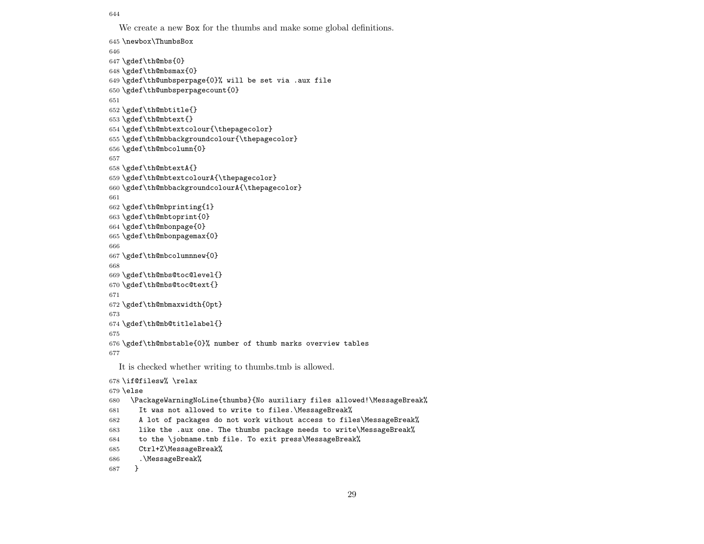We create a new Box for the thumbs and make some global definitions.

```
645 \newbox\ThumbsBox
646
647 \gdef\th@mbs{0}
648 \gdef\th@mbsmax{0}
649 \gdef\th@umbsperpage{0}% will be set via .aux file
650 \gdef\th@umbsperpagecount{0}
651
652 \gdef\th@mbtitle{}
653 \gdef\th@mbtext{}
654 \gdef\th@mbtextcolour{\thepagecolor}
655 \gdef\th@mbbackgroundcolour{\thepagecolor}
656 \gdef\th@mbcolumn{0}
657
658 \gdef\th@mbtextA{}
659 \gdef\th@mbtextcolourA{\thepagecolor}
660 \gdef\th@mbbackgroundcolourA{\thepagecolor}
661
662 \gdef\th@mbprinting{1}
663 \gdef\th@mbtoprint{0}
664 \gdef\th@mbonpage{0}
665 \gdef\th@mbonpagemax{0}
666
667 \gdef\th@mbcolumnnew{0}
668
669 \gdef\th@mbs@toc@level{}
670 \gdef\th@mbs@toc@text{}
671
672 \gdef\th@mbmaxwidth{0pt}
673
674 \gdef\th@mb@titlelabel{}
675
676 \gdef\th@mbstable{0}% number of thumb marks overview tables
677
  It is checked whether writing to thumbs.tmb is allowed.
678 \if@filesw% \relax
679 \else
680 \PackageWarningNoLine{thumbs}{No auxiliary files allowed!\MessageBreak%
681 It was not allowed to write to files.\MessageBreak%
682 A lot of packages do not work without access to files\MessageBreak%
683 like the .aux one. The thumbs package needs to write\MessageBreak%
```

```
684 to the \jobname.tmb file. To exit press\MessageBreak%
```

```
685 Ctrl+Z\MessageBreak%
```

```
686 .\MessageBreak%
```

```
687 }
```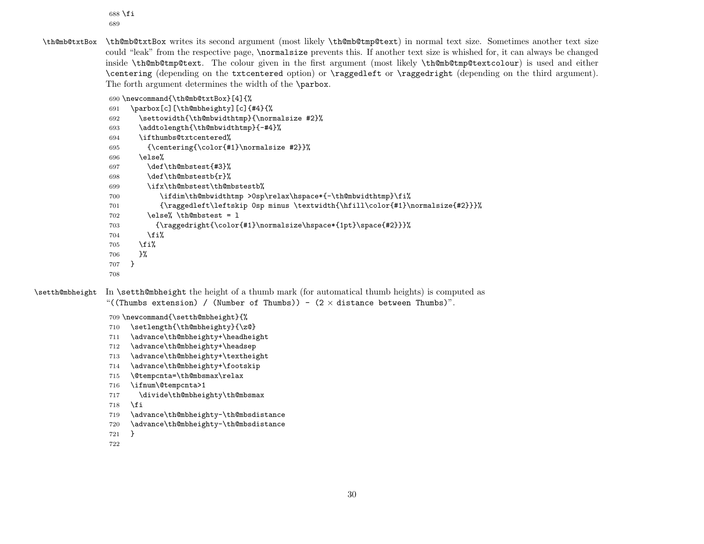\fi 

\th@mb@txtBox \th@mb@txtBox writes its second argument (most likely \th@mb@tmp@text) in normal text size. Sometimes another text size could "leak" from the respective page, \normalsize prevents this. If another text size is whished for, it can always be changed inside \th@mb@tmp@text. The colour given in the first argument (most likely \th@mb@tmp@textcolour) is used and either \centering (depending on the txtcentered option) or \raggedleft or \raggedright (depending on the third argument). The forth argument determines the width of the \parbox.

```
690 \newcommand{\th@mb@txtBox}[4]{%
```

```
691 \parbox[c][\th@mbheighty][c]{#4}{%
                692 \settowidth{\th@mbwidthtmp}{\normalsize #2}%
                693 \addtolength{\th@mbwidthtmp}{-#4}%
                694 \ifthumbs@txtcentered%
                695 {\centering{\color{#1}\normalsize #2}}%
                696 \else%
                697 \def\th@mbstest{#3}%
                698 \def\th@mbstestb{r}%
                699 \ifx\th@mbstest\th@mbstestb%
                700 \ifdim\th@mbwidthtmp >0sp\relax\hspace*{-\th@mbwidthtmp}\fi%
                701 {\raggedleft\leftskip 0sp minus \textwidth{\hfill\color{#1}\normalsize{#2}}}%
                702 \qquad \text{le@} \th \text{Qmb}stest = 1703 {\raggedright{\color{#1}\normalsize\hspace*{1pt}\space{#2}}}%
                704 \fi%
                705 \fi%
                706 }%
                707 }
                708
\setth@mbheight In \setth@mbheight the height of a thumb mark (for automatical thumb heights) is computed as
```
"((Thumbs extension) / (Number of Thumbs)) -  $(2 \times$  distance between Thumbs)".

\newcommand{\setth@mbheight}{%

- \setlength{\th@mbheighty}{\z@}
- \advance\th@mbheighty+\headheight
- \advance\th@mbheighty+\headsep
- \advance\th@mbheighty+\textheight
- \advance\th@mbheighty+\footskip
- \@tempcnta=\th@mbsmax\relax
- \ifnum\@tempcnta>1
- 717 \divide\th@mbheighty\th@mbsmax
- \fi
- \advance\th@mbheighty-\th@mbsdistance
- \advance\th@mbheighty-\th@mbsdistance
- }
-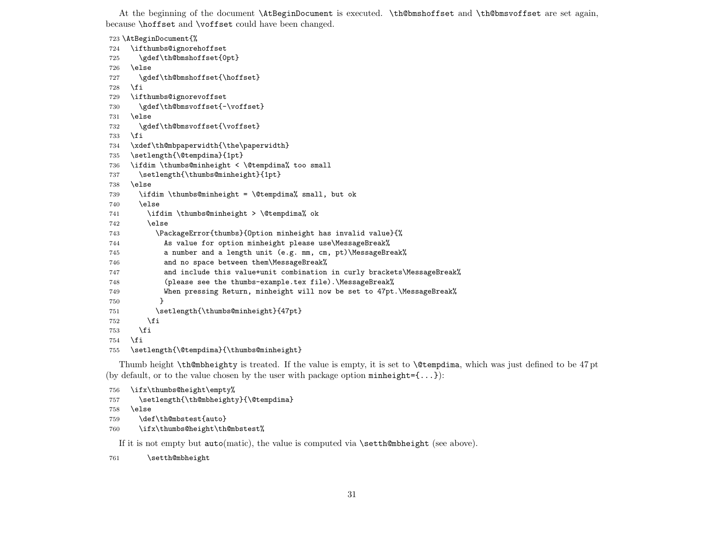At the beginning of the document \AtBeginDocument is executed. \th@bmshoffset and \th@bmsvoffset are set again, because \hoffset and \voffset could have been changed.

\AtBeginDocument{%

```
724 \ifthumbs@ignorehoffset
725 \gdef\th@bmshoffset{0pt}
726 \else
727 \gdef\th@bmshoffset{\hoffset}
728 \fi
729 \ifthumbs@ignorevoffset
730 \gdef\th@bmsvoffset{-\voffset}
731 \else
732 \gdef\th@bmsvoffset{\voffset}
733 \fi
734 \xdef\th@mbpaperwidth{\the\paperwidth}
735 \setlength{\@tempdima}{1pt}
736 \ifdim \thumbs@minheight < \@tempdima% too small
737 \setlength{\thumbs@minheight}{1pt}
738 \else
739 \ifdim \thumbs@minheight = \@tempdima% small, but ok
740 \else
741 \ifdim \thumbs@minheight > \@tempdima% ok
742 \else
743 \PackageError{thumbs}{Option minheight has invalid value}{%
744 As value for option minheight please use\MessageBreak%
745 a number and a length unit (e.g. mm, cm, pt)\MessageBreak%
746 and no space between them\MessageBreak%
747 and include this value+unit combination in curly brackets\MessageBreak%
748 (please see the thumbs-example.tex file).\MessageBreak%
749 When pressing Return, minheight will now be set to 47pt.\MessageBreak%
750 }
751 \setlength{\thumbs@minheight}{47pt}
752 \qquad \text{if}753 \fi
754 \fi
755 \setlength{\@tempdima}{\thumbs@minheight}
```
Thumb height \th@mbheighty is treated. If the value is empty, it is set to \@tempdima, which was just defined to be 47 pt (by default, or to the value chosen by the user with package option  $minheight={...}$ ):

```
756 \ifx\thumbs@height\empty%
757 \setlength{\th@mbheighty}{\@tempdima}
758 \else
759 \def\th@mbstest{auto}
760 \ifx\thumbs@height\th@mbstest%
```
If it is not empty but  $\text{auto}(\text{matic})$ , the value is computed via  $\text{setth@mbheight}$  (see above).

```
761 \setth@mbheight
```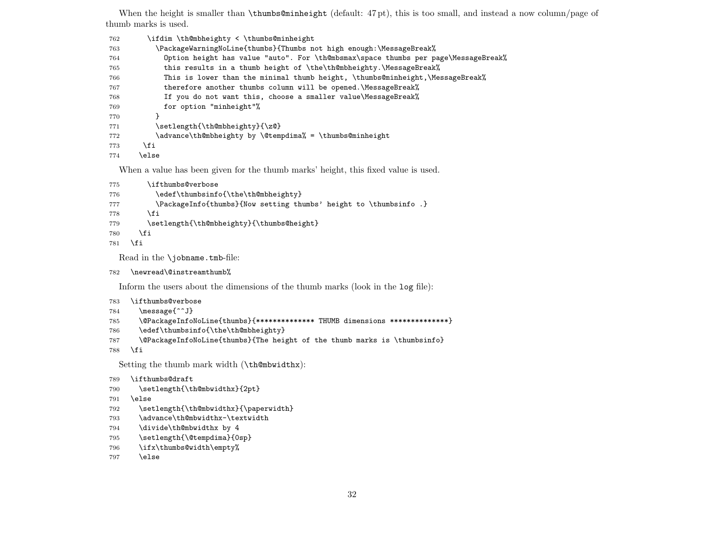When the height is smaller than **\thumbs@minheight** (default: 47 pt), this is too small, and instead a now column/page of thumb marks is used.

| 762 | \ifdim \th@mbheighty < \thumbs@minheight                                           |
|-----|------------------------------------------------------------------------------------|
| 763 | \PackageWarningNoLine{thumbs}{Thumbs not high enough:\MessageBreak%                |
| 764 | Option height has value "auto". For \th@mbsmax\space thumbs per page\MessageBreak% |
| 765 | this results in a thumb height of \the\th@mbheighty.\MessageBreak%                 |
| 766 | This is lower than the minimal thumb height, \thumbs@minheight, \MessageBreak%     |
| 767 | therefore another thumbs column will be opened. \MessageBreak%                     |
| 768 | If you do not want this, choose a smaller value\MessageBreak%                      |
| 769 | for option "minheight"%                                                            |
| 770 |                                                                                    |
| 771 | \setlength{\th@mbheighty}{\z@}                                                     |
| 772 | \advance\th@mbheighty by \@tempdima% = \thumbs@minheight                           |
| 773 | \fi                                                                                |
| 774 | else\                                                                              |

When a value has been given for the thumb marks' height, this fixed value is used.

```
775 \ifthumbs@verbose
```

```
776 \edef\thumbsinfo{\the\th@mbheighty}
```

```
777 \PackageInfo{thumbs}{Now setting thumbs' height to \thumbsinfo .}
```

```
778 \fi
```

```
779 \setlength{\th@mbheighty}{\thumbs@height}
```
- \fi
- \fi

Read in the \jobname.tmb-file:

```
782 \newread\@instreamthumb%
```
Inform the users about the dimensions of the thumb marks (look in the log file):

```
783 \ifthumbs@verbose
```

```
784 \message{^^J}
```

```
785 \@PackageInfoNoLine{thumbs}{************** THUMB dimensions **************}
```

```
786 \edef\thumbsinfo{\the\th@mbheighty}
```
\@PackageInfoNoLine{thumbs}{The height of the thumb marks is \thumbsinfo}

\fi

Setting the thumb mark width (\th@mbwidthx):

```
789 \ifthumbs@draft
```

```
790 \setlength{\th@mbwidthx}{2pt}
```

```
791 \else
```
- 792 \setlength{\th@mbwidthx}{\paperwidth}
- \advance\th@mbwidthx-\textwidth
- \divide\th@mbwidthx by 4
- \setlength{\@tempdima}{0sp}
- \ifx\thumbs@width\empty%

```
797 \else
```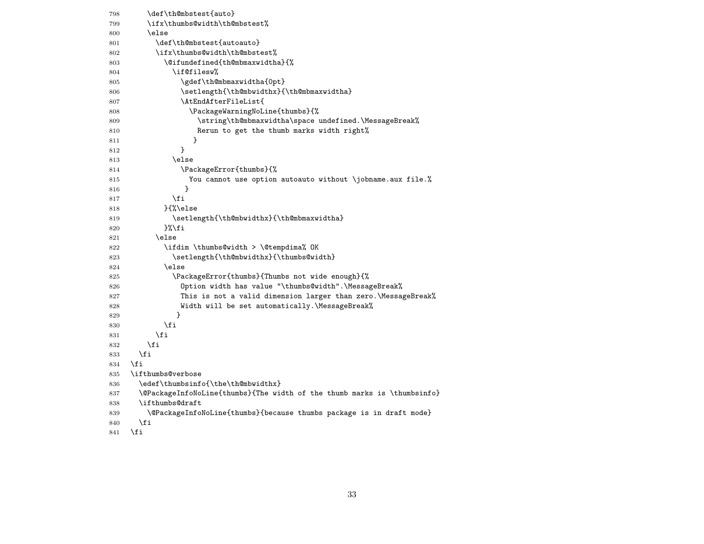| 798 | \def\th@mbstest{auto}                                                    |
|-----|--------------------------------------------------------------------------|
| 799 | \ifx\thumbs@width\th@mbstest%                                            |
| 800 | \else                                                                    |
| 801 | \def\th@mbstest{autoauto}                                                |
| 802 | \ifx\thumbs@width\th@mbstest%                                            |
| 803 | \@ifundefined{th@mbmaxwidtha}{%                                          |
| 804 | \if@filesw%                                                              |
| 805 | \gdef\th@mbmaxwidtha{0pt}                                                |
| 806 | \setlength{\th@mbwidthx}{\th@mbmaxwidtha}                                |
| 807 | \AtEndAfterFileList{                                                     |
| 808 | \PackageWarningNoLine{thumbs}{%                                          |
| 809 | \string\th@mbmaxwidtha\space undefined.\MessageBreak%                    |
| 810 | Rerun to get the thumb marks width right%                                |
| 811 | ł                                                                        |
| 812 | }                                                                        |
| 813 | \else                                                                    |
| 814 | \PackageError{thumbs}{%                                                  |
| 815 | You cannot use option autoauto without \jobname.aux file.%               |
| 816 | ł                                                                        |
| 817 | \fi                                                                      |
| 818 | }{%\else                                                                 |
| 819 | \setlength{\th@mbwidthx}{\th@mbmaxwidtha}                                |
| 820 | }%∖fi                                                                    |
| 821 | \else                                                                    |
| 822 | \ifdim \thumbs@width > \@tempdima% OK                                    |
| 823 | \setlength{\th@mbwidthx}{\thumbs@width}                                  |
| 824 | \else                                                                    |
| 825 | \PackageError{thumbs}{Thumbs not wide enough}{%                          |
| 826 | Option width has value "\thumbs@width".\MessageBreak%                    |
| 827 | This is not a valid dimension larger than zero.\MessageBreak%            |
| 828 | Width will be set automatically. MessageBreak%                           |
| 829 | ł                                                                        |
| 830 | \fi                                                                      |
| 831 | \fi                                                                      |
| 832 | \fi                                                                      |
| 833 | \fi                                                                      |
| 834 | \fi                                                                      |
| 835 | \ifthumbs@verbose                                                        |
| 836 | \edef\thumbsinfo{\the\th@mbwidthx}                                       |
| 837 | \@PackageInfoNoLine{thumbs}{The width of the thumb marks is \thumbsinfo} |
| 838 | \ifthumbs@draft                                                          |
| 839 | \@PackageInfoNoLine{thumbs}{because thumbs package is in draft mode}     |
| 840 | \fi                                                                      |

841  $\overline{f}$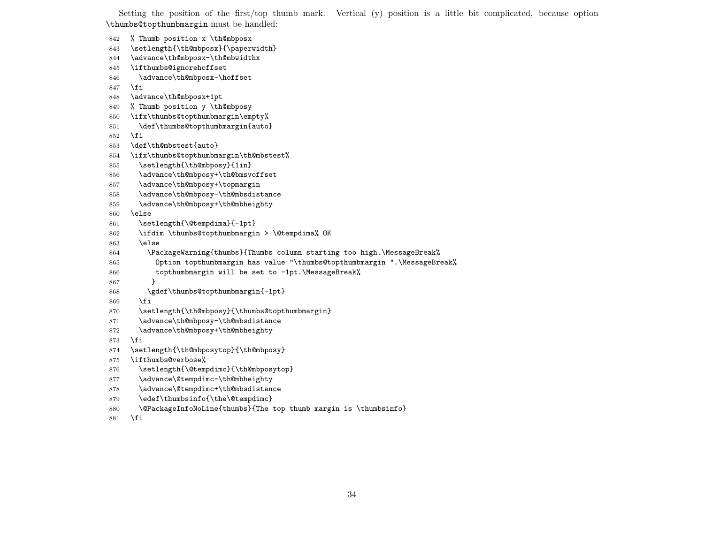Setting the position of the first/top thumb mark. Vertical (y) position is a little bit complicated, because option \thumbs@topthumbmargin must be handled:

```
842 % Thumb position x \th@mbposx
843 \setlength{\th@mbposx}{\paperwidth}
844 \advance\th@mbposx-\th@mbwidthx
845 \ifthumbs@ignorehoffset
846 \advance\th@mbposx-\hoffset
847 \fi
848 \advance\th@mbposx+1pt
849 % Thumb position y \th@mbposy
850 \ifx\thumbs@topthumbmargin\empty%
851 \def\thumbs@topthumbmargin{auto}
852 \fi
853 \def\th@mbstest{auto}
854 \ifx\thumbs@topthumbmargin\th@mbstest%
855 \setlength{\th@mbposy}{1in}
856 \advance\th@mbposy+\th@bmsvoffset
857 \advance\th@mbposy+\topmargin
858 \advance\th@mbposy-\th@mbsdistance
859 \advance\th@mbposy+\th@mbheighty
860 \else
861 \setlength{\@tempdima}{-1pt}
862 \ifdim \thumbs@topthumbmargin > \@tempdima% OK
863 \else
864 \PackageWarning{thumbs}{Thumbs column starting too high.\MessageBreak%
865 Option topthumbmargin has value "\thumbs@topthumbmargin ".\MessageBreak%
866 topthumbmargin will be set to -1pt. \MessageBreak%
867 }
868 \gdef\thumbs@topthumbmargin{-1pt}
869 \fi
870 \setlength{\th@mbposy}{\thumbs@topthumbmargin}
871 \advance\th@mbposy-\th@mbsdistance
872 \advance\th@mbposy+\th@mbheighty
```
- \fi
- \setlength{\th@mbposytop}{\th@mbposy}
- \ifthumbs@verbose%
- \setlength{\@tempdimc}{\th@mbposytop}
- 877 \advance\@tempdimc-\th@mbheighty
- \advance\@tempdimc+\th@mbsdistance
- 879 \edef\thumbsinfo{\the\@tempdimc}
- \@PackageInfoNoLine{thumbs}{The top thumb margin is \thumbsinfo}
- \fi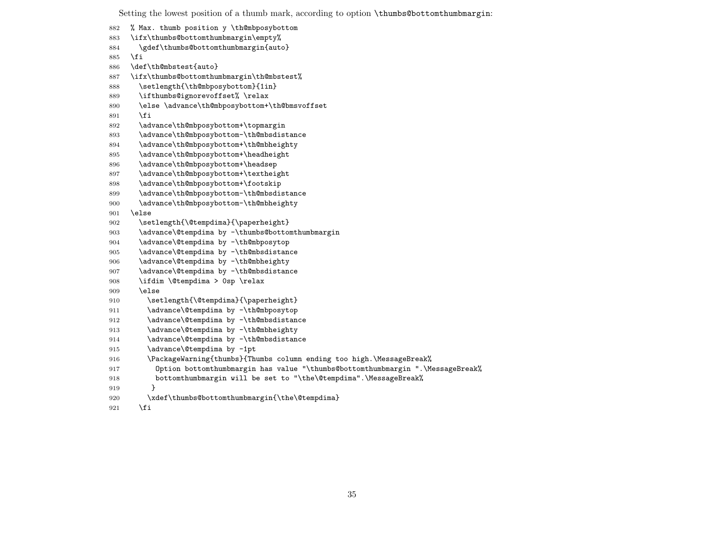Setting the lowest position of a thumb mark, according to option \thumbs@bottomthumbmargin: % Max. thumb position y \th@mbposybottom \ifx\thumbs@bottomthumbmargin\empty% \gdef\thumbs@bottomthumbmargin{auto} \fi \def\th@mbstest{auto} \ifx\thumbs@bottomthumbmargin\th@mbstest% 888 \setlength{\th@mbposybottom}{1in} \ifthumbs@ignorevoffset% \relax \else \advance\th@mbposybottom+\th@bmsvoffset \fi \advance\th@mbposybottom+\topmargin \advance\th@mbposybottom-\th@mbsdistance \advance\th@mbposybottom+\th@mbheighty \advance\th@mbposybottom+\headheight 896 \advance\th@mbposybottom+\headsep \advance\th@mbposybottom+\textheight \advance\th@mbposybottom+\footskip \advance\th@mbposybottom-\th@mbsdistance \advance\th@mbposybottom-\th@mbheighty \else 902 \setlength{\@tempdima}{\paperheight} 903 \advance\@tempdima by -\thumbs@bottomthumbmargin 904 \advance\@tempdima by -\th@mbposytop \advance\@tempdima by -\th@mbsdistance 906 \advance\@tempdima by -\th@mbheighty \advance\@tempdima by -\th@mbsdistance \ifdim \@tempdima > 0sp \relax \else 910 \setlength{\@tempdima}{\paperheight} 911 \advance\@tempdima by -\th@mbposytop 912 \advance\@tempdima by -\th@mbsdistance 913 \advance\@tempdima by -\th@mbheighty 914 \advance\@tempdima by -\th@mbsdistance 915 \advance\@tempdima by -1pt \PackageWarning{thumbs}{Thumbs column ending too high.\MessageBreak% Option bottomthumbmargin has value "\thumbs@bottomthumbmargin ".\MessageBreak% bottomthumbmargin will be set to "\the\@tempdima".\MessageBreak% } 920 \xdef\thumbs@bottomthumbmargin{\the\@tempdima} \fi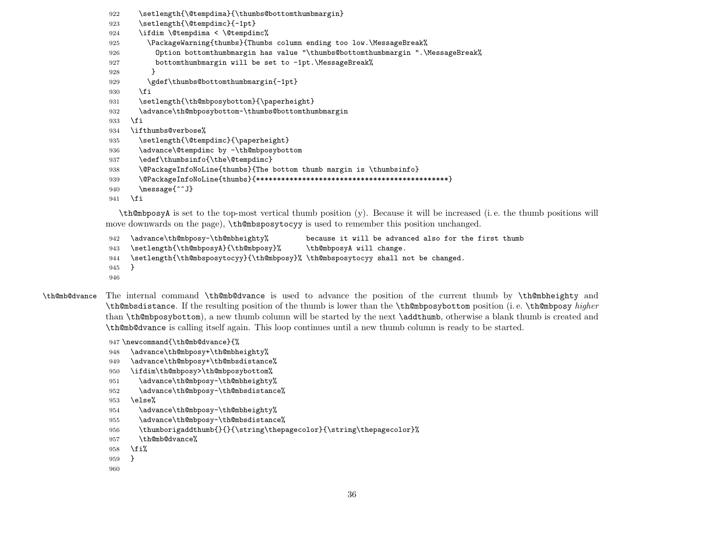- 922 \setlength{\@tempdima}{\thumbs@bottomthumbmargin}
- 923 \setlength{\@tempdimc}{-1pt}
- 924 \ifdim \@tempdima < \@tempdimc%
- 925 \PackageWarning{thumbs}{Thumbs column ending too low.\MessageBreak%
- 926 Option bottomthumbmargin has value "\thumbs@bottomthumbmargin ".\MessageBreak%
- 927 bottomthumbmargin will be set to -1pt. \MessageBreak%
- 928 }
- 929 \gdef\thumbs@bottomthumbmargin{-1pt}
- 930 \fi
- 931 \setlength{\th@mbposybottom}{\paperheight}
- 932 \advance\th@mbposybottom-\thumbs@bottomthumbmargin

933 \fi

```
934 \ifthumbs@verbose%
```
- 935 \setlength{\@tempdimc}{\paperheight}
- 936 \advance\@tempdimc by -\th@mbposybottom
- 937 \edef\thumbsinfo{\the\@tempdimc}
- 938 \@PackageInfoNoLine{thumbs}{The bottom thumb margin is \thumbsinfo}
- 939 \@PackageInfoNoLine{thumbs}{\*\*\*\*\*\*\*\*\*\*\*\*\*\*\*\*\*\*\*\*\*\*\*\*\*\*\*\*\*\*\*\*\*\*\*\*\*\*\*\*\*\*\*\*\*\*}
- 940 \message{^^J}

 $941$  \fi

\th@mbposyA is set to the top-most vertical thumb position (y). Because it will be increased (i. e. the thumb positions will move downwards on the page), \th@mbsposytocyy is used to remember this position unchanged.

```
942 \advance\th@mbposy-\th@mbheighty% because it will be advanced also for the first thumb
943 \setlength{\th@mbposyA}{\th@mbposy}% \th@mbposyA will change.
944 \setlength{\th@mbsposytocyy}{\th@mbposy}% \th@mbsposytocyy shall not be changed.
945 }
946
```
\th@mb@dvance The internal command \th@mb@dvance is used to advance the position of the current thumb by \th@mbheighty and \th@mbsdistance. If the resulting position of the thumb is lower than the \th@mbposybottom position (i. e. \th@mbposy higher than \th@mbposybottom), a new thumb column will be started by the next \addthumb, otherwise a blank thumb is created and \th@mb@dvance is calling itself again. This loop continues until a new thumb column is ready to be started.

947 \newcommand{\th@mb@dvance}{%

```
948 \advance\th@mbposy+\th@mbheighty%
```
- 949 \advance\th@mbposy+\th@mbsdistance%
- 950 \ifdim\th@mbposy>\th@mbposybottom%
- 951 \advance\th@mbposy-\th@mbheighty%

```
952 \advance\th@mbposy-\th@mbsdistance%
```
- 953 \else%
- 954 \advance\th@mbposy-\th@mbheighty%
- 955 \advance\th@mbposy-\th@mbsdistance%
- 956 \thumborigaddthumb{}{}{\string\thepagecolor}{\string\thepagecolor}%
- 957 \th@mb@dvance%

```
958 \fi%
```
- 959 }
- 960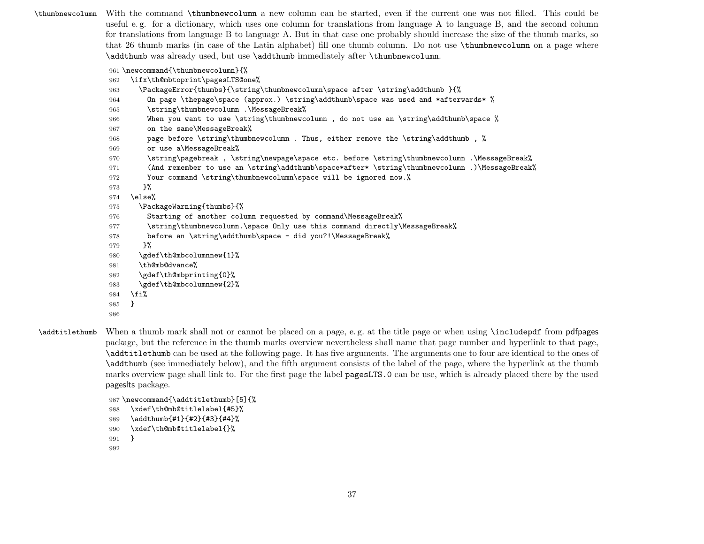\thumbnewcolumn With the command \thumbnewcolumn a new column can be started, even if the current one was not filled. This could be useful e. g. for a dictionary, which uses one column for translations from language A to language B, and the second column for translations from language B to language A. But in that case one probably should increase the size of the thumb marks, so that 26 thumb marks (in case of the Latin alphabet) fill one thumb column. Do not use \thumbnewcolumn on a page where \addthumb was already used, but use \addthumb immediately after \thumbnewcolumn.

\newcommand{\thumbnewcolumn}{%

```
962 \ifx\th@mbtoprint\pagesLTS@one%
```
- \PackageError{thumbs}{\string\thumbnewcolumn\space after \string\addthumb }{%
- On page \thepage\space (approx.) \string\addthumb\space was used and \*afterwards\* %
- \string\thumbnewcolumn .\MessageBreak%
- When you want to use \string\thumbnewcolumn , do not use an \string\addthumb\space %
- on the same\MessageBreak%
- 968 page before \string\thumbnewcolumn . Thus, either remove the \string\addthumb , %
- or use a\MessageBreak%
- \string\pagebreak , \string\newpage\space etc. before \string\thumbnewcolumn .\MessageBreak%
- (And remember to use an \string\addthumb\space\*after\* \string\thumbnewcolumn .)\MessageBreak%
- Your command \string\thumbnewcolumn\space will be ignored now.%
- }%

```
974 \else%
```
- \PackageWarning{thumbs}{%
- 976 Starting of another column requested by command\MessageBreak%
- 977 \string\thumbnewcolumn.\space Only use this command directly\MessageBreak%
- before an \string\addthumb\space did you?!\MessageBreak%
- }%
- \gdef\th@mbcolumnnew{1}%
- \th@mb@dvance%
- \gdef\th@mbprinting{0}%

```
983 \gdef\th@mbcolumnnew{2}%
```
- \fi%
- }
- 
- \addtitlethumb When a thumb mark shall not or cannot be placed on a page, e. g. at the title page or when using \includepdf from pdfpages package, but the reference in the thumb marks overview nevertheless shall name that page number and hyperlink to that page, \addtitlethumb can be used at the following page. It has five arguments. The arguments one to four are identical to the ones of \addthumb (see immediately below), and the fifth argument consists of the label of the page, where the hyperlink at the thumb marks overview page shall link to. For the first page the label pagesLTS.0 can be use, which is already placed there by the used pageslts package.

```
987 \newcommand{\addtitlethumb}[5]{%
988 \xdef\th@mb@titlelabel{#5}%
989 \addthumb{#1}{#2}{#3}{#4}%
990 \xdef\th@mb@titlelabel{}%
```

```
991 }
```

```
992
```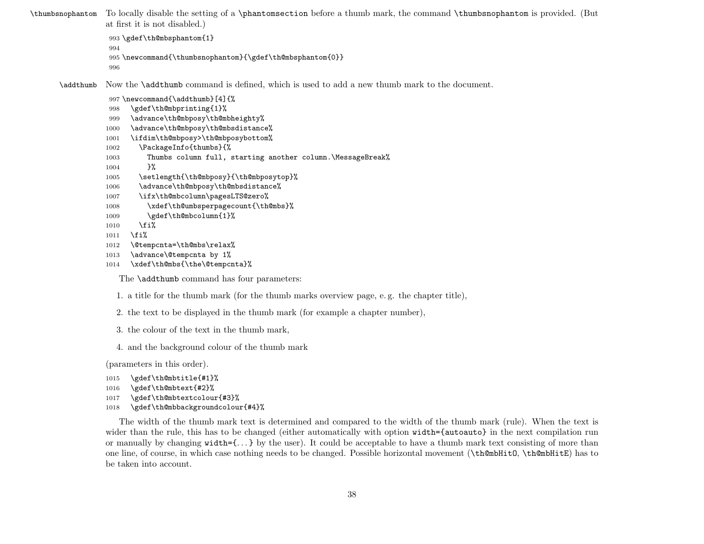\thumbsnophantom To locally disable the setting of a \phantomsection before a thumb mark, the command \thumbsnophantom is provided. (But at first it is not disabled.)

```
993 \gdef\th@mbsphantom{1}
994
995 \newcommand{\thumbsnophantom}{\gdef\th@mbsphantom{0}}
996
```
\addthumb Now the \addthumb command is defined, which is used to add a new thumb mark to the document.

997 \newcommand{\addthumb}[4]{%

- 998 \gdef\th@mbprinting{1}%
- 999 \advance\th@mbposy\th@mbheighty%
- 1000 \advance\th@mbposy\th@mbsdistance%
- 1001 \ifdim\th@mbposy>\th@mbposybottom%
- 1002 \PackageInfo{thumbs}{%
- 1003 Thumbs column full, starting another column.\MessageBreak%
- 1004 }%
- 1005 \setlength{\th@mbposy}{\th@mbposytop}%
- 1006 \advance\th@mbposy\th@mbsdistance%
- 1007 \ifx\th@mbcolumn\pagesLTS@zero%
- 1008 \xdef\th@umbsperpagecount{\th@mbs}%
- 1009 \gdef\th@mbcolumn{1}%
- $1010$  \fi%
- 1011 \fi%
- 1012 \@tempcnta=\th@mbs\relax%
- 1013 \advance\@tempcnta by 1%
- 1014 \xdef\th@mbs{\the\@tempcnta}%

The **\addthumb** command has four parameters:

- 1. a title for the thumb mark (for the thumb marks overview page, e. g. the chapter title),
- 2. the text to be displayed in the thumb mark (for example a chapter number),
- 3. the colour of the text in the thumb mark,
- 4. and the background colour of the thumb mark

(parameters in this order).

```
1015 \gdef\th@mbtitle{#1}%
1016 \gdef\th@mbtext{#2}%
1017 \gdef\th@mbtextcolour{#3}%
1018 \gdef\th@mbbackgroundcolour{#4}%
```
The width of the thumb mark text is determined and compared to the width of the thumb mark (rule). When the text is wider than the rule, this has to be changed (either automatically with option width={autoauto} in the next compilation run or manually by changing width={. . . } by the user). It could be acceptable to have a thumb mark text consisting of more than one line, of course, in which case nothing needs to be changed. Possible horizontal movement (\th@mbHitO, \th@mbHitE) has to be taken into account.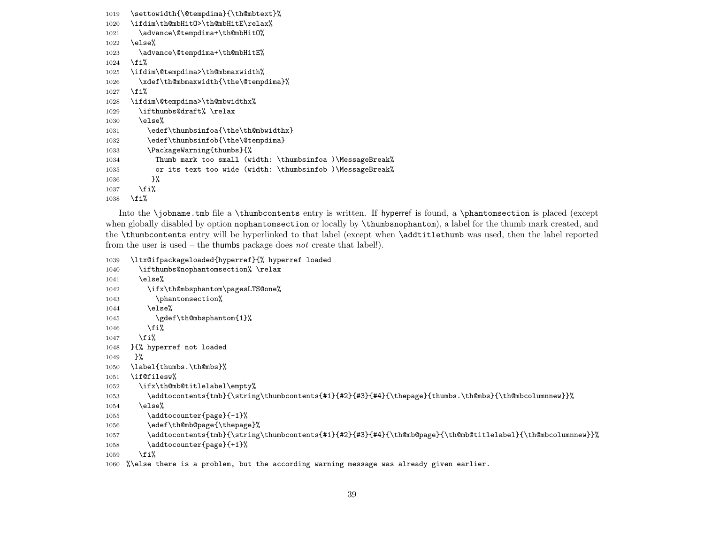```
1019 \settowidth{\@tempdima}{\th@mbtext}%
1020 \ifdim\th@mbHitO>\th@mbHitE\relax%
1021 \advance\@tempdima+\th@mbHitO%
1022 \else%
1023 \advance\@tempdima+\th@mbHitE%
1024 \fi%
1025 \ifdim\@tempdima>\th@mbmaxwidth%
1026 \xdef\th@mbmaxwidth{\the\@tempdima}%
1027 \fi%
1028 \ifdim\@tempdima>\th@mbwidthx%
1029 \ifthumbs@draft% \relax
1030 \else%
1031 \edef\thumbsinfoa{\the\th@mbwidthx}
1032 \edef\thumbsinfob{\the\@tempdima}
1033 \PackageWarning{thumbs}{%
1034 Thumb mark too small (width: \thumbsinfoa )\MessageBreak%
1035 or its text too wide (width: \thumbsinfob )\MessageBreak%
1036 }%
1037 \fi%
1038 \fi%
```
Into the \jobname.tmb file a \thumbcontents entry is written. If hyperref is found, a \phantomsection is placed (except when globally disabled by option nophantomsection or locally by \thumbsnophantom), a label for the thumb mark created, and the \thumbcontents entry will be hyperlinked to that label (except when \addtitlethumb was used, then the label reported from the user is used – the thumbs package does not create that label!).

```
1039 \ltx@ifpackageloaded{hyperref}{% hyperref loaded
1040 \ifthumbs@nophantomsection% \relax
1041 \else%
1042 \ifx\th@mbsphantom\pagesLTS@one%
1043 \phantomsection%
1044 \else%
1045 \gdef\th@mbsphantom{1}%
1046 \fi%
1047 \fi%
1048 }{% hyperref not loaded
1049 }%
1050 \label{thumbs.\th@mbs}%
1051 \if@filesw%
1052 \ifx\th@mb@titlelabel\empty%
1053 \addtocontents{tmb}{\string\thumbcontents{#1}{#2}{#3}{#4}{\thepage}{thumbs.\th@mbs}{\th@mbcolumnnew}}%
1054 \else%
1055 \addtocounter{page}{-1}%
1056 \edef\th@mb@page{\thepage}%
1057 \addtocontents{tmb}{\string\thumbcontents{#1}{#2}{#3}{#4}{\th@mb@page}{\th@mb@titlelabel}{\th@mbcolumnnew}}%
1058 \addtocounter{page}{+1}%
1059 \fi%
```

```
1060 %\else there is a problem, but the according warning message was already given earlier.
```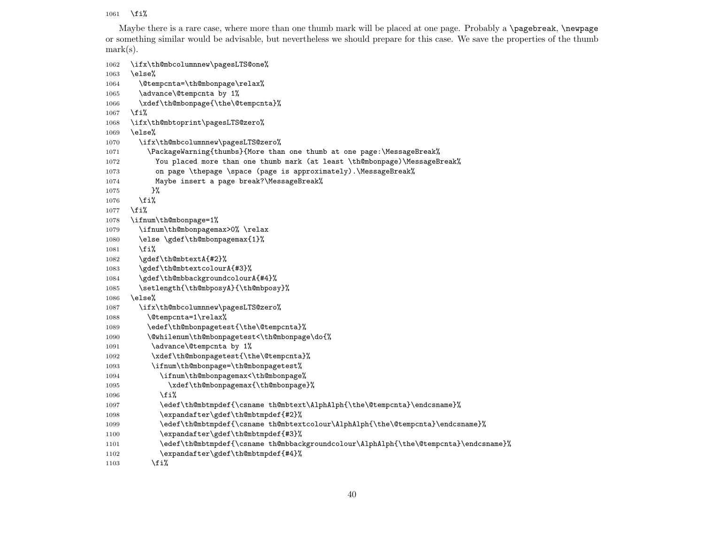1061 \fi%

Maybe there is a rare case, where more than one thumb mark will be placed at one page. Probably a \pagebreak, \newpage or something similar would be advisable, but nevertheless we should prepare for this case. We save the properties of the thumb mark(s).

1062 \ifx\th@mbcolumnnew\pagesLTS@one% 1063 \else% 1064 \@tempcnta=\th@mbonpage\relax% 1065 \advance\@tempcnta by 1% 1066 \xdef\th@mbonpage{\the\@tempcnta}%  $1067$  \fi% 1068 \ifx\th@mbtoprint\pagesLTS@zero% 1069 \else% 1070 \ifx\th@mbcolumnnew\pagesLTS@zero% 1071 \PackageWarning{thumbs}{More than one thumb at one page:\MessageBreak% 1072 You placed more than one thumb mark (at least \th@mbonpage)\MessageBreak% 1073 on page \thepage \space (page is approximately). \MessageBreak% 1074 Maybe insert a page break?\MessageBreak% 1075 }%  $1076$  \fi% 1077 \fi% 1078 \ifnum\th@mbonpage=1% 1079 \ifnum\th@mbonpagemax>0% \relax 1080 \else \gdef\th@mbonpagemax{1}% 1081 \fi% 1082 \gdef\th@mbtextA{#2}% 1083 \gdef\th@mbtextcolourA{#3}% 1084 \gdef\th@mbbackgroundcolourA{#4}% 1085 \setlength{\th@mbposyA}{\th@mbposy}% 1086 \else% 1087 \ifx\th@mbcolumnnew\pagesLTS@zero% 1088 \@tempcnta=1\relax% 1089 \edef\th@mbonpagetest{\the\@tempcnta}% 1090 \@whilenum\th@mbonpagetest<\th@mbonpage\do{% 1091 \advance\@tempcnta by 1% 1092 \xdef\th@mbonpagetest{\the\@tempcnta}% 1093 \ifnum\th@mbonpage=\th@mbonpagetest% 1094 \ifnum\th@mbonpagemax<\th@mbonpage% 1095 \xdef\th@mbonpagemax{\th@mbonpage}%  $1096$  \fi% 1097 \edef\th@mbtmpdef{\csname th@mbtext\AlphAlph{\the\@tempcnta}\endcsname}% 1098 \expandafter\gdef\th@mbtmpdef{#2}% 1099 \edef\th@mbtmpdef{\csname th@mbtextcolour\AlphAlph{\the\@tempcnta}\endcsname}% 1100 \expandafter\gdef\th@mbtmpdef{#3}% 1101 \edef\th@mbtmpdef{\csname th@mbbackgroundcolour\AlphAlph{\the\@tempcnta}\endcsname}% 1102 \expandafter\gdef\th@mbtmpdef{#4}%

 $1103 \qquad \text{ifi%}$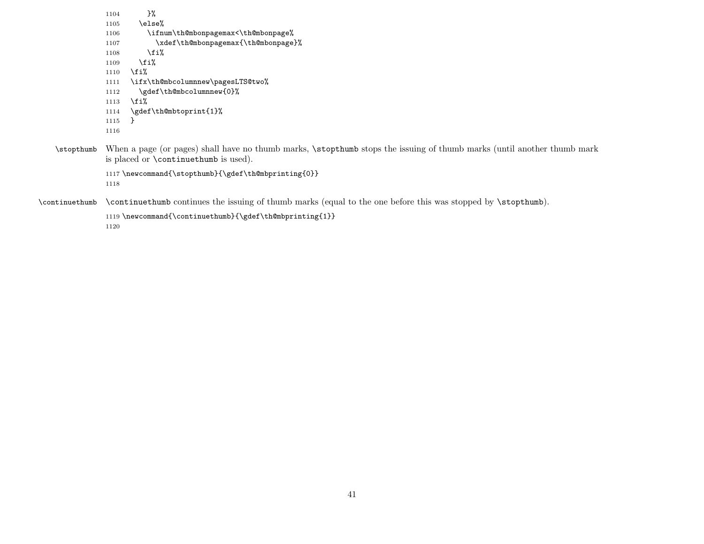```
1104 }%
            1105 \else%
            1106 \ifnum\th@mbonpagemax<\th@mbonpage%
            1107 \xdef\th@mbonpagemax{\th@mbonpage}%
            1108 \overline{\text{f}i\text{}}1109 \overline{\text{f}i\text{}}1110 \fi%
            1111 \ifx\th@mbcolumnnew\pagesLTS@two%
            1112 \gdef\th@mbcolumnnew{0}%
            1113 \fi%
            1114 \gdef\th@mbtoprint{1}%
            1115 }
            1116
\stopthumb When a page (or pages) shall have no thumb marks, \stopthumb stops the issuing of thumb marks (until another thumb mark
            is placed or \continuethumb is used).
            1117 \newcommand{\stopthumb}{\gdef\th@mbprinting{0}}
            1118
```
\continuethumb \continuethumb continues the issuing of thumb marks (equal to the one before this was stopped by \stopthumb).

```
1119 \newcommand{\continuethumb}{\gdef\th@mbprinting{1}}
```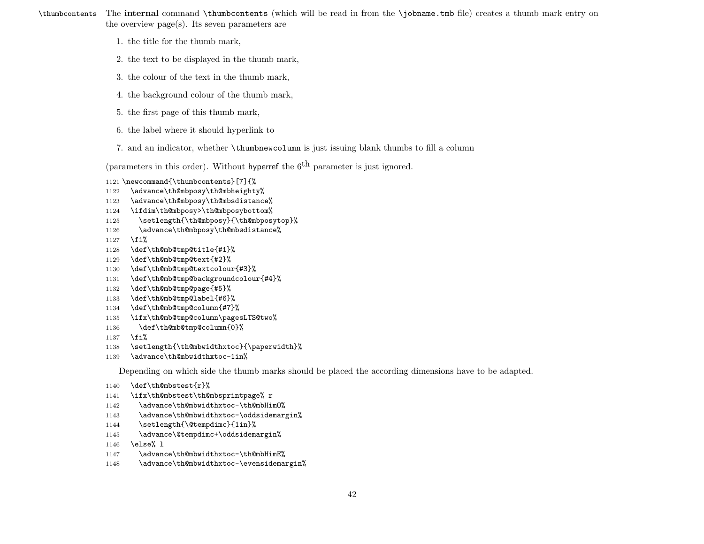\thumbcontents The internal command \thumbcontents (which will be read in from the \jobname.tmb file) creates a thumb mark entry on the overview page(s). Its seven parameters are

- 1. the title for the thumb mark,
- 2. the text to be displayed in the thumb mark,
- 3. the colour of the text in the thumb mark,
- 4. the background colour of the thumb mark,
- 5. the first page of this thumb mark,
- 6. the label where it should hyperlink to
- 7. and an indicator, whether \thumbnewcolumn is just issuing blank thumbs to fill a column

(parameters in this order). Without hyperref the  $6<sup>th</sup>$  parameter is just ignored.

- 1121 \newcommand{\thumbcontents}[7]{%
- 1122 \advance\th@mbposy\th@mbheighty%
- 1123 \advance\th@mbposy\th@mbsdistance%
- 1124 \ifdim\th@mbposy>\th@mbposybottom%
- 1125 \setlength{\th@mbposy}{\th@mbposytop}%
- 1126 \advance\th@mbposy\th@mbsdistance%
- 1127  $\tilde{\mathbf{i}}$
- 1128 \def\th@mb@tmp@title{#1}%
- 1129 \def\th@mb@tmp@text{#2}%
- 1130 \def\th@mb@tmp@textcolour{#3}%
- 1131 \def\th@mb@tmp@backgroundcolour{#4}%
- 1132 \def\th@mb@tmp@page{#5}%
- 1133 \def\th@mb@tmp@label{#6}%
- 1134 \def\th@mb@tmp@column{#7}%
- 1135 \ifx\th@mb@tmp@column\pagesLTS@two%
- 1136 \def\th@mb@tmp@column{0}%
- 1137  $\tilde{\mathbf{i}}$
- 1138 \setlength{\th@mbwidthxtoc}{\paperwidth}%
- 1139 \advance\th@mbwidthxtoc-1in%

Depending on which side the thumb marks should be placed the according dimensions have to be adapted.

- 1140 \def\th@mbstest{r}%
- 1141 \ifx\th@mbstest\th@mbsprintpage% r
- 1142 \advance\th@mbwidthxtoc-\th@mbHimO%
- 1143 \advance\th@mbwidthxtoc-\oddsidemargin%
- 1144 \setlength{\@tempdimc}{1in}%
- 1145 \advance\@tempdimc+\oddsidemargin%
- 1146 \else% l
- 1147 \advance\th@mbwidthxtoc-\th@mbHimE%
- 1148 \advance\th@mbwidthxtoc-\evensidemargin%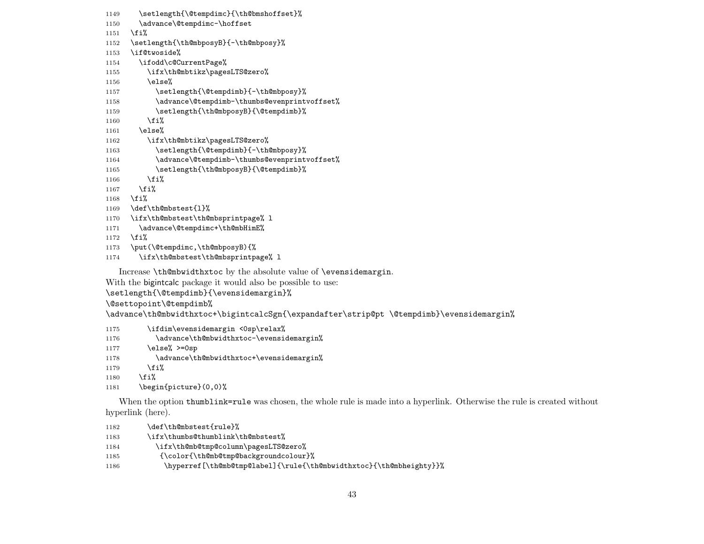1149 \setlength{\@tempdimc}{\th@bmshoffset}% 1150 \advance\@tempdimc-\hoffset 1151 \fi% 1152 \setlength{\th@mbposyB}{-\th@mbposy}% 1153 \if@twoside% 1154 \ifodd\c@CurrentPage% 1155 \ifx\th@mbtikz\pagesLTS@zero% 1156 \else% 1157 \setlength{\@tempdimb}{-\th@mbposy}% 1158 \advance\@tempdimb-\thumbs@evenprintvoffset% 1159 \setlength{\th@mbposyB}{\@tempdimb}%  $1160$  \fi% 1161 \else% 1162 \ifx\th@mbtikz\pagesLTS@zero% 1163 \setlength{\@tempdimb}{-\th@mbposy}% 1164 \advance\@tempdimb-\thumbs@evenprintvoffset% 1165 \setlength{\th@mbposyB}{\@tempdimb}%  $1166$  \fi% 1167  $\overleftrightarrow{100}$ 1168 \fi% 1169 \def\th@mbstest{l}% 1170 \ifx\th@mbstest\th@mbsprintpage% l 1171 \advance\@tempdimc+\th@mbHimE% 1172 \fi% 1173 \put(\@tempdimc,\th@mbposyB){%

```
1174 \ifx\th@mbstest\th@mbsprintpage% l
```
Increase \th@mbwidthxtoc by the absolute value of \evensidemargin.

With the bigintcalc package it would also be possible to use:

\setlength{\@tempdimb}{\evensidemargin}%

\@settopoint\@tempdimb%

\advance\th@mbwidthxtoc+\bigintcalcSgn{\expandafter\strip@pt \@tempdimb}\evensidemargin%

- 1175 \ifdim\evensidemargin <0sp\relax%
- 1176 \advance\th@mbwidthxtoc-\evensidemargin%
- 1177 \else% >=0sp
- 1178 \advance\th@mbwidthxtoc+\evensidemargin%
- 1179  $\overline{\text{if}}$
- 1180  $\overline{\text{f}i\text{}}$

```
1181 \begin{picture}(0,0)%
```
When the option thumblink=rule was chosen, the whole rule is made into a hyperlink. Otherwise the rule is created without hyperlink (here).

| 1182 | \def\th@mbstest{rule}%                                              |
|------|---------------------------------------------------------------------|
| 1183 | \ifx\thumbs@thumblink\th@mbstest%                                   |
| 1184 | \ifx\th@mb@tmp@column\pagesLTS@zero%                                |
| 1185 | {\color{\th@mb@tmp@backgroundcolour}%                               |
| 1186 | \hyperref[\th@mb@tmp@label]{\rule{\th@mbwidthxtoc}{\th@mbheighty}}% |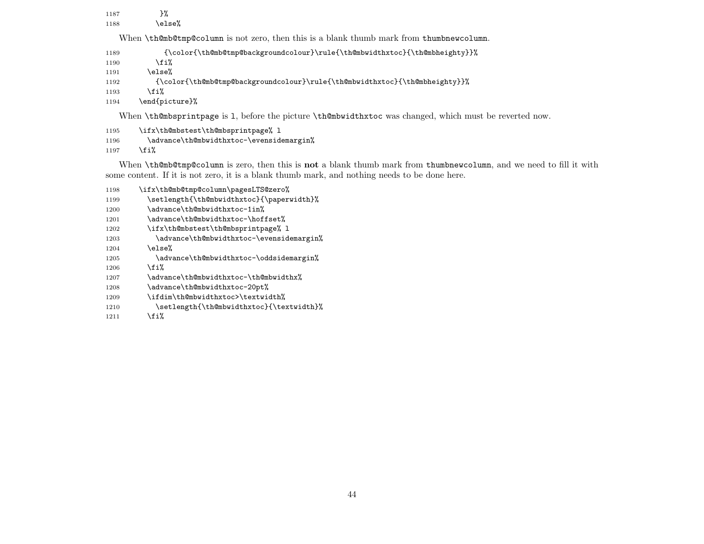1187 }% 1188 \else% When \th@mb@tmp@column is not zero, then this is a blank thumb mark from thumbnewcolumn. 1189 {\color{\th@mb@tmp@backgroundcolour}\rule{\th@mbwidthxtoc}{\th@mbheighty}}%  $1190 \quad \text{if } \mathbf{i}$ 1191 \else% 1192 {\color{\th@mb@tmp@backgroundcolour}\rule{\th@mbwidthxtoc}{\th@mbheighty}}% 1193  $\overrightarrow{fi}$ 1194 \end{picture}%

When \th@mbsprintpage is 1, before the picture \th@mbwidthxtoc was changed, which must be reverted now.

```
1195 \ifx\th@mbstest\th@mbsprintpage% l
1196 \advance\th@mbwidthxtoc-\evensidemargin%
1197 \overline{\text{f}i\text{}}
```
When **\th@mb@tmp@column** is zero, then this is **not** a blank thumb mark from thumbnewcolumn, and we need to fill it with some content. If it is not zero, it is a blank thumb mark, and nothing needs to be done here.

1198 \ifx\th@mb@tmp@column\pagesLTS@zero% 1199 \setlength{\th@mbwidthxtoc}{\paperwidth}% 1200 \advance\th@mbwidthxtoc-1in% 1201 \advance\th@mbwidthxtoc-\hoffset% 1202 \ifx\th@mbstest\th@mbsprintpage% l 1203 \advance\th@mbwidthxtoc-\evensidemargin% 1204 \else% 1205 \advance\th@mbwidthxtoc-\oddsidemargin%  $1206$  \fi% 1207 \advance\th@mbwidthxtoc-\th@mbwidthx% 1208 \advance\th@mbwidthxtoc-20pt% 1209 \ifdim\th@mbwidthxtoc>\textwidth% 1210 \setlength{\th@mbwidthxtoc}{\textwidth}% 1211  $\overrightarrow{fi}$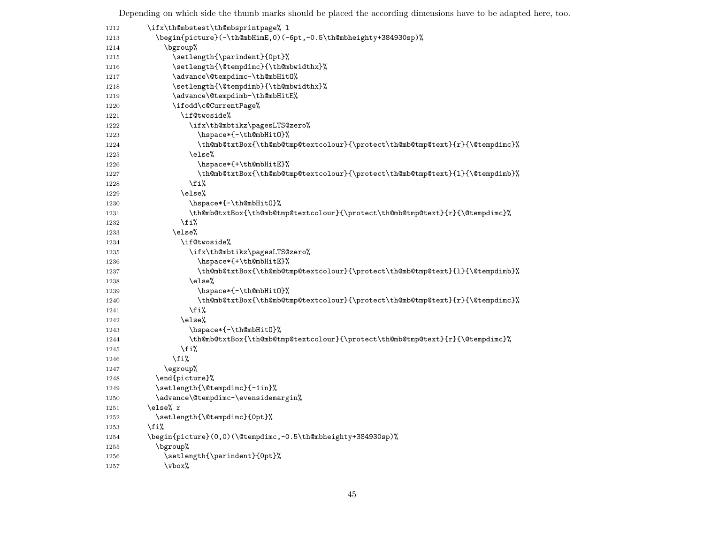Depending on which side the thumb marks should be placed the according dimensions have to be adapted here, too.

| 1212 | \ifx\th@mbstest\th@mbsprintpage% 1                                            |
|------|-------------------------------------------------------------------------------|
| 1213 | \begin{picture}(-\th@mbHimE,0)(-6pt,-0.5\th@mbheighty+384930sp)%              |
| 1214 | \bgroup%                                                                      |
| 1215 | \setlength{\parindent}{0pt}%                                                  |
| 1216 | \setlength{\@tempdimc}{\th@mbwidthx}%                                         |
| 1217 | \advance\@tempdimc-\th@mbHit0%                                                |
| 1218 | \setlength{\@tempdimb}{\th@mbwidthx}%                                         |
| 1219 | \advance\@tempdimb-\th@mbHitE%                                                |
| 1220 | \ifodd\c@CurrentPage%                                                         |
| 1221 | \if@twoside%                                                                  |
| 1222 | \ifx\th@mbtikz\pagesLTS@zero%                                                 |
| 1223 | \hspace*{-\th@mbHit0}%                                                        |
| 1224 | \th@mb@txtBox{\th@mb@tmp@textcolour}{\protect\th@mb@tmp@text}{r}{\@tempdimc}% |
| 1225 | \else%                                                                        |
| 1226 | \hspace*{+\th@mbHitE}%                                                        |
| 1227 | \th@mb@txtBox{\th@mb@tmp@textcolour}{\protect\th@mb@tmp@text}{1}{\@tempdimb}% |
| 1228 | \fi%                                                                          |
| 1229 | \else%                                                                        |
| 1230 | \hspace*{-\th@mbHit0}%                                                        |
| 1231 | \th@mb@txtBox{\th@mb@tmp@textcolour}{\protect\th@mb@tmp@text}{r}{\@tempdimc}% |
| 1232 | \fi%                                                                          |
| 1233 | \else%                                                                        |
| 1234 | \if@twoside%                                                                  |
| 1235 | \ifx\th@mbtikz\pagesLTS@zero%                                                 |
| 1236 | \hspace*{+\th@mbHitE}%                                                        |
| 1237 | \th@mb@txtBox{\th@mb@tmp@textcolour}{\protect\th@mb@tmp@text}{1}{\@tempdimb}% |
| 1238 | \else%                                                                        |
| 1239 | \hspace*{-\th@mbHit0}%                                                        |
| 1240 | \th@mb@txtBox{\th@mb@tmp@textcolour}{\protect\th@mb@tmp@text}{r}{\@tempdimc}% |
| 1241 | \fi%                                                                          |
| 1242 | \else%                                                                        |
| 1243 | \hspace*{-\th@mbHit0}%                                                        |
| 1244 | \th@mb@txtBox{\th@mb@tmp@textcolour}{\protect\th@mb@tmp@text}{r}{\@tempdimc}% |
| 1245 | \fi%                                                                          |
| 1246 | \fi%                                                                          |
| 1247 | \egroup%                                                                      |
| 1248 | \end{picture}%                                                                |
| 1249 | \setlength{\@tempdimc}{-1in}%                                                 |
| 1250 | \advance\@tempdimc-\evensidemargin%                                           |
| 1251 | \else% r                                                                      |
| 1252 | \setlength{\@tempdimc}{Opt}%                                                  |
| 1253 | \fi%                                                                          |
| 1254 | \begin{picture}(0,0)(\@tempdimc,-0.5\th@mbheighty+384930sp)%                  |
| 1255 | \bgroup%                                                                      |
| 1256 | \setlength{\parindent}{0pt}%                                                  |
| 1257 | \vbox%                                                                        |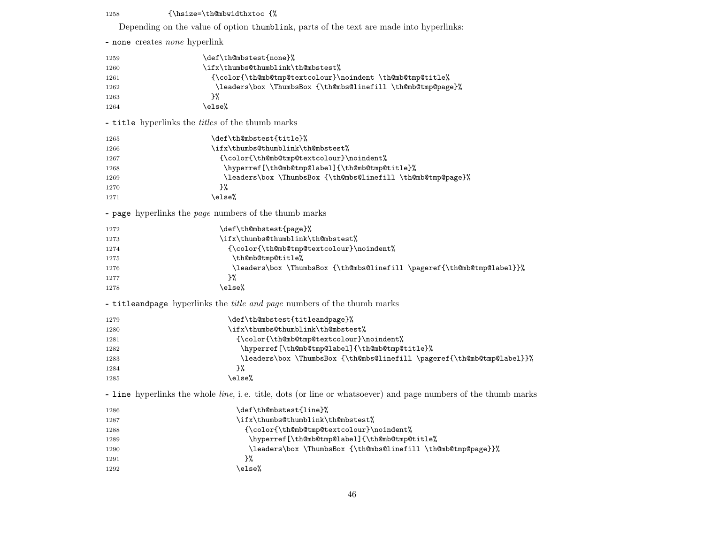### 1258 {\hsize=\th@mbwidthxtoc {%

Depending on the value of option thumblink, parts of the text are made into hyperlinks:

|                                      | $\frac{1}{2}$ . The state of special $\frac{1}{2}$<br>ext, paras or the tent are made mos                              |
|--------------------------------------|------------------------------------------------------------------------------------------------------------------------|
| - none creates <i>none</i> hyperlink |                                                                                                                        |
| 1259                                 | \def\th@mbstest{none}%                                                                                                 |
| 1260                                 | \ifx\thumbs@thumblink\th@mbstest%                                                                                      |
| 1261                                 | {\color{\th@mb@tmp@textcolour}\noindent \th@mb@tmp@title%                                                              |
| 1262                                 | \leaders\box \ThumbsBox {\th@mbs@linefill \th@mb@tmp@page}%                                                            |
| 1263                                 | }‰                                                                                                                     |
| 1264                                 | \else%                                                                                                                 |
|                                      | - title hyperlinks the titles of the thumb marks                                                                       |
| 1265                                 | \def\th@mbstest{title}%                                                                                                |
| 1266                                 | \ifx\thumbs@thumblink\th@mbstest%                                                                                      |
| 1267                                 | {\color{\th@mb@tmp@textcolour}\noindent%                                                                               |
| 1268                                 | \hyperref[\th@mb@tmp@label]{\th@mb@tmp@title}%                                                                         |
| 1269                                 | \leaders\box \ThumbsBox {\th@mbs@linefill \th@mb@tmp@page}%                                                            |
| 1270                                 | }%                                                                                                                     |
| 1271                                 | \else%                                                                                                                 |
|                                      | - page hyperlinks the <i>page</i> numbers of the thumb marks                                                           |
| 1272                                 | \def\th@mbstest{page}%                                                                                                 |
| 1273                                 | \ifx\thumbs@thumblink\th@mbstest%                                                                                      |
| 1274                                 | {\color{\th@mb@tmp@textcolour}\noindent%                                                                               |
| 1275                                 | \th@mb@tmp@title%                                                                                                      |
| 1276                                 | \leaders\box \ThumbsBox {\th@mbs@linefill \pageref{\th@mb@tmp@label}}%                                                 |
| 1277                                 | }‰                                                                                                                     |
| 1278                                 | \else%                                                                                                                 |
|                                      | - titleandpage hyperlinks the title and page numbers of the thumb marks                                                |
| 1279                                 | \def\th@mbstest{titleandpage}%                                                                                         |
| 1280                                 | \ifx\thumbs@thumblink\th@mbstest%                                                                                      |
| 1281                                 | {\color{\th@mb@tmp@textcolour}\noindent%                                                                               |
| 1282                                 | \hyperref[\th@mb@tmp@label]{\th@mb@tmp@title}%                                                                         |
| 1283                                 | \leaders\box \ThumbsBox {\th@mbs@linefill \pageref{\th@mb@tmp@label}}%                                                 |
| 1284                                 | }‰                                                                                                                     |
| 1285                                 | \else%                                                                                                                 |
|                                      | - line hyperlinks the whole <i>line</i> , i.e. title, dots (or line or whatsoever) and page numbers of the thumb marks |
| 1286                                 | \def\th@mbstest{line}%                                                                                                 |
| 1287                                 | \ifx\thumbs@thumblink\th@mbstest%                                                                                      |
| 1288                                 | {\color{\th@mb@tmp@textcolour}\noindent%                                                                               |
| 1289                                 | \hyperref[\th@mb@tmp@label]{\th@mb@tmp@title%                                                                          |
| 1290                                 | \leaders\box \ThumbsBox {\th@mbs@linefill \th@mb@tmp@page}}%                                                           |
| 1291                                 | ን%                                                                                                                     |
| 1292                                 | \else%                                                                                                                 |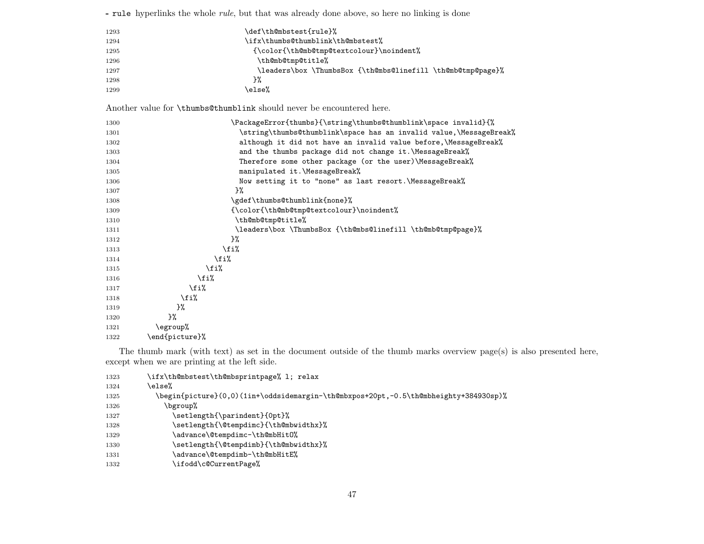|      | - rule hyperlinks the whole <i>rule</i> , but that was already done above, so here no linking is done |  |
|------|-------------------------------------------------------------------------------------------------------|--|
| 1293 | \def\th@mbstest{rule}%                                                                                |  |
| 1294 | \ifx\thumbs@thumblink\th@mbstest%                                                                     |  |
| 1295 | {\color{\th@mb@tmp@textcolour}\noindent%                                                              |  |
| 1296 | \th@mb@tmp@title%                                                                                     |  |
| 1297 | \leaders\box \ThumbsBox {\th@mbs@linefill \th@mb@tmp@page}%                                           |  |
| 1298 | }%                                                                                                    |  |
| 1299 | \else%                                                                                                |  |
|      | Another value for \thumbs@thumblink should never be encountered here.                                 |  |
| 1300 | \PackageError{thumbs}{\string\thumbs@thumblink\space invalid}{%                                       |  |
| 1301 | \string\thumbs@thumblink\space has an invalid value,\MessageBreak%                                    |  |
| 1302 | although it did not have an invalid value before, \MessageBreak%                                      |  |
| 1303 | and the thumbs package did not change it. \MessageBreak%                                              |  |
| 1304 | Therefore some other package (or the user)\MessageBreak%                                              |  |
| 1305 | manipulated it.\MessageBreak%                                                                         |  |
| 1306 | Now setting it to "none" as last resort. \MessageBreak%                                               |  |
| 1307 | 3%                                                                                                    |  |
| 1308 | \gdef\thumbs@thumblink{none}%                                                                         |  |
| 1309 | {\color{\th@mb@tmp@textcolour}\noindent%                                                              |  |
| 1310 | \th@mb@tmp@title%                                                                                     |  |
| 1311 | \leaders\box \ThumbsBox {\th@mbs@linefill \th@mb@tmp@page}%                                           |  |
| 1312 | }%                                                                                                    |  |
| 1313 | \fi%                                                                                                  |  |
| 1314 | \fi%                                                                                                  |  |
| 1315 | \fi%                                                                                                  |  |
| 1316 | \fi%                                                                                                  |  |
| 1317 | \fi%                                                                                                  |  |
| 1318 | \fi%                                                                                                  |  |
| 1319 | }‰                                                                                                    |  |
| 1320 | }%                                                                                                    |  |
| 1321 | \egroup%                                                                                              |  |
| 1322 | \end{picture}%                                                                                        |  |

The thumb mark (with text) as set in the document outside of the thumb marks overview page(s) is also presented here, except when we are printing at the left side.

| 1323 | \ifx\th@mbstest\th@mbsprintpage% l; relax                                            |
|------|--------------------------------------------------------------------------------------|
| 1324 | else%)                                                                               |
| 1325 | \begin{picture}(0,0)(1in+\oddsidemargin-\th@mbxpos+20pt,-0.5\th@mbheighty+384930sp)% |
| 1326 | \bgroup%                                                                             |
| 1327 | \setlength{\parindent}{0pt}%                                                         |
| 1328 | \setlength{\@tempdimc}{\th@mbwidthx}%                                                |
| 1329 | \advance\@tempdimc-\th@mbHit0%                                                       |
| 1330 | \setlength{\@tempdimb}{\th@mbwidthx}%                                                |
| 1331 | \advance\@tempdimb-\th@mbHitE%                                                       |
| 1332 | \ifodd\c@CurrentPage%                                                                |
|      |                                                                                      |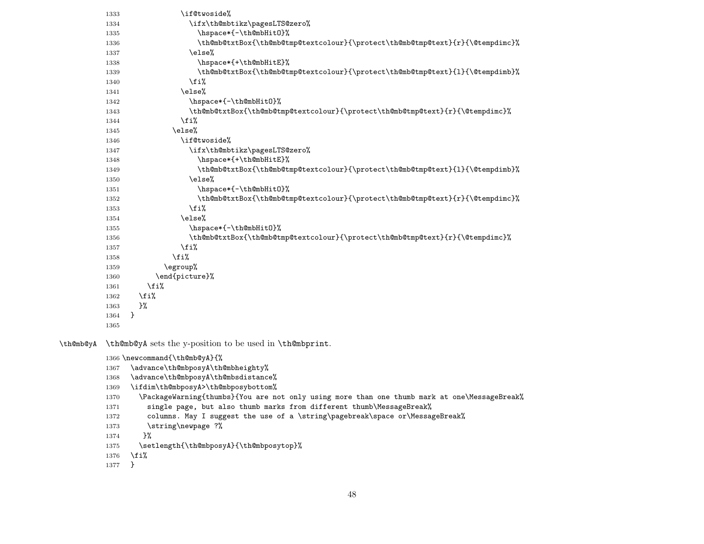| 1333 | \if@twoside%                                                                  |
|------|-------------------------------------------------------------------------------|
| 1334 | \ifx\th@mbtikz\pagesLTS@zero%                                                 |
| 1335 | \hspace*{-\th@mbHit0}%                                                        |
| 1336 | \th@mb@txtBox{\th@mb@tmp@textcolour}{\protect\th@mb@tmp@text}{r}{\@tempdimc}% |
| 1337 | \else%                                                                        |
| 1338 | \hspace*{+\th@mbHitE}%                                                        |
| 1339 | \th@mb@txtBox{\th@mb@tmp@textcolour}{\protect\th@mb@tmp@text}{1}{\@tempdimb}% |
| 1340 | \fi%                                                                          |
| 1341 | \else%                                                                        |
| 1342 | \hspace*{-\th@mbHit0}%                                                        |
| 1343 | \th@mb@txtBox{\th@mb@tmp@textcolour}{\protect\th@mb@tmp@text}{r}{\@tempdimc}% |
| 1344 | \fi%                                                                          |
| 1345 | \else%                                                                        |
| 1346 | \if@twoside%                                                                  |
| 1347 | \ifx\th@mbtikz\pagesLTS@zero%                                                 |
| 1348 | \hspace*{+\th@mbHitE}%                                                        |
| 1349 | \th@mb@txtBox{\th@mb@tmp@textcolour}{\protect\th@mb@tmp@text}{1}{\@tempdimb}% |
| 1350 | \else%                                                                        |
| 1351 | \hspace*{-\th@mbHit0}%                                                        |
| 1352 | \th@mb@txtBox{\th@mb@tmp@textcolour}{\protect\th@mb@tmp@text}{r}{\@tempdimc}% |
| 1353 | \fi%                                                                          |
| 1354 | \else%                                                                        |
| 1355 | \hspace*{-\th@mbHit0}%                                                        |
| 1356 | \th@mb@txtBox{\th@mb@tmp@textcolour}{\protect\th@mb@tmp@text}{r}{\@tempdimc}% |
| 1357 | \fi%                                                                          |
| 1358 | \fi%                                                                          |
| 1359 | \egroup%                                                                      |
| 1360 | \end{picture}%                                                                |
| 1361 | \fi%                                                                          |
| 1362 | \fi%                                                                          |
| 1363 | }‰                                                                            |
| 1364 | }                                                                             |
| 1365 |                                                                               |

\th@mb@yA \th@mb@yA sets the y-position to be used in \th@mbprint.

```
1366 \newcommand{\th@mb@yA}{%
```

```
1367 \advance\th@mbposyA\th@mbheighty%
```

```
1368 \advance\th@mbposyA\th@mbsdistance%
```

```
1369 \ifdim\th@mbposyA>\th@mbposybottom%
```

```
1370 \PackageWarning{thumbs}{You are not only using more than one thumb mark at one\MessageBreak%
```

```
1371 single page, but also thumb marks from different thumb\MessageBreak%
```
- 1372 columns. May I suggest the use of a \string\pagebreak\space or\MessageBreak%
- 1373 \string\newpage ?%

```
1374 }%
```

```
1375 \setlength{\th@mbposyA}{\th@mbposytop}%
```

```
1376 \fi%
```

```
1377 }
```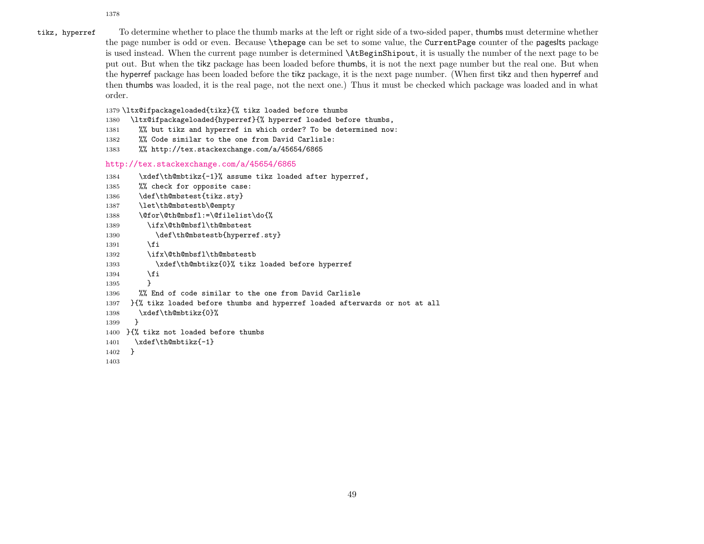1378

tikz, hyperref To determine whether to place the thumb marks at the left or right side of a two-sided paper, thumbs must determine whether the page number is odd or even. Because \thepage can be set to some value, the CurrentPage counter of the pageslts package is used instead. When the current page number is determined \AtBeginShipout, it is usually the number of the next page to be put out. But when the tikz package has been loaded before thumbs, it is not the next page number but the real one. But when the hyperref package has been loaded before the tikz package, it is the next page number. (When first tikz and then hyperref and then thumbs was loaded, it is the real page, not the next one.) Thus it must be checked which package was loaded and in what order.

1379 \ltx@ifpackageloaded{tikz}{% tikz loaded before thumbs

- 1380 \ltx@ifpackageloaded{hyperref}{% hyperref loaded before thumbs,
- 1381 %% but tikz and hyperref in which order? To be determined now:
- 1382 %% Code similar to the one from David Carlisle:
- 1383 %% http://tex.stackexchange.com/a/45654/6865

<http://tex.stackexchange.com/a/45654/6865>

1384 \xdef\th@mbtikz{-1}% assume tikz loaded after hyperref,

```
1385 %% check for opposite case:
1386 \def\th@mbstest{tikz.sty}
1387 \let\th@mbstestb\@empty
1388 \@for\@th@mbsfl:=\@filelist\do{%
1389 \ifx\@th@mbsfl\th@mbstest
1390 \def\th@mbstestb{hyperref.sty}
1391 \fi
1392 \ifx\@th@mbsfl\th@mbstestb
1393 \xdef\th@mbtikz{0}% tikz loaded before hyperref
1394 \fi
1395 }
1396 %% End of code similar to the one from David Carlisle
1397 }{% tikz loaded before thumbs and hyperref loaded afterwards or not at all
1398 \xdef\th@mbtikz{0}%
1399 }
1400 }{% tikz not loaded before thumbs
1401 \xdef\th@mbtikz{-1}
1402 }
```

```
1403
```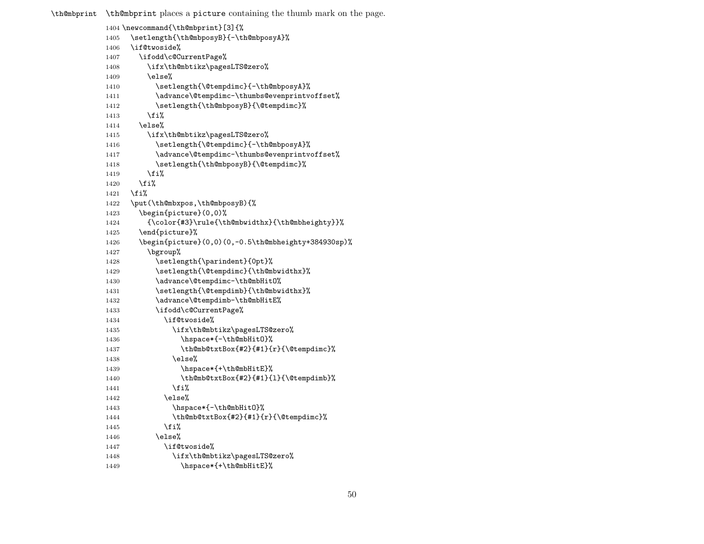\th@mbprint \th@mbprint places a picture containing the thumb mark on the page.

|              | 1404 \newcommand{\th@mbprint}[3]{%                              |
|--------------|-----------------------------------------------------------------|
| 1405         | \setlength{\th@mbposyB}{-\th@mbposyA}%                          |
| 1406         | \if@twoside%                                                    |
| 1407         | \ifodd\c@CurrentPage%                                           |
| 1408         | \ifx\th@mbtikz\pagesLTS@zero%                                   |
| 1409         | \else%                                                          |
| 1410         | \setlength{\@tempdimc}{-\th@mbposyA}%                           |
| 1411         | \advance\@tempdimc-\thumbs@evenprintvoffset%                    |
| 1412         | \setlength{\th@mbposyB}{\@tempdimc}%                            |
| 1413         | \fi%                                                            |
| 1414         | \else%                                                          |
| 1415         | \ifx\th@mbtikz\pagesLTS@zero%                                   |
| 1416         | \setlength{\@tempdimc}{-\th@mbposyA}%                           |
| 1417         | \advance\@tempdimc-\thumbs@evenprintvoffset%                    |
| 1418         | \setlength{\th@mbposyB}{\@tempdimc}%                            |
| 1419         | \fi%                                                            |
| 1420         | \fi%                                                            |
| 1421         | \fi%                                                            |
| 1422         | \put(\th@mbxpos,\th@mbposyB){%                                  |
| 1423         | \begin{picture}(0,0)%                                           |
| 1424         | {\color{#3}\rule{\th@mbwidthx}{\th@mbheighty}}%                 |
| 1425         | \end{picture}%                                                  |
| 1426         | \begin{picture}(0,0)(0,-0.5\th@mbheighty+384930sp)%             |
| 1427         | \bgroup%                                                        |
| 1428         | \setlength{\parindent}{0pt}%                                    |
| 1429         | \setlength{\@tempdimc}{\th@mbwidthx}%                           |
| 1430         | \advance\@tempdimc-\th@mbHit0%                                  |
| 1431         | \setlength{\@tempdimb}{\th@mbwidthx}%                           |
| 1432         | \advance\@tempdimb-\th@mbHitE%                                  |
| 1433         | \ifodd\c@CurrentPage%                                           |
| 1434         | \if@twoside%                                                    |
| 1435         | \ifx\th@mbtikz\pagesLTS@zero%                                   |
| 1436         | \hspace*{-\th@mbHit0}%<br>\th@mb@txtBox{#2}{#1}{r}{\@tempdimc}% |
| 1437         | \else%                                                          |
| 1438<br>1439 | \hspace*{+\th@mbHitE}%                                          |
| 1440         | \th@mb@txtBox{#2}{#1}{1}{\@tempdimb}%                           |
| 1441         | \fi%                                                            |
| 1442         | \else%                                                          |
| 1443         | \hspace*{-\th@mbHit0}%                                          |
| 1444         | \th@mb@txtBox{#2}{#1}{r}{\@tempdimc}%                           |
| 1445         | \fi%                                                            |
| 1446         | \else%                                                          |
| 1447         | \if@twoside%                                                    |
| 1448         | \ifx\th@mbtikz\pagesLTS@zero%                                   |
| 1449         | \hspace*{+\th@mbHitE}%                                          |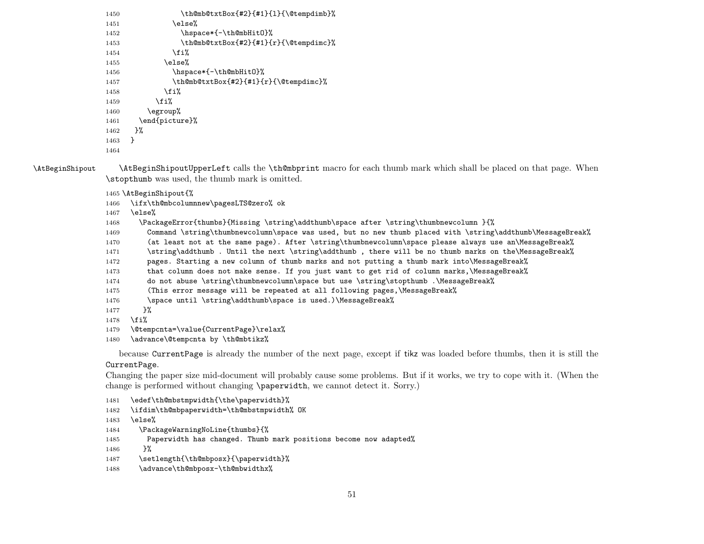```
1450 \th@mb@txtBox{#2}{#1}{l}{\@tempdimb}%
1451 \text{else} \text{else} \text{else} \text{else} \text{else} \text{else} \text{else} \text{else} \text{else} \text{else} \text{le} \text{le} and \text{le} \text{le} \text{le} \text{le} \text{le} \text{le} \text{le} \text{le} \text{le} \text{le} \text{le} \text{le} \text{le} \text{le} \1452 \hspace*{-\th@mbHitO}%
1453 \th@mb@txtBox{#2}{#1}{r}{\@tempdimc}%
1454 \quad \text{if } \mathbf{i}1455 \else%
1456 \hspace*{-\th@mbHitO}%
1457 \th@mb@txtBox{#2}{#1}{r}{\@tempdimc}%
1458 \fi%
1459 \fi%
1460 \egroup%
1461 \end{picture}%
1462 }%
1463 }
1464
```
\AtBeginShipout \AtBeginShipoutUpperLeft calls the \th@mbprint macro for each thumb mark which shall be placed on that page. When \stopthumb was used, the thumb mark is omitted.

1465 \AtBeginShipout{%

1466 \ifx\th@mbcolumnnew\pagesLTS@zero% ok

1467 \else%

1468 \PackageError{thumbs}{Missing \string\addthumb\space after \string\thumbnewcolumn }{%

1469 Command \string\thumbnewcolumn\space was used, but no new thumb placed with \string\addthumb\MessageBreak%

1470 (at least not at the same page). After \string\thumbnewcolumn\space please always use an\MessageBreak%

1471 \string\addthumb . Until the next \string\addthumb , there will be no thumb marks on the\MessageBreak%

1472 pages. Starting a new column of thumb marks and not putting a thumb mark into\MessageBreak%

- 1473 that column does not make sense. If you just want to get rid of column marks, \MessageBreak%
- 1474 do not abuse \string\thumbnewcolumn\space but use \string\stopthumb .\MessageBreak%
- 1475 (This error message will be repeated at all following pages,\MessageBreak%

```
1476 \space until \string\addthumb\space is used.)\MessageBreak%
```
1477 }%

```
1478 \fi%
```

```
1479 \@tempcnta=\value{CurrentPage}\relax%
```
1480 \advance\@tempcnta by \th@mbtikz%

because CurrentPage is already the number of the next page, except if tikz was loaded before thumbs, then it is still the CurrentPage.

Changing the paper size mid-document will probably cause some problems. But if it works, we try to cope with it. (When the change is performed without changing \paperwidth, we cannot detect it. Sorry.)

```
1481 \edef\th@mbstmpwidth{\the\paperwidth}%
```
- 1482 \ifdim\th@mbpaperwidth=\th@mbstmpwidth% OK
- 1483 \else%
- 1484 \PackageWarningNoLine{thumbs}{%
- 1485 Paperwidth has changed. Thumb mark positions become now adapted%
- 1486 }%

```
1487 \setlength{\th@mbposx}{\paperwidth}%
```
1488 \advance\th@mbposx-\th@mbwidthx%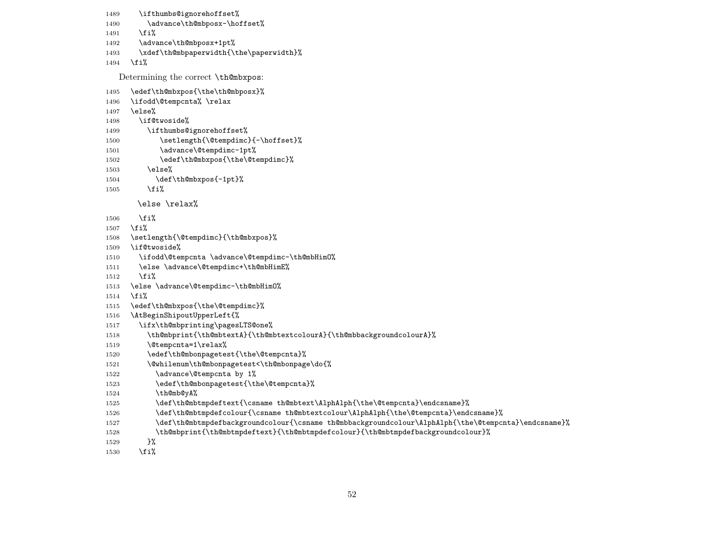```
1489 \ifthumbs@ignorehoffset%
1490 \advance\th@mbposx-\hoffset%
1491 \fi%
1492 \advance\th@mbposx+1pt%
1493 \xdef\th@mbpaperwidth{\the\paperwidth}%
1494 \fi%
  Determining the correct \th@mbxpos:
1495 \edef\th@mbxpos{\the\th@mbposx}%
1496 \ifodd\@tempcnta% \relax
1497 \else%
1498 \if@twoside%
1499 \ifthumbs@ignorehoffset%
1500 \setlength{\@tempdimc}{-\hoffset}%
1501 \advance\@tempdimc-1pt%
1502 \edef\th@mbxpos{\the\@tempdimc}%
1503 \else%
1504 \def\th@mbxpos{-1pt}%
1505 \fi%
      \else \relax%
1506 \fi%
1507 \fi%
1508 \setlength{\@tempdimc}{\th@mbxpos}%
1509 \if@twoside%
1510 \ifodd\@tempcnta \advance\@tempdimc-\th@mbHimO%
1511 \else \advance\@tempdimc+\th@mbHimE%
1512 \fi%
1513 \else \advance\@tempdimc-\th@mbHimO%
1514 \fi%
1515 \edef\th@mbxpos{\the\@tempdimc}%
1516 \AtBeginShipoutUpperLeft{%
1517 \ifx\th@mbprinting\pagesLTS@one%
1518 \th@mbprint{\th@mbtextA}{\th@mbtextcolourA}{\th@mbbackgroundcolourA}%
1519 \@tempcnta=1\relax%
1520 \edef\th@mbonpagetest{\the\@tempcnta}%
1521 \@whilenum\th@mbonpagetest<\th@mbonpage\do{%
1522 \advance\@tempcnta by 1%
1523 \edef\th@mbonpagetest{\the\@tempcnta}%
1524 \th@mb@yA%
1525 \def\th@mbtmpdeftext{\csname th@mbtext\AlphAlph{\the\@tempcnta}\endcsname}%
1526 \def\th@mbtmpdefcolour{\csname th@mbtextcolour\AlphAlph{\the\@tempcnta}\endcsname}%
1527 \def\th@mbtmpdefbackgroundcolour{\csname th@mbbackgroundcolour\AlphAlph{\the\@tempcnta}\endcsname}%
1528 \th@mbprint{\th@mbtmpdeftext}{\th@mbtmpdefcolour}{\th@mbtmpdefbackgroundcolour}%
```
1529 }%

 $1530$  \fi%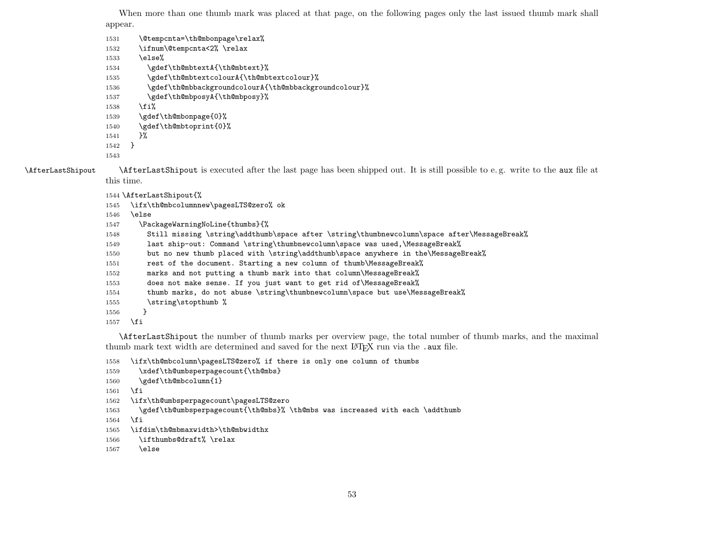When more than one thumb mark was placed at that page, on the following pages only the last issued thumb mark shall appear.

- 1531 \@tempcnta=\th@mbonpage\relax% \ifnum\@tempcnta<2% \relax \else% 1534 \gdef\th@mbtextA{\th@mbtext}% \gdef\th@mbtextcolourA{\th@mbtextcolour}% \gdef\th@mbbackgroundcolourA{\th@mbbackgroundcolour}% 1537 \gdef\th@mbposyA{\th@mbposy}% \fi% 1539 \gdef\th@mbonpage{0}% 1540 \gdef\th@mbtoprint{0}% }% }
- 

\AfterLastShipout \AfterLastShipout is executed after the last page has been shipped out. It is still possible to e. g. write to the aux file at this time.

```
1544 \AfterLastShipout{%
```

```
1545 \ifx\th@mbcolumnnew\pagesLTS@zero% ok
```
- \else
- \PackageWarningNoLine{thumbs}{%
- 1548 Still missing \string\addthumb\space after \string\thumbnewcolumn\space after\MessageBreak%
- last ship-out: Command \string\thumbnewcolumn\space was used,\MessageBreak%
- 1550 but no new thumb placed with \string\addthumb\space anywhere in the\MessageBreak%
- rest of the document. Starting a new column of thumb\MessageBreak%
- marks and not putting a thumb mark into that column\MessageBreak%
- does not make sense. If you just want to get rid of\MessageBreak%
- 1554 thumb marks, do not abuse \string\thumbnewcolumn\space but use\MessageBreak%
- 1555 \string\stopthumb %
- }
- \fi

\AfterLastShipout the number of thumb marks per overview page, the total number of thumb marks, and the maximal thumb mark text width are determined and saved for the next LAT<sub>EX</sub> run via the . aux file.

\ifx\th@mbcolumn\pagesLTS@zero% if there is only one column of thumbs

```
1559 \xdef\th@umbsperpagecount{\th@mbs}
```

```
1560 \gdef\th@mbcolumn{1}
```

```
1561 \fi
```
- \ifx\th@umbsperpagecount\pagesLTS@zero
- \gdef\th@umbsperpagecount{\th@mbs}% \th@mbs was increased with each \addthumb

```
1564 \fi
```

```
1565 \ifdim\th@mbmaxwidth>\th@mbwidthx
```

```
1566 \ifthumbs@draft% \relax
```

```
1567 \else
```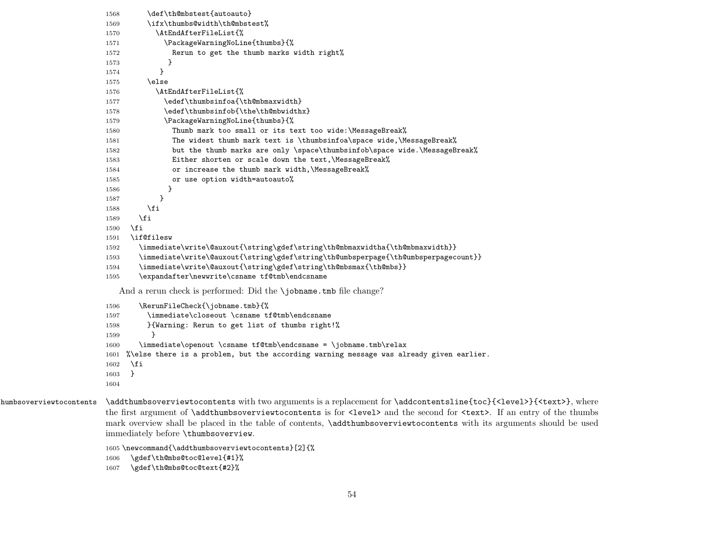```
1568 \def\th@mbstest{autoauto}
                      1569 \ifx\thumbs@width\th@mbstest%
                      1570 \AtEndAfterFileList{%
                      1571 \PackageWarningNoLine{thumbs}{%
                      1572 Rerun to get the thumb marks width right%
                      1573 }
                      1574 }
                      1575 \else
                      1576 \AtEndAfterFileList{%
                      1577 \edef\thumbsinfoa{\th@mbmaxwidth}
                      1578 \edef\thumbsinfob{\the\th@mbwidthx}
                      1579 \PackageWarningNoLine{thumbs}{%
                      1580 Thumb mark too small or its text too wide:\MessageBreak%
                      1581 The widest thumb mark text is \thumbsinfoa\space wide,\MessageBreak%
                      1582 but the thumb marks are only \space\thumbsinfob\space wide.\MessageBreak%
                      1583 Either shorten or scale down the text,\MessageBreak%
                      1584 or increase the thumb mark width,\MessageBreak%
                      1585 or use option width=autoauto%
                      1586 }
                      1587 }
                      1588 \fi
                      1589 \fi
                      1590 \fi
                      1591 \if@filesw
                      1592 \immediate\write\@auxout{\string\gdef\string\th@mbmaxwidtha{\th@mbmaxwidth}}
                      1593 \immediate\write\@auxout{\string\gdef\string\th@umbsperpage{\th@umbsperpagecount}}
                      1594 \immediate\write\@auxout{\string\gdef\string\th@mbsmax{\th@mbs}}
                      1595 \expandafter\newwrite\csname tf@tmb\endcsname
                         And a rerun check is performed: Did the \iobname.tmb file change?
                      1596 \RerunFileCheck{\jobname.tmb}{%
                      1597 \immediate\closeout \csname tf@tmb\endcsname
                      1598 }{Warning: Rerun to get list of thumbs right!%
                      1599 }
                      1600 \immediate\openout \csname tf@tmb\endcsname = \jobname.tmb\relax
                      1601 %\else there is a problem, but the according warning message was already given earlier.
                      1602 \fi
                      1603 }
                      1604
humbsoverviewtocontents \addthumbsoverviewtocontents with two arguments is a replacement for \addcontentsline{toc}{<level>}{<text>}, where
                      the first argument of \addthumbsoverviewtocontents is for <level> and the second for <text>. If an entry of the thumbs
                      mark overview shall be placed in the table of contents, \addthumbsoverviewtocontents with its arguments should be used
                      immediately before \thumbsoverview.
                      1605 \newcommand{\addthumbsoverviewtocontents}[2]{%
                      1606 \gdef\th@mbs@toc@level{#1}%
                      1607 \gdef\th@mbs@toc@text{#2}%
```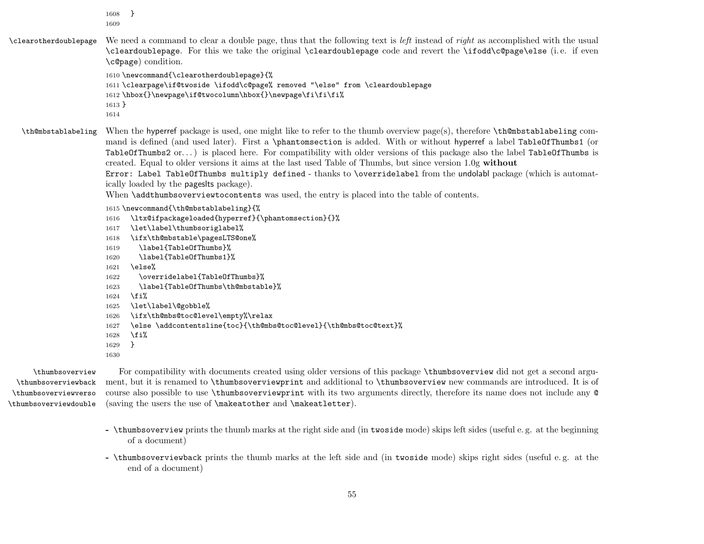1608 } 1609

\clearotherdoublepage We need a command to clear a double page, thus that the following text is *left* instead of *right* as accomplished with the usual \cleardoublepage. For this we take the original \cleardoublepage code and revert the \ifodd\c@page\else (i. e. if even \c@page) condition.

> 1610 \newcommand{\clearotherdoublepage}{% 1611 \clearpage\if@twoside \ifodd\c@page% removed "\else" from \cleardoublepage 1612 \hbox{}\newpage\if@twocolumn\hbox{}\newpage\fi\fi\fi% 1613 } 1614

\th@mbstablabeling When the hyperref package is used, one might like to refer to the thumb overview page(s), therefore \th@mbstablabeling command is defined (and used later). First a \phantomsection is added. With or without hyperref a label TableOfThumbs1 (or TableOfThumbs2 or. . . ) is placed here. For compatibility with older versions of this package also the label TableOfThumbs is created. Equal to older versions it aims at the last used Table of Thumbs, but since version 1.0g without Error: Label TableOfThumbs multiply defined - thanks to \overridelabel from the undolabl package (which is automatically loaded by the pageslts package).

When **\addthumbsoverviewtocontents** was used, the entry is placed into the table of contents.

```
1615 \newcommand{\th@mbstablabeling}{%
```

```
1616 \ltx@ifpackageloaded{hyperref}{\phantomsection}{}%
```
- 1617 \let\label\thumbsoriglabel%
- 1618 \ifx\th@mbstable\pagesLTS@one%
- 1619 \label{TableOfThumbs}%
- 1620 \label{TableOfThumbs1}%
- 1621 \else%
- 1622 \overridelabel{TableOfThumbs}%
- 1623 \label{TableOfThumbs\th@mbstable}%
- $1624$  \fi%

```
1625 \let\label\@gobble%
```
- 1626 \ifx\th@mbs@toc@level\empty%\relax
- 1627 \else \addcontentsline{toc}{\th@mbs@toc@level}{\th@mbs@toc@text}%
- $1628$  \fi%
- 1629 }
- 1630

\thumbsoverviewback \thumbsoverviewverso \thumbsoverviewdouble

\thumbsoverview For compatibility with documents created using older versions of this package \thumbsoverview did not get a second argu ment, but it is renamed to \thumbsoverviewprint and additional to \thumbsoverview new commands are introduced. It is of course also possible to use \thumbsoverviewprint with its two arguments directly, therefore its name does not include any @ (saving the users the use of \makeatother and \makeatletter).

- \thumbsoverview prints the thumb marks at the right side and (in twoside mode) skips left sides (useful e. g. at the beginning of a document)
- \thumbsoverviewback prints the thumb marks at the left side and (in twoside mode) skips right sides (useful e. g. at the end of a document)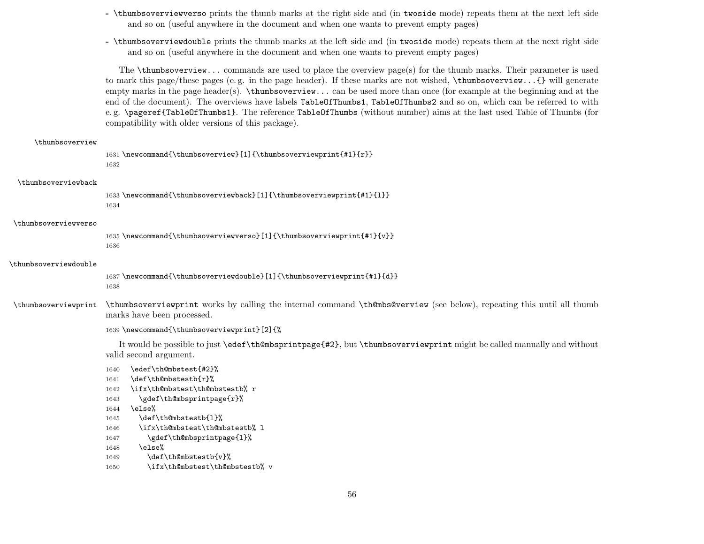- \thumbsoverviewverso prints the thumb marks at the right side and (in twoside mode) repeats them at the next left side and so on (useful anywhere in the document and when one wants to prevent empty pages)
- \thumbsoverviewdouble prints the thumb marks at the left side and (in twoside mode) repeats them at the next right side and so on (useful anywhere in the document and when one wants to prevent empty pages)

The  $\tt$ thumbsoverview... commands are used to place the overview page(s) for the thumb marks. Their parameter is used to mark this page/these pages (e. g. in the page header). If these marks are not wished, \thumbsoverview...{} will generate empty marks in the page header(s).  $\t$ thumbsoverview... can be used more than once (for example at the beginning and at the end of the document). The overviews have labels TableOfThumbs1, TableOfThumbs2 and so on, which can be referred to with e. g. \pageref{TableOfThumbs1}. The reference TableOfThumbs (without number) aims at the last used Table of Thumbs (for compatibility with older versions of this package).

#### \thumbsoverview

```
1631 \newcommand{\thumbsoverview}[1]{\thumbsoverviewprint{#1}{r}}
1632
```
#### \thumbsoverviewback

1633 \newcommand{\thumbsoverviewback}[1]{\thumbsoverviewprint{#1}{l}} 1634

#### \thumbsoverviewverso

1635 \newcommand{\thumbsoverviewverso}[1]{\thumbsoverviewprint{#1}{v}} 1636

#### \thumbsoverviewdouble

1637 \newcommand{\thumbsoverviewdouble}[1]{\thumbsoverviewprint{#1}{d}} 1638

\thumbsoverviewprint \thumbsoverviewprint works by calling the internal command \th@mbs@verview (see below), repeating this until all thumb marks have been processed.

```
1639 \newcommand{\thumbsoverviewprint}[2]{%
```
It would be possible to just \edef\th@mbsprintpage{#2}, but \thumbsoverviewprint might be called manually and without valid second argument.

```
1640 \edef\th@mbstest{#2}%
1641 \def\th@mbstestb{r}%
```
1642 \ifx\th@mbstest\th@mbstestb% r

```
1643 \gdef\th@mbsprintpage{r}%
```

```
1644 \else%
```

```
1645 \def\th@mbstestb{1}%
```

```
1646 \ifx\th@mbstest\th@mbstestb% l
```

```
1647 \gdef\th@mbsprintpage{1}%
```

```
1648 \else%
```

```
1649 \def\th@mbstestb{v}%
```

```
1650 \ifx\th@mbstest\th@mbstestb% v
```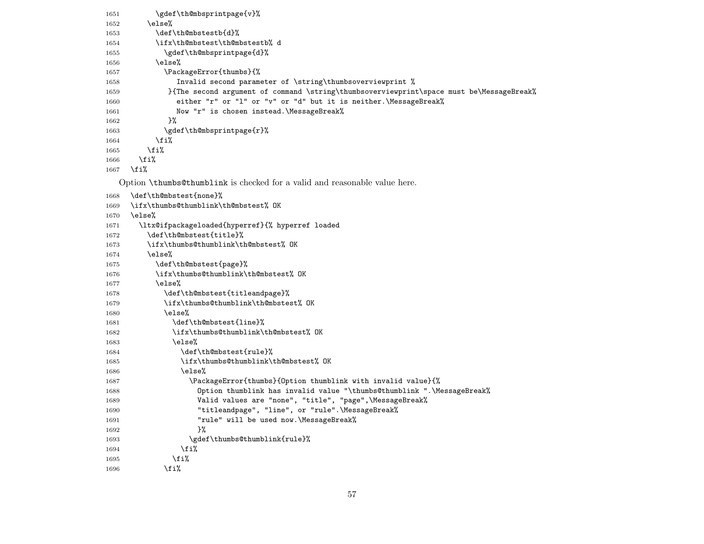```
1651 \gdef\th@mbsprintpage{v}%
1652 \else%
1653 \def\th@mbstestb{d}%
1654 \ifx\th@mbstest\th@mbstestb% d
1655 \gdef\th@mbsprintpage{d}%
1656 \else%
1657 \PackageError{thumbs}{%
1658 Invalid second parameter of \string\thumbsoverviewprint %
1659 }{The second argument of command \string\thumbsoverviewprint\space must be\MessageBreak%
1660 either "r" or "l" or "v" or "d" but it is neither.\MessageBreak%
1661 Now "r" is chosen instead. \MessageBreak%
1662 }%
1663 \gdef\th@mbsprintpage{r}%
1664 \fi%
1665 \fi%
1666 \fi%
1667 \fi%
  Option \thumbs@thumblink is checked for a valid and reasonable value here.
1668 \def\th@mbstest{none}%
1669 \ifx\thumbs@thumblink\th@mbstest% OK
1670 \else%
1671 \ltx@ifpackageloaded{hyperref}{% hyperref loaded
1672 \def\th@mbstest{title}%
1673 \ifx\thumbs@thumblink\th@mbstest% OK
1674 \else%
1675 \def\th@mbstest{page}%
1676 \ifx\thumbs@thumblink\th@mbstest% OK
1677 \else%
1678 \def\th@mbstest{titleandpage}%
1679 \ifx\thumbs@thumblink\th@mbstest% OK
1680 \text{le } \text{le }1681 \def\th@mbstest{line}%
1682 \ifx\thumbs@thumblink\th@mbstest% OK
1683 \else%
1684 \def\th@mbstest{rule}%
1685 \ifx\thumbs@thumblink\th@mbstest% OK
1686 \else%
1687 \PackageError{thumbs}{Option thumblink with invalid value}{%
1688 Option thumblink has invalid value "\thumbs@thumblink ".\MessageBreak%
1689 Valid values are "none", "title", "page",\MessageBreak%
1690 "titleandpage", "line", or "rule".\MessageBreak%
1691 "rule" will be used now. \MessageBreak%
1692 }%
1693 \gdef\thumbs@thumblink{rule}%
1694 \quad \text{if } \mathbf{\hat{i}}1695 \fi%
1696 \fi%
```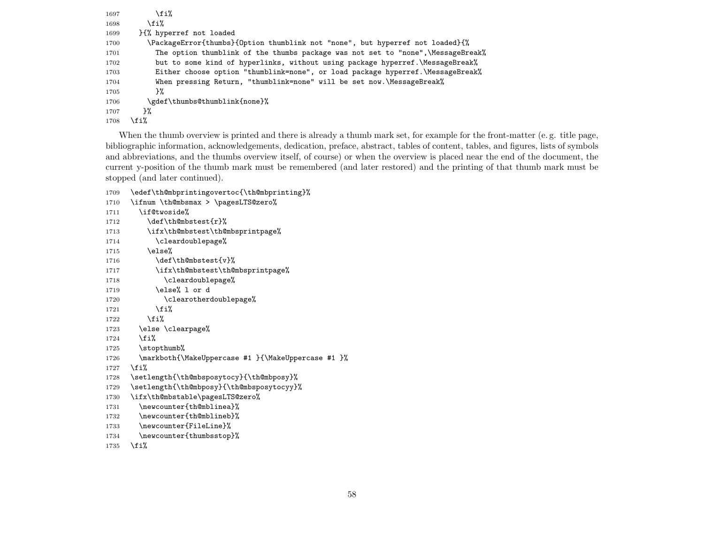| 1697 | \fi%                                                                             |
|------|----------------------------------------------------------------------------------|
| 1698 | \fi%                                                                             |
| 1699 | H% hyperref not loaded                                                           |
| 1700 | \PackageError{thumbs}{0ption thumblink not "none", but hyperref not loaded}{%    |
| 1701 | The option thumblink of the thumbs package was not set to "none", \MessageBreak% |
| 1702 | but to some kind of hyperlinks, without using package hyperref. \MessageBreak%   |
| 1703 | Either choose option "thumblink=none", or load package hyperref. \MessageBreak%  |
| 1704 | When pressing Return, "thumblink=none" will be set now.\MessageBreak%            |
| 1705 | ን%                                                                               |
| 1706 | \gdef\thumbs@thumblink{none}%                                                    |
| 1707 | }‰                                                                               |
| 1708 | ∖fi%                                                                             |

When the thumb overview is printed and there is already a thumb mark set, for example for the front-matter (e.g. title page, bibliographic information, acknowledgements, dedication, preface, abstract, tables of content, tables, and figures, lists of symbols and abbreviations, and the thumbs overview itself, of course) or when the overview is placed near the end of the document, the current y-position of the thumb mark must be remembered (and later restored) and the printing of that thumb mark must be stopped (and later continued).

```
1709 \edef\th@mbprintingovertoc{\th@mbprinting}%
1710 \ifnum \th@mbsmax > \pagesLTS@zero%
1711 \if@twoside%
1712 \def\th@mbstest{r}%
1713 \ifx\th@mbstest\th@mbsprintpage%
1714 \cleardoublepage%
1715 \else%
1716 \def\th@mbstest{v}%
1717 \ifx\th@mbstest\th@mbsprintpage%
1718 \cleardoublepage%
1719 \else% 1 or d
1720 \clearotherdoublepage%
1721 \qquad \qquad \text{if } i\text{''}1722 \overrightarrow{1722}1723 \else \clearpage%
1724 \fi%
1725 \stopthumb%
1726 \markboth{\MakeUppercase #1 }{\MakeUppercase #1 }%
1727 \fi%
1728 \setlength{\th@mbsposytocy}{\th@mbposy}%
1729 \setlength{\th@mbposy}{\th@mbsposytocyy}%
1730 \ifx\th@mbstable\pagesLTS@zero%
1731 \newcounter{th@mblinea}%
1732 \newcounter{th@mblineb}%
1733 \newcounter{FileLine}%
1734 \newcounter{thumbsstop}%
```

```
1735 \fi%
```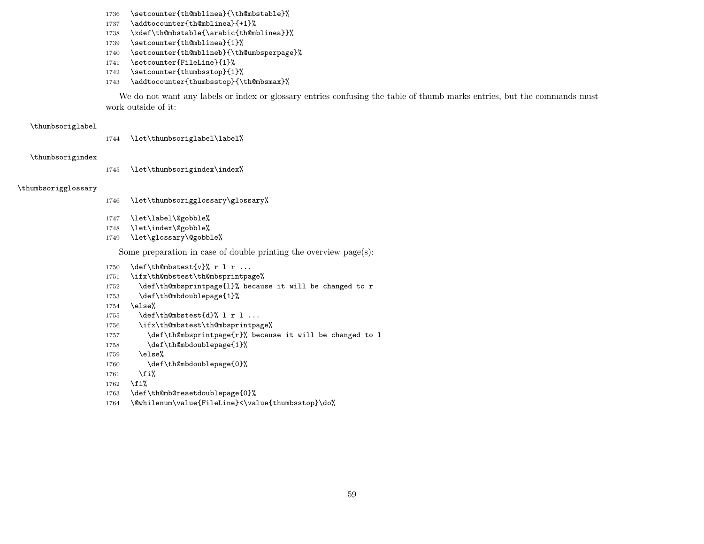- 1736 \setcounter{th@mblinea}{\th@mbstable}%
- 1737 \addtocounter{th@mblinea}{+1}%
- 1738 \xdef\th@mbstable{\arabic{th@mblinea}}%
- 1739 \setcounter{th@mblinea}{1}%
- 1740 \setcounter{th@mblineb}{\th@umbsperpage}%
- 1741 \setcounter{FileLine}{1}%
- 1742 \setcounter{thumbsstop}{1}%
- 1743 \addtocounter{thumbsstop}{\th@mbsmax}%

We do not want any labels or index or glossary entries confusing the table of thumb marks entries, but the commands must work outside of it:

#### \thumbsoriglabel

1744 \let\thumbsoriglabel\label%

#### \thumbsorigindex

1745 \let\thumbsorigindex\index%

#### \thumbsorigglossary

- 1746 \let\thumbsorigglossary\glossary%
- 1747 \let\label\@gobble%
- 1748 \let\index\@gobble%
- 1749 \let\glossary\@gobble%

Some preparation in case of double printing the overview page(s):

- 1750  $\det\th$ embstest $\{v\}$  r l r ...
- 1751 \ifx\th@mbstest\th@mbsprintpage%
- 1752 \def\th@mbsprintpage{l}% because it will be changed to r
- 1753 \def\th@mbdoublepage{1}%
- 1754 \else%
- 1755  $\det\th\mathbb{C}$  and  $1755$   $\det\th\mathbb{C}$
- 1756 \ifx\th@mbstest\th@mbsprintpage%
- 1757 \def\th@mbsprintpage{r}% because it will be changed to l
- 1758 \def\th@mbdoublepage{1}%
- 1759 \else%
- 1760 \def\th@mbdoublepage{0}%
- $1761$  \fi%
- 1762 \fi%
- 1763 \def\th@mb@resetdoublepage{0}%
- 1764 \@whilenum\value{FileLine}<\value{thumbsstop}\do%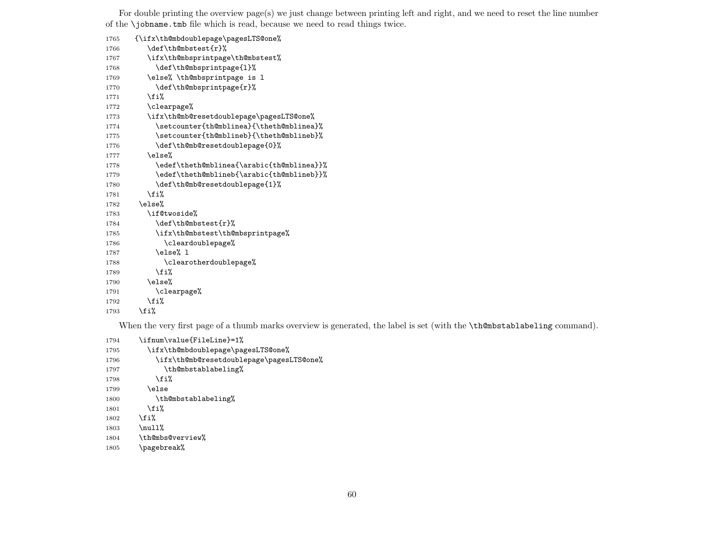For double printing the overview page(s) we just change between printing left and right, and we need to reset the line number of the \jobname.tmb file which is read, because we need to read things twice.

| 1765 | {\ifx\th@mbdoublepage\pagesLTS@one%       |
|------|-------------------------------------------|
| 1766 | \def\th@mbstest{r}%                       |
| 1767 | \ifx\th@mbsprintpage\th@mbstest%          |
| 1768 | \def\th@mbsprintpage{1}%                  |
| 1769 | \else% \th@mbsprintpage is l              |
| 1770 | \def\th@mbsprintpage{r}%                  |
| 1771 | \fi%                                      |
| 1772 | \clearpage%                               |
| 1773 | \ifx\th@mb@resetdoublepage\pagesLTS@one%  |
| 1774 | \setcounter{th@mblinea}{\theth@mblinea}%  |
| 1775 | \setcounter{th@mblineb}{\theth@mblineb}%  |
| 1776 | \def\th@mb@resetdoublepage{0}%            |
| 1777 | \else%                                    |
| 1778 | \edef\theth@mblinea{\arabic{th@mblinea}}% |
| 1779 | \edef\theth@mblineb{\arabic{th@mblineb}}% |
| 1780 | \def\th@mb@resetdoublepage{1}%            |
| 1781 | \fi%                                      |
| 1782 | \else%                                    |
| 1783 | \if@twoside%                              |
| 1784 | \def\th@mbstest{r}%                       |
| 1785 | \ifx\th@mbstest\th@mbsprintpage%          |
| 1786 | \cleardoublepage%                         |
| 1787 | \else% 1                                  |
| 1788 | \clearotherdoublepage%                    |
| 1789 | \fi%                                      |
| 1790 | \else%                                    |
| 1791 | \clearpage%                               |
| 1792 | \fi%                                      |
| 1793 | \fi%                                      |

When the very first page of a thumb marks overview is generated, the label is set (with the \th@mbstablabeling command).

1794 \ifnum\value{FileLine}=1% 1795 \ifx\th@mbdoublepage\pagesLTS@one% \ifx\th@mb@resetdoublepage\pagesLTS@one% 1797 \th@mbstablabeling% 1798  $\overleftrightarrow{fi}$ 1799 \else 1800 \th@mbstablabeling% 1801  $\overrightarrow{1801}$ 1802 \fi% 1803  $\null\$  \th@mbs@verview% \pagebreak%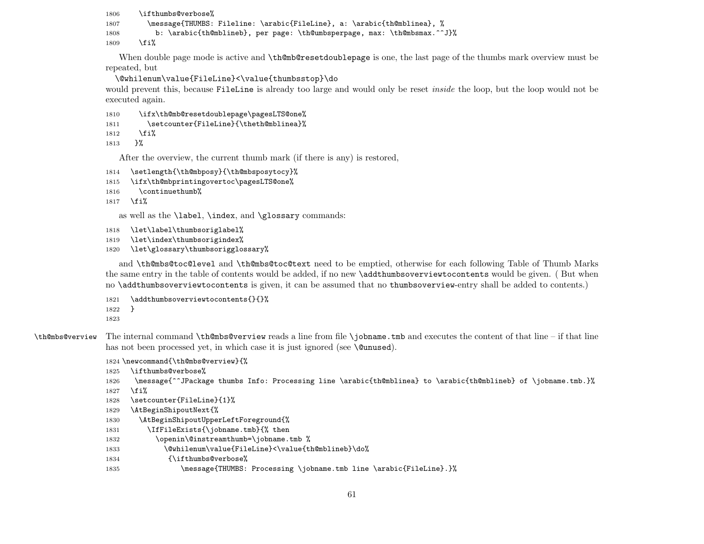```
1806 \ifthumbs@verbose%
1807 \message{THUMBS: Fileline: \arabic{FileLine}, a: \arabic{th@mblinea}, %
1808 b: \arabic{th@mblineb}, per page: \th@umbsperpage, max: \th@mbsmax.^^J}%
1809 \fi%
```
When double page mode is active and **\th@mb@resetdoublepage** is one, the last page of the thumbs mark overview must be repeated, but

\@whilenum\value{FileLine}<\value{thumbsstop}\do

would prevent this, because FileLine is already too large and would only be reset *inside* the loop, but the loop would not be executed again.

```
1810 \ifx\th@mb@resetdoublepage\pagesLTS@one%
```

```
1811 \setcounter{FileLine}{\theth@mblinea}%
```
1812 \fi%

1813 }%

After the overview, the current thumb mark (if there is any) is restored,

```
1814 \setlength{\th@mbposy}{\th@mbsposytocy}%
```

```
1815 \ifx\th@mbprintingovertoc\pagesLTS@one%
```

```
1816 \continuethumb%
```
1817 \fi%

as well as the \label, \index, and \glossary commands:

```
1818 \let\label\thumbsoriglabel%
```

```
1819 \let\index\thumbsorigindex%
```

```
1820 \let\glossary\thumbsorigglossary%
```
and \th@mbs@toc@level and \th@mbs@toc@text need to be emptied, otherwise for each following Table of Thumb Marks the same entry in the table of contents would be added, if no new \addthumbsoverviewtocontents would be given. ( But when no \addthumbsoverviewtocontents is given, it can be assumed that no thumbsoverview-entry shall be added to contents.)

```
1821 \addthumbsoverviewtocontents{}{}%
```
1822 }

1823

\th@mbs@verview The internal command \th@mbs@verview reads a line from file \jobname.tmb and executes the content of that line – if that line has not been processed yet, in which case it is just ignored (see **\@unused**).

```
1824 \newcommand{\th@mbs@verview}{%
```
- 1825 \ifthumbs@verbose%
- 1826 \message{^^JPackage thumbs Info: Processing line \arabic{th@mblinea} to \arabic{th@mblineb} of \jobname.tmb.}%
- 1827 \fi%

```
1828 \setcounter{FileLine}{1}%
```
- 1829 \AtBeginShipoutNext{%
- 1830 \AtBeginShipoutUpperLeftForeground{%
- 1831 \IfFileExists{\jobname.tmb}{% then
- 1832 \openin\@instreamthumb=\jobname.tmb %
- 1833 \@whilenum\value{FileLine}<\value{th@mblineb}\do%
- 1834 {\ifthumbs@verbose%
- 1835 \message{THUMBS: Processing \jobname.tmb line \arabic{FileLine}.}%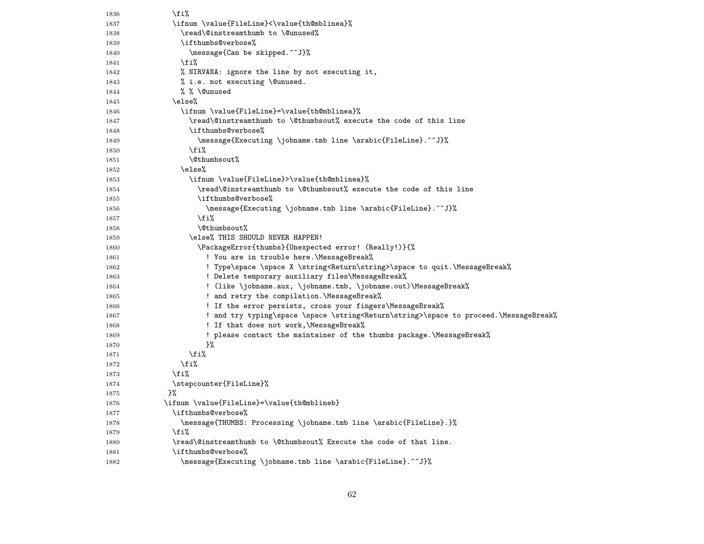| 1836         | \fi%                                                                                                           |
|--------------|----------------------------------------------------------------------------------------------------------------|
| 1837         | \ifnum \value{FileLine}<\value{th@mblinea}%                                                                    |
| 1838         | \read\@instreamthumb to \@unused%                                                                              |
| 1839         | \ifthumbs@verbose%                                                                                             |
| 1840         | \message{Can be skipped.^^J}%                                                                                  |
| 1841         | \fi%                                                                                                           |
| 1842         | % NIRVANA: ignore the line by not executing it,                                                                |
| 1843         | % i.e. not executing \@unused.                                                                                 |
| 1844         | % % \@unused                                                                                                   |
| 1845         | \else%                                                                                                         |
| 1846         | \ifnum \value{FileLine}=\value{th@mblinea}%                                                                    |
| 1847         | \read\@instreamthumb to \@thumbsout% execute the code of this line                                             |
| 1848         | \ifthumbs@verbose%                                                                                             |
| 1849         | \message{Executing \jobname.tmb line \arabic{FileLine}.^^J}%                                                   |
| 1850         | \fi%                                                                                                           |
| 1851         | \@thumbsout%                                                                                                   |
| 1852         | \else%                                                                                                         |
| 1853         | \ifnum \value{FileLine}>\value{th@mblinea}%                                                                    |
| 1854         | \read\@instreamthumb to \@thumbsout% execute the code of this line                                             |
| 1855         | \ifthumbs@verbose%                                                                                             |
| 1856         | \message{Executing \jobname.tmb line \arabic{FileLine}.^^J}%                                                   |
| 1857         | \fi%                                                                                                           |
| 1858         | \@thumbsout%                                                                                                   |
| 1859         | \else% THIS SHOULD NEVER HAPPEN!                                                                               |
| 1860         | \PackageError{thumbs}{Unexpected error! (Really!)}{%                                                           |
| 1861         | ! You are in trouble here.\MessageBreak%                                                                       |
| 1862         | ! Type\space \space X \string <return\string>\space to quit.\MessageBreak%</return\string>                     |
| 1863         | ! Delete temporary auxiliary files\MessageBreak%                                                               |
| 1864         | ! (like \jobname.aux, \jobname.tmb, \jobname.out)\MessageBreak%                                                |
| 1865         | ! and retry the compilation. \MessageBreak%                                                                    |
| 1866         | ! If the error persists, cross your fingers\MessageBreak%                                                      |
| 1867         | ! and try typing\space \space \string <return\string>\space to proceed.\MessageBreak%</return\string>          |
| 1868<br>1869 | ! If that does not work,\MessageBreak%<br>! please contact the maintainer of the thumbs package.\MessageBreak% |
| 1870         | }‰                                                                                                             |
| 1871         | \fi%                                                                                                           |
| 1872         | \fi%                                                                                                           |
| 1873         | \fi%                                                                                                           |
| 1874         | \stepcounter{FileLine}%                                                                                        |
| 1875         | }‰                                                                                                             |
| 1876         | \ifnum \value{FileLine}=\value{th@mblineb}                                                                     |
| 1877         | \ifthumbs@verbose%                                                                                             |
| 1878         | \message{THUMBS: Processing \jobname.tmb        line \arabic{FileLine}.}%                                      |
| 1879         | \fi%                                                                                                           |
| 1880         | \read\@instreamthumb to \@thumbsout% Execute the code of that line.                                            |
| 1881         | \ifthumbs@verbose%                                                                                             |
| 1882         | \message{Executing \jobname.tmb line \arabic{FileLine}.^^J}%                                                   |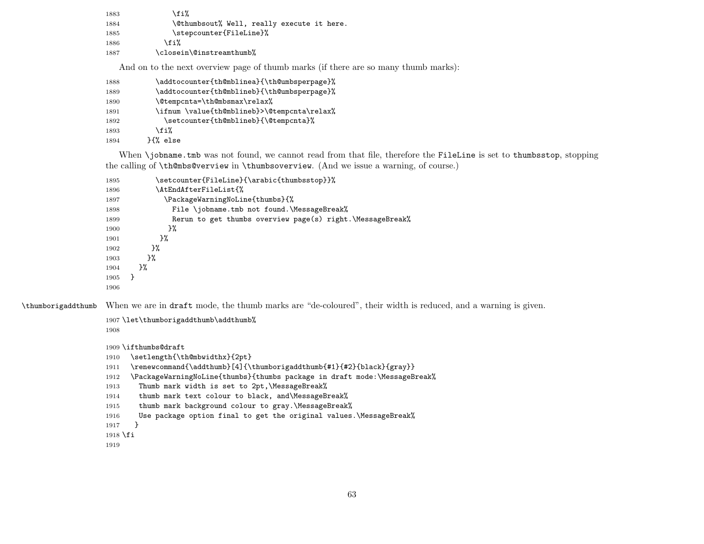| 1883 | \fi%                                       |
|------|--------------------------------------------|
| 1884 | \@thumbsout% Well, really execute it here. |
| 1885 | \stepcounter{FileLine}%                    |
| 1886 | \fi%                                       |
| 1887 | \closein\@instreamthumb%                   |

And on to the next overview page of thumb marks (if there are so many thumb marks):

| 1888 | \addtocounter{th@mblinea}{\th@umbsperpage}% |
|------|---------------------------------------------|
| 1889 | \addtocounter{th@mblineb}{\th@umbsperpage}% |
| 1890 | \@tempcnta=\th@mbsmax\relax%                |
| 1891 | \ifnum \value{th@mblineb}>\@tempcnta\relax% |
| 1892 | \setcounter{th@mblineb}{\@tempcnta}%        |
| 1893 | \fi%                                        |
| 1894 | H% else                                     |

When \jobname.tmb was not found, we cannot read from that file, therefore the FileLine is set to thumbsstop, stopping the calling of \th@mbs@verview in \thumbsoverview. (And we issue a warning, of course.)

| 1895 | \setcounter{FileLine}{\arabic{thumbsstop}}%               |  |  |
|------|-----------------------------------------------------------|--|--|
| 1896 | \AtEndAfterFileList{%                                     |  |  |
| 1897 | \PackageWarningNoLine{thumbs}{%                           |  |  |
| 1898 | File \jobname.tmb not found.\MessageBreak%                |  |  |
| 1899 | Rerun to get thumbs overview page(s) right.\MessageBreak% |  |  |
| 1900 | }‰                                                        |  |  |
| 1901 | }‰                                                        |  |  |
| 1902 | }‰                                                        |  |  |
| 1903 | }‰                                                        |  |  |
| 1904 | }‰                                                        |  |  |
| 1905 | Ł                                                         |  |  |
| 1906 |                                                           |  |  |

\thumborigaddthumb When we are in draft mode, the thumb marks are "de-coloured", their width is reduced, and a warning is given.

```
1907 \let\thumborigaddthumb\addthumb%
1908
1909 \ifthumbs@draft
1910 \setlength{\th@mbwidthx}{2pt}
1911 \renewcommand{\addthumb}[4]{\thumborigaddthumb{#1}{#2}{black}{gray}}
1912 \PackageWarningNoLine{thumbs}{thumbs package in draft mode:\MessageBreak%
1913 Thumb mark width is set to 2pt,\MessageBreak%
1914 thumb mark text colour to black, and\MessageBreak%
1915 thumb mark background colour to gray.\MessageBreak%
1916 Use package option final to get the original values.\MessageBreak%
1917 }
1918 \fi
1919
```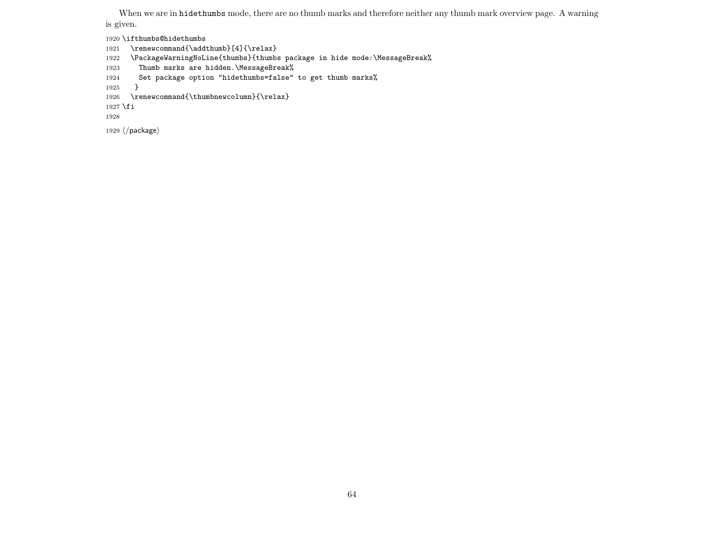When we are in hidethumbs mode, there are no thumb marks and therefore neither any thumb mark overview page. A warning is given.

\ifthumbs@hidethumbs

- 1921 \renewcommand{\addthumb}[4]{\relax}
- \PackageWarningNoLine{thumbs}{thumbs package in hide mode:\MessageBreak%
- Thumb marks are hidden.\MessageBreak%
- Set package option "hidethumbs=false" to get thumb marks%
- }
- \renewcommand{\thumbnewcolumn}{\relax}

1927  $\fi$ 

```
1929 \langle/package\rangle
```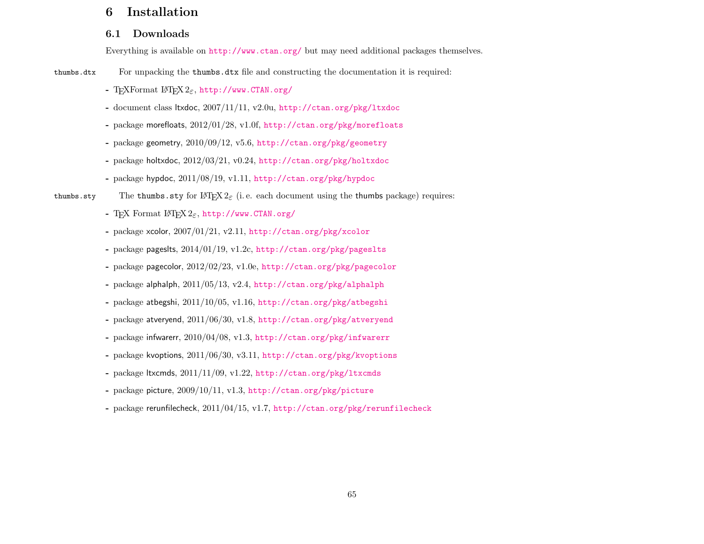# 6 Installation

## 6.1 Downloads

Everything is available on <http://www.ctan.org/> but may need additional packages themselves.

thumbs.dtx For unpacking the thumbs.dtx file and constructing the documentation it is required:

- T<sub>E</sub>XFormat L<sup>A</sup>T<sub>E</sub>X<sub>2ε</sub>, <http://www.CTAN.org/>
- document class ltxdoc, 2007/11/11, v2.0u, <http://ctan.org/pkg/ltxdoc>
- package morefloats, 2012/01/28, v1.0f, <http://ctan.org/pkg/morefloats>
- package geometry, 2010/09/12, v5.6, <http://ctan.org/pkg/geometry>
- package holtxdoc, 2012/03/21, v0.24, <http://ctan.org/pkg/holtxdoc>
- package hypdoc, 2011/08/19, v1.11, <http://ctan.org/pkg/hypdoc>
- thumbs.sty The thumbs.sty for  $\langle \text{H} \rangle_{\mathcal{E}} \times \mathcal{E}_{\epsilon}$  (i.e. each document using the thumbs package) requires:
	- Τ<sub>Ε</sub>Χ Format L<sup>4</sup>T<sub>E</sub>X 2<sub>ε</sub>, <http://www.CTAN.org/>
	- package xcolor, 2007/01/21, v2.11, <http://ctan.org/pkg/xcolor>
	- package pageslts, 2014/01/19, v1.2c, <http://ctan.org/pkg/pageslts>
	- package pagecolor, 2012/02/23, v1.0e, <http://ctan.org/pkg/pagecolor>
	- package alphalph, 2011/05/13, v2.4, <http://ctan.org/pkg/alphalph>
	- package atbegshi, 2011/10/05, v1.16, <http://ctan.org/pkg/atbegshi>
	- package atveryend, 2011/06/30, v1.8, <http://ctan.org/pkg/atveryend>
	- package infwarerr, 2010/04/08, v1.3, <http://ctan.org/pkg/infwarerr>
	- package kvoptions, 2011/06/30, v3.11, <http://ctan.org/pkg/kvoptions>
	- package ltxcmds, 2011/11/09, v1.22, <http://ctan.org/pkg/ltxcmds>
	- package picture, 2009/10/11, v1.3, <http://ctan.org/pkg/picture>
	- package rerunfilecheck, 2011/04/15, v1.7, <http://ctan.org/pkg/rerunfilecheck>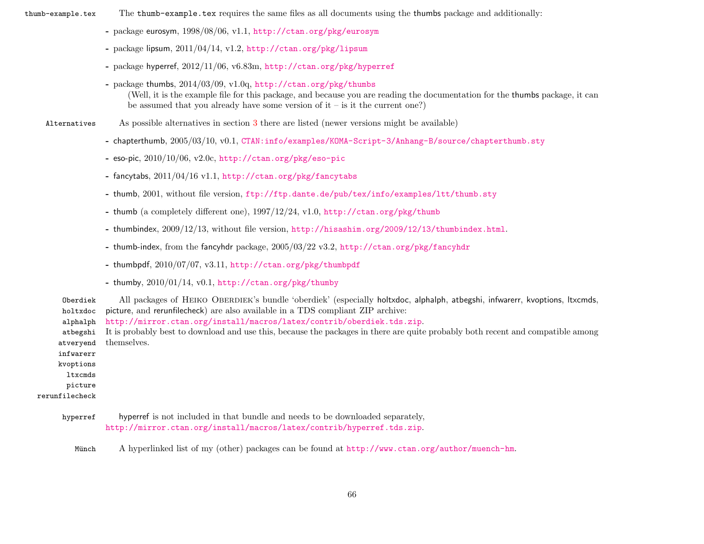- thumb-example.tex The thumb-example.tex requires the same files as all documents using the thumbs package and additionally:
	- package eurosym, 1998/08/06, v1.1, <http://ctan.org/pkg/eurosym>
	- package lipsum,  $2011/04/14$ , v1.2, <http://ctan.org/pkg/lipsum>
	- package hyperref, 2012/11/06, v6.83m, <http://ctan.org/pkg/hyperref>
	- package thumbs, 2014/03/09, v1.0q, <http://ctan.org/pkg/thumbs> (Well, it is the example file for this package, and because you are reading the documentation for the thumbs package, it can be assumed that you already have some version of  $it - is$  it the current one?)

Alternatives As possible alternatives in section [3](#page-10-0) there are listed (newer versions might be available)

- chapterthumb, 2005/03/10, v0.1, [CTAN:info/examples/KOMA-Script-3/Anhang-B/source/chapterthumb.sty](ftp://ftp.ctan.org/tex-archive/info/examples/KOMA-Script-3/Anhang-B/source/chapterthumb.sty)
- eso-pic, 2010/10/06, v2.0c, <http://ctan.org/pkg/eso-pic>
- fancytabs, 2011/04/16 v1.1, <http://ctan.org/pkg/fancytabs>
- thumb, 2001, without file version, <ftp://ftp.dante.de/pub/tex/info/examples/ltt/thumb.sty>
- thumb (a completely different one), 1997/12/24, v1.0, <http://ctan.org/pkg/thumb>
- thumbindex, 2009/12/13, without file version, <http://hisashim.org/2009/12/13/thumbindex.html>.
- thumb-index, from the fancyhdr package, 2005/03/22 v3.2, <http://ctan.org/pkg/fancyhdr>
- thumbpdf, 2010/07/07, v3.11, <http://ctan.org/pkg/thumbpdf>
- thumby, 2010/01/14, v0.1, <http://ctan.org/pkg/thumby>

Oberdiek All packages of HEIKO OBERDIEK's bundle 'oberdiek' (especially holtxdoc, alphalph, atbegshi, infwarerr, kvoptions, ltxcmds, holtxdoc alphalph atbegshi atveryend infwarerr kvoptions ltxcmds picture rerunfilecheck picture, and rerunfilecheck) are also available in a TDS compliant ZIP archive: <http://mirror.ctan.org/install/macros/latex/contrib/oberdiek.tds.zip>. It is probably best to download and use this, because the packages in there are quite probably both recent and compatible among themselves.

- hyperref hyperref is not included in that bundle and needs to be downloaded separately, <http://mirror.ctan.org/install/macros/latex/contrib/hyperref.tds.zip>.
	- Münch A hyperlinked list of my (other) packages can be found at <http://www.ctan.org/author/muench-hm>.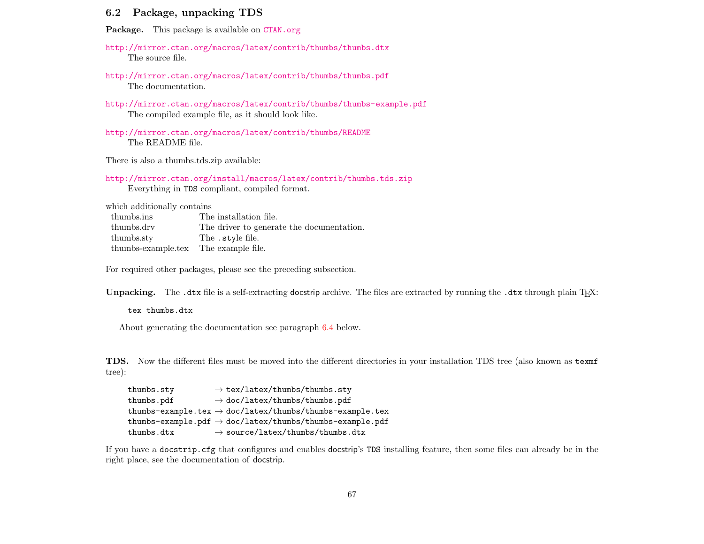### 6.2 Package, unpacking TDS

Package. This package is available on <CTAN.org>

<http://mirror.ctan.org/macros/latex/contrib/thumbs/thumbs.dtx> The source file.

<http://mirror.ctan.org/macros/latex/contrib/thumbs/thumbs.pdf> The documentation.

<http://mirror.ctan.org/macros/latex/contrib/thumbs/thumbs-example.pdf> The compiled example file, as it should look like.

<http://mirror.ctan.org/macros/latex/contrib/thumbs/README> The README file.

There is also a thumbs.tds.zip available:

<http://mirror.ctan.org/install/macros/latex/contrib/thumbs.tds.zip> Everything in TDS compliant, compiled format.

which additionally contains

| thumbs.ins                           | The installation file.                    |
|--------------------------------------|-------------------------------------------|
| thumbs.drv                           | The driver to generate the documentation. |
| thumbs.sty                           | The .style file.                          |
| thumbs-example.tex The example file. |                                           |

For required other packages, please see the preceding subsection.

Unpacking. The .dtx file is a self-extracting docstrip archive. The files are extracted by running the .dtx through plain T<sub>E</sub>X:

tex thumbs.dtx

About generating the documentation see paragraph [6.4](#page-67-0) below.

TDS. Now the different files must be moved into the different directories in your installation TDS tree (also known as texmf tree):

| thumbs.sty | $\rightarrow$ tex/latex/thumbs/thumbs.sty                            |
|------------|----------------------------------------------------------------------|
| thumbs.pdf | $\rightarrow$ doc/latex/thumbs/thumbs.pdf                            |
|            | thumbs-example.tex $\rightarrow$ doc/latex/thumbs/thumbs-example.tex |
|            | thumbs-example.pdf $\rightarrow$ doc/latex/thumbs/thumbs-example.pdf |
| thumbs.dtx | $\rightarrow$ source/latex/thumbs/thumbs.dtx                         |

If you have a docstrip.cfg that configures and enables docstrip's TDS installing feature, then some files can already be in the right place, see the documentation of docstrip.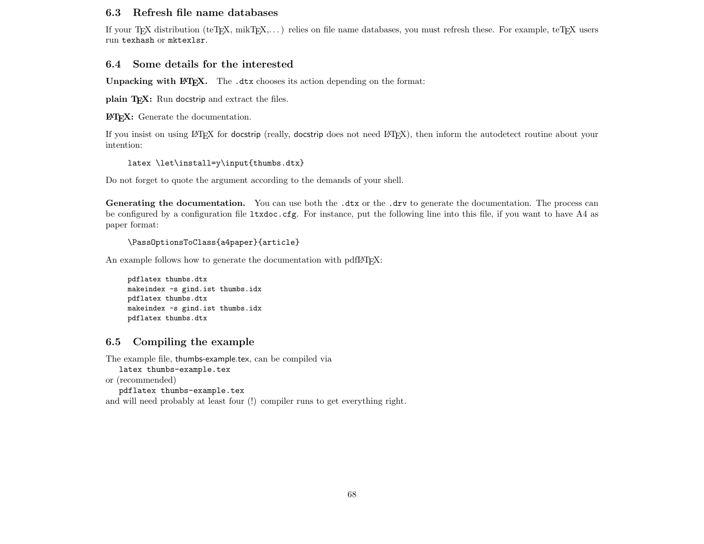### 6.3 Refresh file name databases

If your TEX distribution (teTEX, mikTEX,. . . ) relies on file name databases, you must refresh these. For example, teTEX users run texhash or mktexlsr.

#### 6.4 Some details for the interested

**Unpacking with LATEX.** The  $\cdot$ **dtx** chooses its action depending on the format:

plain  $T_F X$ : Run docstrip and extract the files.

LATEX: Generate the documentation.

If you insist on using LATEX for docstrip (really, docstrip does not need LATEX), then inform the autodetect routine about your intention:

latex \let\install=y\input{thumbs.dtx}

Do not forget to quote the argument according to the demands of your shell.

<span id="page-67-0"></span>Generating the documentation. You can use both the .dtx or the .drv to generate the documentation. The process can be configured by a configuration file ltxdoc.cfg. For instance, put the following line into this file, if you want to have A4 as paper format:

```
\PassOptionsToClass{a4paper}{article}
```
An example follows how to generate the documentation with pdfI $ATEX$ :

pdflatex thumbs.dtx makeindex -s gind.ist thumbs.idx pdflatex thumbs.dtx makeindex -s gind.ist thumbs.idx pdflatex thumbs.dtx

### 6.5 Compiling the example

The example file, thumbs-example.tex, can be compiled via

latex thumbs-example.tex

or (recommended)

pdflatex thumbs-example.tex

and will need probably at least four (!) compiler runs to get everything right.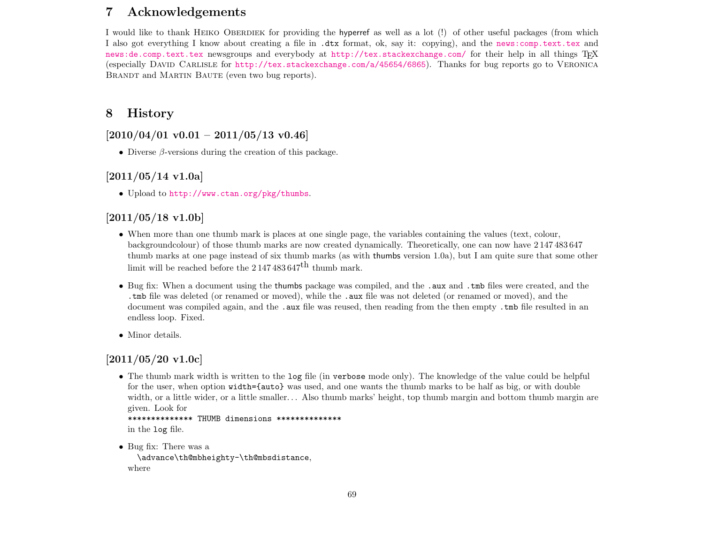# 7 Acknowledgements

I would like to thank HEIKO OBERDIEK for providing the hyperref as well as a lot (!) of other useful packages (from which I also got everything I know about creating a file in .dtx format, ok, say it: copying), and the [news:comp.text.tex](http://groups.google.com/group/comp.text.tex/topics) and [news:de.comp.text.tex](http://groups.google.com/group/de.comp.text.tex/topics) newsgroups and everybody at <http://tex.stackexchange.com/> for their help in all things TEX (especially David Carlisle for <http://tex.stackexchange.com/a/45654/6865>). Thanks for bug reports go to Veronica BRANDT and MARTIN BAUTE (even two bug reports).

## 8 History

## $[2010/04/01 \text{ v}0.01 - 2011/05/13 \text{ v}0.46]$

• Diverse  $\beta$ -versions during the creation of this package.

## $[2011/05/14 \text{ v}1.0a]$

• Upload to <http://www.ctan.org/pkg/thumbs>.

## $[2011/05/18 \text{ v}1.06]$

- When more than one thumb mark is places at one single page, the variables containing the values (text, colour, backgroundcolour) of those thumb marks are now created dynamically. Theoretically, one can now have 2 147 483 647 thumb marks at one page instead of six thumb marks (as with thumbs version 1.0a), but I am quite sure that some other limit will be reached before the  $2147483647^{\text{th}}$  thumb mark.
- Bug fix: When a document using the thumbs package was compiled, and the .aux and .tmb files were created, and the .tmb file was deleted (or renamed or moved), while the .aux file was not deleted (or renamed or moved), and the document was compiled again, and the .aux file was reused, then reading from the then empty .tmb file resulted in an endless loop. Fixed.
- Minor details.

## [2011/05/20 v1.0c]

• The thumb mark width is written to the log file (in verbose mode only). The knowledge of the value could be helpful for the user, when option width={auto} was used, and one wants the thumb marks to be half as big, or with double width, or a little wider, or a little smaller... Also thumb marks' height, top thumb margin and bottom thumb margin are given. Look for

```
************** THUMB dimensions **************
in the log file.
```
• Bug fix: There was a \advance\th@mbheighty-\th@mbsdistance, where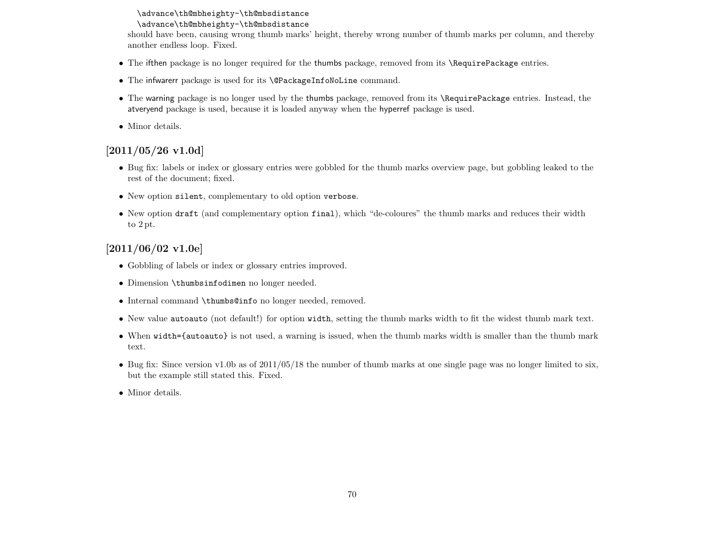#### \advance\th@mbheighty-\th@mbsdistance

#### \advance\th@mbheighty-\th@mbsdistance

should have been, causing wrong thumb marks' height, thereby wrong number of thumb marks per column, and thereby another endless loop. Fixed.

- The ifthen package is no longer required for the thumbs package, removed from its \RequirePackage entries.
- The infwarerr package is used for its \@PackageInfoNoLine command.
- The warning package is no longer used by the thumbs package, removed from its \RequirePackage entries. Instead, the atveryend package is used, because it is loaded anyway when the hyperref package is used.
- Minor details.

## [2011/05/26 v1.0d]

- Bug fix: labels or index or glossary entries were gobbled for the thumb marks overview page, but gobbling leaked to the rest of the document; fixed.
- New option silent, complementary to old option verbose.
- New option draft (and complementary option final), which "de-coloures" the thumb marks and reduces their width to 2 pt.

## $[2011/06/02 \text{ v}1.0e]$

- Gobbling of labels or index or glossary entries improved.
- Dimension \thumbsinfodimen no longer needed.
- Internal command \thumbs@info no longer needed, removed.
- New value autoauto (not default!) for option width, setting the thumb marks width to fit the widest thumb mark text.
- When width={autoauto} is not used, a warning is issued, when the thumb marks width is smaller than the thumb mark text.
- Bug fix: Since version v1.0b as of  $2011/05/18$  the number of thumb marks at one single page was no longer limited to six, but the example still stated this. Fixed.
- Minor details.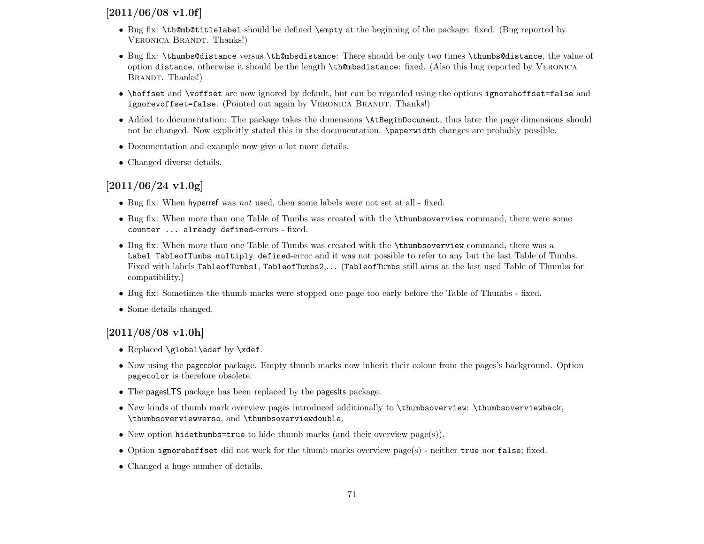## $[2011/06/08 \text{ v}1.0f]$

- Bug fix: \th@mb@titlelabel should be defined \empty at the beginning of the package: fixed. (Bug reported by VERONICA BRANDT. Thanks!)
- Bug fix: \thumbs@distance versus \th@mbsdistance: There should be only two times \thumbs@distance, the value of option distance, otherwise it should be the length \th@mbsdistance: fixed. (Also this bug reported by Veronica BRANDT. Thanks!)
- \hoffset and \voffset are now ignored by default, but can be regarded using the options ignorehoffset=false and ignorevoffset=false. (Pointed out again by VERONICA BRANDT. Thanks!)
- Added to documentation: The package takes the dimensions **\AtBeginDocument**, thus later the page dimensions should not be changed. Now explicitly stated this in the documentation. \paperwidth changes are probably possible.
- Documentation and example now give a lot more details.
- Changed diverse details.

## [2011/06/24 v1.0g]

- Bug fix: When hyperref was not used, then some labels were not set at all fixed.
- Bug fix: When more than one Table of Tumbs was created with the \thumbsoverview command, there were some counter ... already defined-errors - fixed.
- Bug fix: When more than one Table of Tumbs was created with the \thumbsoverview command, there was a Label TableofTumbs multiply defined-error and it was not possible to refer to any but the last Table of Tumbs. Fixed with labels TableofTumbs1, TableofTumbs2,. . . (TableofTumbs still aims at the last used Table of Thumbs for compatibility.)
- Bug fix: Sometimes the thumb marks were stopped one page too early before the Table of Thumbs fixed.
- Some details changed.

# [2011/08/08 v1.0h]

- Replaced \global\edef by \xdef.
- Now using the pagecolor package. Empty thumb marks now inherit their colour from the pages's background. Option pagecolor is therefore obsolete.
- The pagesLTS package has been replaced by the pageslts package.
- New kinds of thumb mark overview pages introduced additionally to \thumbsoverview: \thumbsoverviewback, \thumbsoverviewverso, and \thumbsoverviewdouble.
- New option hidethumbs=true to hide thumb marks (and their overview page(s)).
- Option ignorehoffset did not work for the thumb marks overview page(s) neither true nor false; fixed.
- Changed a huge number of details.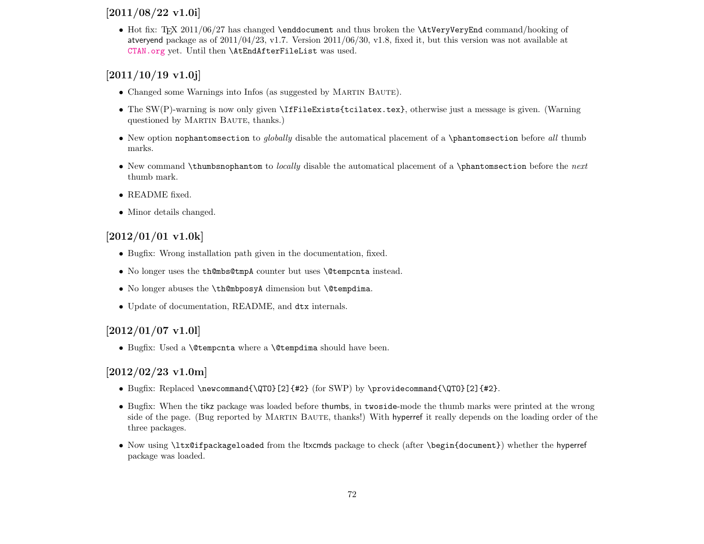## [2011/08/22 v1.0i]

• Hot fix: TEX 2011/06/27 has changed \enddocument and thus broken the \AtVeryVeryEnd command/hooking of atveryend package as of 2011/04/23, v1.7. Version 2011/06/30, v1.8, fixed it, but this version was not available at <CTAN.org> yet. Until then \AtEndAfterFileList was used.

# $[2011/10/19 \text{ v}1.0]$

- Changed some Warnings into Infos (as suggested by MARTIN BAUTE).
- The SW(P)-warning is now only given **\IfFileExists{tcilatex.tex}**, otherwise just a message is given. (Warning questioned by MARTIN BAUTE, thanks.)
- New option nophantomsection to *globally* disable the automatical placement of a \phantomsection before all thumb marks.
- New command \thumbsnophantom to *locally* disable the automatical placement of a \phantomsection before the next thumb mark.
- README fixed.
- Minor details changed.

# $[2012/01/01 \text{ v}1.0k]$

- Bugfix: Wrong installation path given in the documentation, fixed.
- No longer uses the th@mbs@tmpA counter but uses \@tempcnta instead.
- No longer abuses the **\th@mbposyA** dimension but **\@tempdima.**
- Update of documentation, README, and dtx internals.

# $[2012/01/07 \text{ v}1.01]$

• Bugfix: Used a \@tempcnta where a \@tempdima should have been.

# [2012/02/23 v1.0m]

- Bugfix: Replaced \newcommand{\QTO}[2]{#2} (for SWP) by \providecommand{\QTO}[2]{#2}.
- Bugfix: When the tikz package was loaded before thumbs, in twoside-mode the thumb marks were printed at the wrong side of the page. (Bug reported by MARTIN BAUTE, thanks!) With hyperref it really depends on the loading order of the three packages.
- Now using \ltx@ifpackageloaded from the ltxcmds package to check (after \begin{document}) whether the hyperref package was loaded.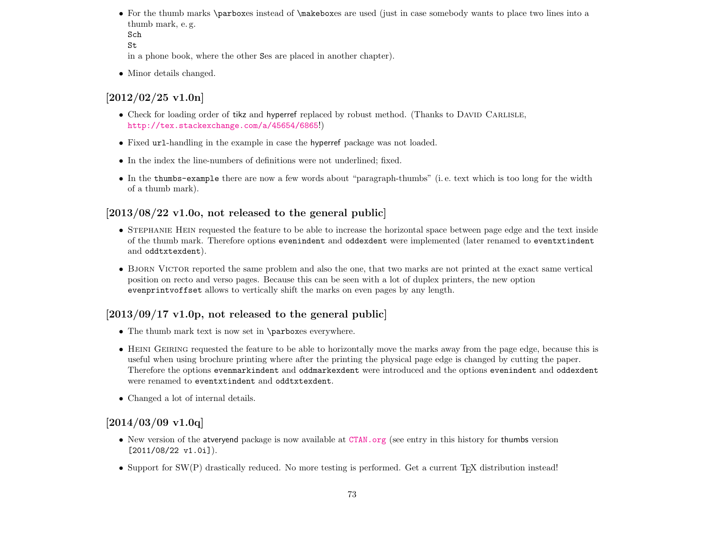• For the thumb marks \parboxes instead of \makeboxes are used (just in case somebody wants to place two lines into a thumb mark, e. g.

```
Sch
St
```
in a phone book, where the other Ses are placed in another chapter).

• Minor details changed.

# $[2012/02/25 \text{ v}1.0n]$

- Check for loading order of tikz and hyperref replaced by robust method. (Thanks to DAVID CARLISLE, <http://tex.stackexchange.com/a/45654/6865>!)
- Fixed url-handling in the example in case the hyperref package was not loaded.
- In the index the line-numbers of definitions were not underlined; fixed.
- In the thumbs-example there are now a few words about "paragraph-thumbs" (i. e. text which is too long for the width of a thumb mark).

# $[2013/08/22 \text{ v}1.00, \text{ not released to the general public}]$

- STEPHANIE HEIN requested the feature to be able to increase the horizontal space between page edge and the text inside of the thumb mark. Therefore options evenindent and oddexdent were implemented (later renamed to eventxtindent and oddtxtexdent).
- BJORN VICTOR reported the same problem and also the one, that two marks are not printed at the exact same vertical position on recto and verso pages. Because this can be seen with a lot of duplex printers, the new option evenprintvoffset allows to vertically shift the marks on even pages by any length.

# $[2013/09/17 \text{ v}1.0p$ , not released to the general public

- The thumb mark text is now set in \parboxes everywhere.
- HEINI GEIRING requested the feature to be able to horizontally move the marks away from the page edge, because this is useful when using brochure printing where after the printing the physical page edge is changed by cutting the paper. Therefore the options evenmarkindent and oddmarkexdent were introduced and the options evenindent and oddexdent were renamed to eventxtindent and oddtxtexdent.
- Changed a lot of internal details.

# $[2014/03/09 \text{ v}1.0q]$

- New version of the atveryend package is now available at <CTAN.org> (see entry in this history for thumbs version [2011/08/22 v1.0i]).
- Support for SW(P) drastically reduced. No more testing is performed. Get a current T<sub>E</sub>X distribution instead!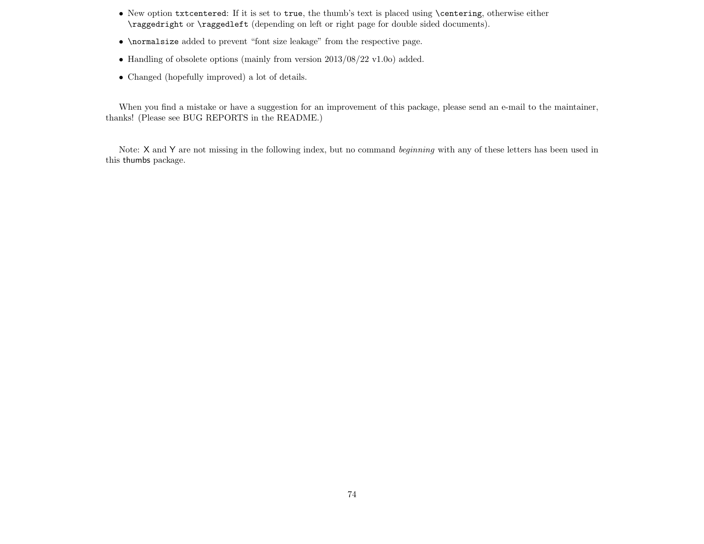- New option txtcentered: If it is set to true, the thumb's text is placed using \centering, otherwise either \raggedright or \raggedleft (depending on left or right page for double sided documents).
- \normalsize added to prevent "font size leakage" from the respective page.
- Handling of obsolete options (mainly from version 2013/08/22 v1.0o) added.
- Changed (hopefully improved) a lot of details.

When you find a mistake or have a suggestion for an improvement of this package, please send an e-mail to the maintainer, thanks! (Please see BUG REPORTS in the README.)

Note: X and Y are not missing in the following index, but no command beginning with any of these letters has been used in this thumbs package.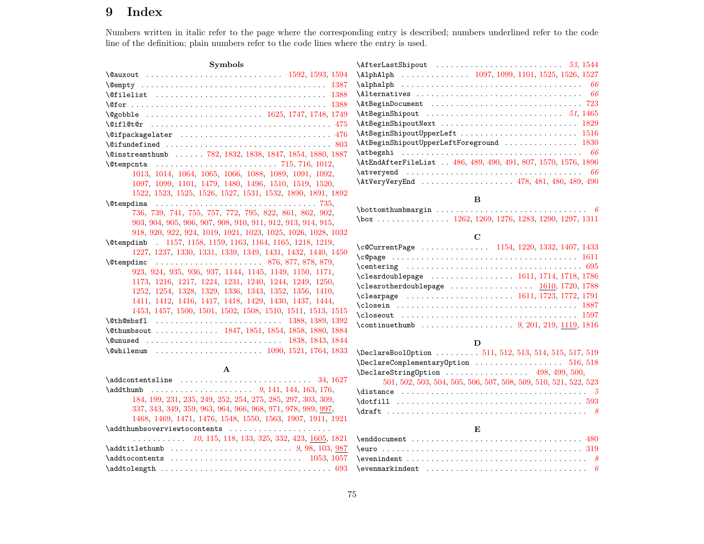# 9 Index

Numbers written in italic refer to the page where the corresponding entry is described; numbers underlined refer to the code line of the definition; plain numbers refer to the code lines where the entry is used.

| <b>Symbols</b>                                               |
|--------------------------------------------------------------|
| \@auxout  1592, 1593, 1594                                   |
|                                                              |
|                                                              |
|                                                              |
| $\qquad$ $\qquad$ $\qquad$ $(1748, 1749)$                    |
|                                                              |
| \@ifpackagelater  476                                        |
|                                                              |
| \@instreamthumb  782, 1832, 1838, 1847, 1854, 1880, 1887     |
|                                                              |
| 1013, 1014, 1064, 1065, 1066, 1088, 1089, 1091, 1092,        |
| 1097, 1099, 1101, 1479, 1480, 1496, 1510, 1519, 1520,        |
| 1522, 1523, 1525, 1526, 1527, 1531, 1532, 1890, 1891, 1892   |
| <i><u><b></b></u></i> Otempdima                              |
| 736, 739, 741, 755, 757, 772, 795, 822, 861, 862, 902,       |
| 903, 904, 905, 906, 907, 908, 910, 911, 912, 913, 914, 915,  |
| 918, 920, 922, 924, 1019, 1021, 1023, 1025, 1026, 1028, 1032 |
| \@tempdimb 1157, 1158, 1159, 1163, 1164, 1165, 1218, 1219,   |
| 1227, 1237, 1330, 1331, 1339, 1349, 1431, 1432, 1440, 1450   |
| <b>\@tempdimc</b>                                            |
| 923, 924, 935, 936, 937, 1144, 1145, 1149, 1150, 1171,       |
| 1173, 1216, 1217, 1224, 1231, 1240, 1244, 1249, 1250,        |
| 1252, 1254, 1328, 1329, 1336, 1343, 1352, 1356, 1410,        |
| 1411, 1412, 1416, 1417, 1418, 1429, 1430, 1437, 1444,        |
| 1453, 1457, 1500, 1501, 1502, 1508, 1510, 1511, 1513, 1515   |
|                                                              |
| \@thumbsout  1847, 1851, 1854, 1858, 1880, 1884              |
| \@unused  1838, 1843, 1844                                   |
| \@whilenum  1090, 1521, 1764, 1833                           |

#### A

| $\ad{\text{content}sline \dots \dots \dots \dots \dots \ 34, 1627$ |
|--------------------------------------------------------------------|
|                                                                    |
| 184, 199, 231, 235, 249, 252, 254, 275, 285, 297, 303, 309,        |
| 337, 343, 349, 359, 963, 964, 966, 968, 971, 978, 989, 997,        |
| 1468, 1469, 1471, 1476, 1548, 1550, 1563, 1907, 1911, 1921         |
| \addthumbsoverviewtocontents                                       |
| $\ldots$ 10, 115, 118, 133, 325, 332, 423, 1605, 1821              |
|                                                                    |
| $\adctocontents$ 1053, 1057                                        |
|                                                                    |

| $\Delta$ lphAlph  1097, 1099, 1101, 1525, 1526, 1527                                         |
|----------------------------------------------------------------------------------------------|
| $\alpha$                                                                                     |
|                                                                                              |
|                                                                                              |
|                                                                                              |
|                                                                                              |
| $\texttt{AtBeginninghipoutUpperLeft} \dots \dots \dots \dots \dots \dots \dots \dots \ 1516$ |
|                                                                                              |
|                                                                                              |
| \AtEndAfterFileList . 486, 489, 490, 491, 807, 1570, 1576, 1896                              |
|                                                                                              |
| $\text{AtVeryVery}$ 478, 481, 486, 489, 490                                                  |
|                                                                                              |

#### $\, {\bf B}$

#### C

| \c@CurrentPage  1154, 1220, 1332, 1407, 1433                                                   |  |
|------------------------------------------------------------------------------------------------|--|
|                                                                                                |  |
| $\verb \centering   \dots  \dots  \dots  \dots  \dots  \dots  \dots  \dots  \695$              |  |
| $\texttt{Xcleardoublepage} \dots \dots \dots \dots \dots \ 1611, 1714, 1718, 1786$             |  |
| \clearotherdoublepage $\dots\dots\dots\dots\dots \frac{1610}{1720}$ , 1788                     |  |
| \clearpage $\,\,\ldots\,\,\ldots\,\,\ldots\,\,\ldots\,\,\ldots\,\,\,1611,\,1723,\,1772,\,1791$ |  |
|                                                                                                |  |
|                                                                                                |  |
|                                                                                                |  |
|                                                                                                |  |

#### D

| \DeclareBoolOption  511, 512, 513, 514, 515, 517, 519 |                                                                 |  |  |  |  |  |  |  |  |  |  |  |  |  |
|-------------------------------------------------------|-----------------------------------------------------------------|--|--|--|--|--|--|--|--|--|--|--|--|--|
| $\Delta$ DeclareComplementaryOption 516,518           |                                                                 |  |  |  |  |  |  |  |  |  |  |  |  |  |
| $\Delta 98, 499, 500,$                                |                                                                 |  |  |  |  |  |  |  |  |  |  |  |  |  |
|                                                       | 501, 502, 503, 504, 505, 506, 507, 508, 509, 510, 521, 522, 523 |  |  |  |  |  |  |  |  |  |  |  |  |  |
|                                                       |                                                                 |  |  |  |  |  |  |  |  |  |  |  |  |  |
|                                                       |                                                                 |  |  |  |  |  |  |  |  |  |  |  |  |  |
|                                                       |                                                                 |  |  |  |  |  |  |  |  |  |  |  |  |  |

#### E

| $\text{Perenindent} \dots \dots \dots \dots \dots \dots \dots \dots \dots \dots$ |  |
|----------------------------------------------------------------------------------|--|
| $\verb \vermarkindent   \dots   \dots   \dots   \dots$                           |  |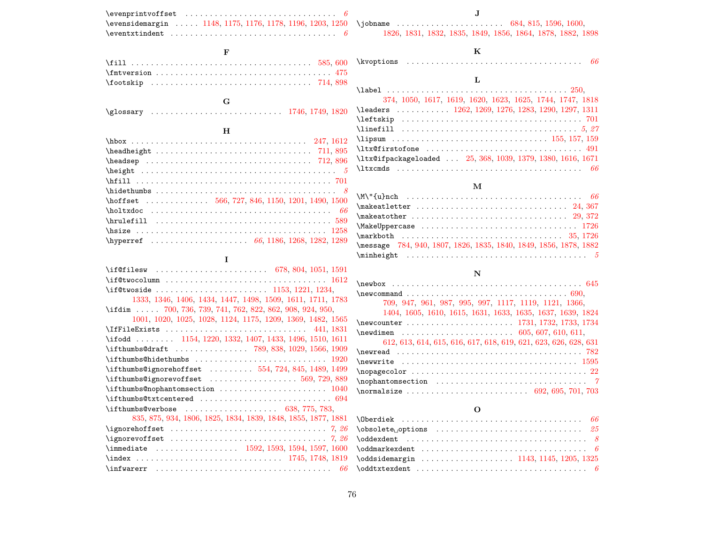| $\verb \event $                                                                                |  |  |  |
|------------------------------------------------------------------------------------------------|--|--|--|
| \evensidemargin  1148, 1175, 1176, 1178, 1196, 1203, 1250 \                                    |  |  |  |
| $\text{eventxtindent} \dots \dots \dots \dots \dots \dots \dots \dots \dots \dots \dots \dots$ |  |  |  |

\jobname . . . . . . . . . . . . . . . . . . . . . . [684,](#page-28-1) [815,](#page-32-6) [1596,](#page-53-9) [1600,](#page-53-8) [1826,](#page-60-12) [1831,](#page-60-7) [1832,](#page-60-0) [1835,](#page-60-13) [1849,](#page-61-13) [1856,](#page-61-14) [1864,](#page-61-15) [1878,](#page-61-16) [1882,](#page-61-17) [1898](#page-62-9)

### K

| \kvoptions |  |
|------------|--|
|            |  |

# L

| 374, 1050, 1617, 1619, 1620, 1623, 1625, 1744, 1747, 1818   |  |
|-------------------------------------------------------------|--|
| \leaders  1262, 1269, 1276, 1283, 1290, 1297, 1311          |  |
|                                                             |  |
|                                                             |  |
| \lipsum  155, 157, 159                                      |  |
|                                                             |  |
| \ltx@ifpackageloaded  25, 368, 1039, 1379, 1380, 1616, 1671 |  |
|                                                             |  |

### M

### N

| $\{\n  new box \n  \ldots \n  \ldots \n  \ldots \n  \ldots \n  \ldots \n  \ldots \n  \ldots \n  \ldots \n  \ldots \n  \ldots \n  \ldots \n  \ldots \n  \ldots \n  \ldots \n  \ldots \n  \ldots \n  \ldots \n  \ldots \n  \ldots \n  \ldots \n  \ldots \n  \ldots \n  \ldots \n  \ldots \n  \ldots \n  \ldots \n  \ldots \n  \ldots \n  \ldots \n  \ldots \n  \ldots \n  \ldots \n  \ldots \n  \ldots \n  \ldots \n  \$ |  |
|------------------------------------------------------------------------------------------------------------------------------------------------------------------------------------------------------------------------------------------------------------------------------------------------------------------------------------------------------------------------------------------------------------------------|--|
| $\neq 690,$                                                                                                                                                                                                                                                                                                                                                                                                            |  |
| 709, 947, 961, 987, 995, 997, 1117, 1119, 1121, 1366,                                                                                                                                                                                                                                                                                                                                                                  |  |
| 1404, 1605, 1610, 1615, 1631, 1633, 1635, 1637, 1639, 1824                                                                                                                                                                                                                                                                                                                                                             |  |
| \newcounter  1731, 1732, 1733, 1734                                                                                                                                                                                                                                                                                                                                                                                    |  |
| $\neq 605, 607, 610, 611,$                                                                                                                                                                                                                                                                                                                                                                                             |  |
| 612, 613, 614, 615, 616, 617, 618, 619, 621, 623, 626, 628, 631                                                                                                                                                                                                                                                                                                                                                        |  |
|                                                                                                                                                                                                                                                                                                                                                                                                                        |  |
|                                                                                                                                                                                                                                                                                                                                                                                                                        |  |
| $\n\cdot 22$                                                                                                                                                                                                                                                                                                                                                                                                           |  |
| $\n\rightarrow$ ?                                                                                                                                                                                                                                                                                                                                                                                                      |  |
| $\{normal size \dots \dots \dots \dots \dots \ 692, 695, 701, 703\}$                                                                                                                                                                                                                                                                                                                                                   |  |

### O

| \oddsidemargin  1143, 1145, 1205, 1325 |  |
|----------------------------------------|--|
|                                        |  |

# F

| $\text{imversion} \dots \dots \dots \dots \dots \dots \dots \dots \dots \ 475$ |  |  |  |  |  |  |  |  |  |  |  |  |  |  |  |  |  |  |
|--------------------------------------------------------------------------------|--|--|--|--|--|--|--|--|--|--|--|--|--|--|--|--|--|--|
|                                                                                |  |  |  |  |  |  |  |  |  |  |  |  |  |  |  |  |  |  |

### $\, {\bf H}$

| $\hbar f$ set  566, 727, 846, 1150, 1201, 1490, 1500 |
|------------------------------------------------------|
|                                                      |
|                                                      |
|                                                      |
|                                                      |

#### I

| $\iota$ filesw  678, 804, 1051, 1591                          |
|---------------------------------------------------------------|
|                                                               |
| \if@twoside  1153, 1221, 1234,                                |
| 1333, 1346, 1406, 1434, 1447, 1498, 1509, 1611, 1711, 1783    |
| \ifdim  700, 736, 739, 741, 762, 822, 862, 908, 924, 950,     |
| 1001, 1020, 1025, 1028, 1124, 1175, 1209, 1369, 1482, 1565    |
| \IfFileExists  441, 1831                                      |
| \ifodd  1154, 1220, 1332, 1407, 1433, 1496, 1510, 1611        |
| \ifthumbs@draft  789, 838, 1029, 1566, 1909                   |
|                                                               |
| \ifthumbs@ignorehoffset  554, 724, 845, 1489, 1499            |
| \ifthumbs@ignorevoffset  569, 729, 889                        |
|                                                               |
|                                                               |
|                                                               |
| 835, 875, 934, 1806, 1825, 1834, 1839, 1848, 1855, 1877, 1881 |
|                                                               |
|                                                               |
| \immediate  1592, 1593, 1594, 1597, 1600                      |
|                                                               |
|                                                               |
|                                                               |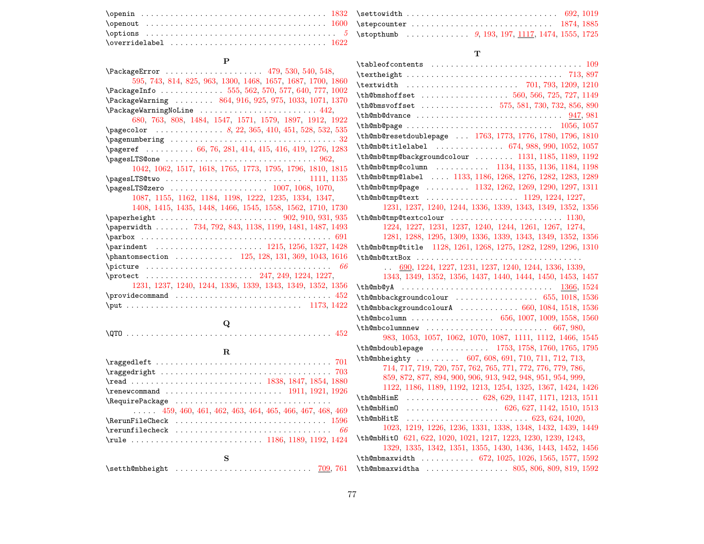|                                                                                                       | $\qquad \qquad \qquad \qquad \textbf{1832} \qquad \qquad \textbf{2111} \qquad \qquad \textbf{322} \qquad \qquad \textbf{3332} \qquad \qquad \textbf{3433} \qquad \textbf{3541} \qquad \textbf{3641} \qquad \textbf{371} \qquad \textbf{3821} \qquad \textbf{3832} \qquad \textbf{3842} \qquad \textbf{3843} \qquad \textbf{3841} \qquad \textbf{3841} \qquad \textbf{3842} \qquad \textbf{3843} \qquad \textbf{38$ |
|-------------------------------------------------------------------------------------------------------|--------------------------------------------------------------------------------------------------------------------------------------------------------------------------------------------------------------------------------------------------------------------------------------------------------------------------------------------------------------------------------------------------------------------|
|                                                                                                       |                                                                                                                                                                                                                                                                                                                                                                                                                    |
|                                                                                                       |                                                                                                                                                                                                                                                                                                                                                                                                                    |
| $\backslash$ overridelabel $\ldots\ldots\ldots\ldots\ldots\ldots\ldots\ldots\ldots\ldots\ldots\ 1622$ |                                                                                                                                                                                                                                                                                                                                                                                                                    |

# P

| \PackageError  479, 530, 540, 548,                           |
|--------------------------------------------------------------|
| 595, 743, 814, 825, 963, 1300, 1468, 1657, 1687, 1700, 1860  |
| \PackageInfo  555, 562, 570, 577, 640, 777, 1002             |
| \PackageWarning  864, 916, 925, 975, 1033, 1071, 1370        |
| $\P$ ackageWarningNoLine  442.                               |
| 680, 763, 808, 1484, 1547, 1571, 1579, 1897, 1912, 1922      |
|                                                              |
| $\epsilon$ : $32$                                            |
| $\text{vagerer}$ 66, 76, 281, 414, 415, 416, 419, 1276, 1283 |
|                                                              |
| 1042, 1062, 1517, 1618, 1765, 1773, 1795, 1796, 1810, 1815   |
|                                                              |
|                                                              |
| 1087, 1155, 1162, 1184, 1198, 1222, 1235, 1334, 1347,        |
| 1408, 1415, 1435, 1448, 1466, 1545, 1558, 1562, 1710, 1730   |
|                                                              |
| \paperwidth  734, 792, 843, 1138, 1199, 1481, 1487, 1493     |
|                                                              |
| \parindent  1215, 1256, 1327, 1428                           |
| \phantomsection  125, 128, 131, 369, 1043, 1616              |
|                                                              |
| \protect  247, 249, 1224, 1227,                              |
| 1231, 1237, 1240, 1244, 1336, 1339, 1343, 1349, 1352, 1356   |
| $\gamma$ . $452$                                             |
|                                                              |
|                                                              |
| Q                                                            |

# R

| $\text{ragedright} \dots \dots \dots \dots \dots \dots \dots \dots \dots \dots \dots \dots \dots \dots \dots \dots$ |
|---------------------------------------------------------------------------------------------------------------------|
|                                                                                                                     |
|                                                                                                                     |
| \RequirePackage                                                                                                     |
| $\ldots$ 459, 460, 461, 462, 463, 464, 465, 466, 467, 468, 469                                                      |
|                                                                                                                     |
| $\text{ircurufilecheck} \dots \dots \dots \dots \dots \dots \dots \dots \dots \dots \dots \dots$                    |
|                                                                                                                     |
|                                                                                                                     |
|                                                                                                                     |

# T

| $\verb \tableofcontents   \dots   \dots   \dots   \dots   \dots 109$ |
|----------------------------------------------------------------------|
|                                                                      |
|                                                                      |
|                                                                      |
| \th@bmsvoffset  575, 581, 730, 732, 856, 890                         |
|                                                                      |
| \th@mb@page  1056, 1057                                              |
| \th@mb@resetdoublepage  1763, 1773, 1776, 1780, 1796, 1810           |
| \th@mb@titlelabel  674, 988, 990, 1052, 1057                         |
| \th@mb@tmp@backgroundcolour  1131, 1185, 1189, 1192                  |
| \th@mb@tmp@column  1134, 1135, 1136, 1184, 1198                      |
| \th@mb@tmp@label  1133, 1186, 1268, 1276, 1282, 1283, 1289           |
| \th@mb@tmp@page  1132, 1262, 1269, 1290, 1297, 1311                  |
|                                                                      |
| 1231, 1237, 1240, 1244, 1336, 1339, 1343, 1349, 1352, 1356           |
| \th@mb@tmp@textcolour  1130,                                         |
| 1224, 1227, 1231, 1237, 1240, 1244, 1261, 1267, 1274,                |
| 1281, 1288, 1295, 1309, 1336, 1339, 1343, 1349, 1352, 1356           |
| \th@mb@tmp@title 1128, 1261, 1268, 1275, 1282, 1289, 1296, 1310      |
|                                                                      |
| $\ldots$ 690, 1224, 1227, 1231, 1237, 1240, 1244, 1336, 1339,        |
| 1343, 1349, 1352, 1356, 1437, 1440, 1444, 1450, 1453, 1457           |
|                                                                      |
| \th@mbbackgroundcolour  655, 1018, 1536                              |
| \th@mbbackgroundcolourA  660, 1084, 1518, 1536                       |
|                                                                      |
| $\th$ @mbcolumnnew  667, 980,                                        |
| 983, 1053, 1057, 1062, 1070, 1087, 1111, 1112, 1466, 1545            |
| \th@mbdoublepage  1753, 1758, 1760, 1765, 1795                       |
| \th@mbheighty  607, 608, 691, 710, 711, 712, 713,                    |
| 714, 717, 719, 720, 757, 762, 765, 771, 772, 776, 779, 786,          |
| 859, 872, 877, 894, 900, 906, 913, 942, 948, 951, 954, 999,          |
| 1122, 1186, 1189, 1192, 1213, 1254, 1325, 1367, 1424, 1426           |
| \th@mbHimE  628, 629, 1147, 1171, 1213, 1511                         |
|                                                                      |
|                                                                      |
| 1023, 1219, 1226, 1236, 1331, 1338, 1348, 1432, 1439, 1449           |
| \th@mbHit0 621, 622, 1020, 1021, 1217, 1223, 1230, 1239, 1243,       |
| 1329, 1335, 1342, 1351, 1355, 1430, 1436, 1443, 1452, 1456           |
| \th@mbmaxwidth  672, 1025, 1026, 1565, 1577, 1592                    |
| \th@mbmaxwidtha  805, 806, 809, 819, 1592                            |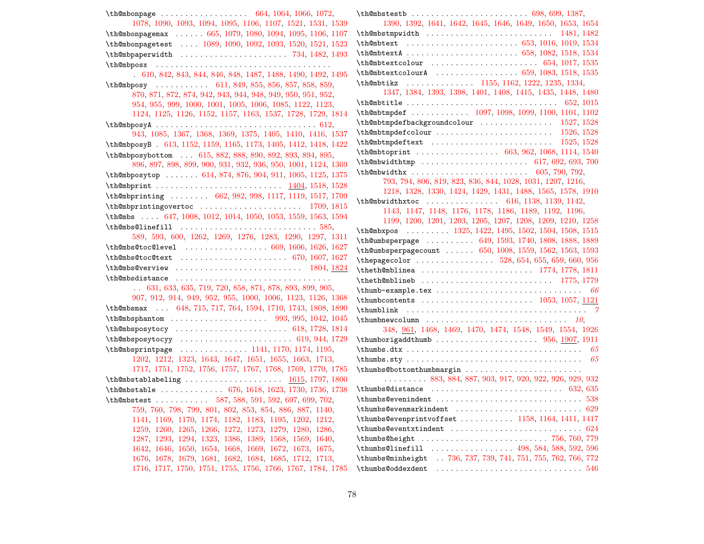| \th@mbonpage  664, 1064, 1066, 1072,                              | \th          |
|-------------------------------------------------------------------|--------------|
| 1078, 1090, 1093, 1094, 1095, 1106, 1107, 1521, 1531, 1539        |              |
| \th@mbonpagemax  665, 1079, 1080, 1094, 1095, 1106, 1107          | \th          |
| \th@mbonpagetest  1089, 1090, 1092, 1093, 1520, 1521, 1523        | \th          |
| $\th$ @mbpaperwidth  734, 1482, 1493                              | \th          |
|                                                                   | \th          |
| 610, 842, 843, 844, 846, 848, 1487, 1488, 1490, 1492, 1495        | \th          |
| \th@mbposy  611, 849, 855, 856, 857, 858, 859,                    | \th          |
| 870, 871, 872, 874, 942, 943, 944, 948, 949, 950, 951, 952,       |              |
| 954, 955, 999, 1000, 1001, 1005, 1006, 1085, 1122, 1123,          | \th          |
| 1124, 1125, 1126, 1152, 1157, 1163, 1537, 1728, 1729, 1814        | \th          |
|                                                                   | \th          |
| 943, 1085, 1367, 1368, 1369, 1375, 1405, 1410, 1416, 1537         | \th          |
| \th@mbposyB . 613, 1152, 1159, 1165, 1173, 1405, 1412, 1418, 1422 | \th          |
| \th@mbposybottom  615, 882, 888, 890, 892, 893, 894, 895,         | \th          |
| 896, 897, 898, 899, 900, 931, 932, 936, 950, 1001, 1124, 1369     | \th          |
| \th@mbposytop  614, 874, 876, 904, 911, 1005, 1125, 1375          | \th          |
|                                                                   |              |
| \th@mbprinting  662, 982, 998, 1117, 1119, 1517, 1709             |              |
| $\th$ @mbprintingovertoc  1709, 1815                              | \th          |
| \th@mbs  647, 1008, 1012, 1014, 1050, 1053, 1559, 1563, 1594      |              |
|                                                                   | \th          |
| 589, 593, 600, 1262, 1269, 1276, 1283, 1290, 1297, 1311           | \th          |
| \th@mbs@toc@level  669, 1606, 1626, 1627                          | \th          |
| \th@mbs@toc@text  670, 1607, 1627                                 | \th          |
| $\th$ @mbs@verview  1804, 1824                                    | \th          |
|                                                                   | \th          |
| $\ldots$ 631, 633, 635, 719, 720, 858, 871, 878, 893, 899, 905,   | $\hbar$      |
| 907, 912, 914, 949, 952, 955, 1000, 1006, 1123, 1126, 1368        | \th          |
| \th@mbsmax  648, 715, 717, 764, 1594, 1710, 1743, 1808, 1890      | $\verb \th $ |
| \th@mbsphantom  993, 995, 1042, 1045                              | \th          |
| \th@mbsposytocy  618, 1728, 1814                                  |              |
|                                                                   | \th          |
| \th@mbsprintpage  1141, 1170, 1174, 1195,                         | \th          |
| 1202, 1212, 1323, 1643, 1647, 1651, 1655, 1663, 1713,             | \th          |
| 1717, 1751, 1752, 1756, 1757, 1767, 1768, 1769, 1770, 1785        | \th          |
| $\th$ @mbstablabeling  1615, 1797, 1800                           |              |
| \th@mbstable  676, 1618, 1623, 1730, 1736, 1738                   | \th          |
| \th@mbstest  587, 588, 591, 592, 697, 699, 702,                   | \th          |
| 759, 760, 798, 799, 801, 802, 853, 854, 886, 887, 1140,           | \th          |
| 1141, 1169, 1170, 1174, 1182, 1183, 1195, 1202, 1212,             | \th          |
| 1259, 1260, 1265, 1266, 1272, 1273, 1279, 1280, 1286,             | \th          |
| 1287, 1293, 1294, 1323, 1386, 1389, 1568, 1569, 1640,             | \th          |
| 1642, 1646, 1650, 1654, 1668, 1669, 1672, 1673, 1675,             | \th          |
| 1676, 1678, 1679, 1681, 1682, 1684, 1685, 1712, 1713,             | $\verb \th $ |
| 1716, 1717, 1750, 1751, 1755, 1756, 1766, 1767, 1784, 1785        | $\th$        |

| 1390, 1392, 1641, 1642, 1645, 1646, 1649, 1650, 1653, 1654              |
|-------------------------------------------------------------------------|
| $\th$ @mbstmpwidth  1481, 1482                                          |
|                                                                         |
| \th@mbtextA  658, 1082, 1518, 1534                                      |
|                                                                         |
| $\th$ @mbtextcolourA  659, 1083, 1518, 1535                             |
| \th@mbtikz  1155, 1162, 1222, 1235, 1334,                               |
| 1347, 1384, 1393, 1398, 1401, 1408, 1415, 1435, 1448, 1480              |
|                                                                         |
| \th@mbtmpdef  1097, 1098, 1099, 1100, 1101, 1102                        |
| $\verb+\th@mbtmpdefbackgroundcolour \dots \ 1527, 1528$                 |
|                                                                         |
| $\th$ Ombtmpdeftext  1525, 1528                                         |
| \th@mbtoprint  663, 962, 1068, 1114, 1540                               |
| $\th$ @mbwidthtmp  617, 692, 693, 700                                   |
|                                                                         |
| 793, 794, 806, 819, 823, 836, 844, 1028, 1031, 1207, 1216,              |
| 1218, 1328, 1330, 1424, 1429, 1431, 1488, 1565, 1578, 1910              |
| \th@mbwidthxtoc  616, 1138, 1139, 1142,                                 |
| 1143, 1147, 1148, 1176, 1178, 1186, 1189, 1192, 1196,                   |
| 1199, 1200, 1201, 1203, 1205, 1207, 1208, 1209, 1210, 1258              |
| \th@mbxpos  1325, 1422, 1495, 1502, 1504, 1508, 1515                    |
| \th@umbsperpage  649, 1593, 1740, 1808, 1888, 1889                      |
| \th@umbsperpagecount  650, 1008, 1559, 1562, 1563, 1593                 |
| \thepagecolor  528, 654, 655, 659, 660, 956                             |
|                                                                         |
|                                                                         |
| $\verb \thumb-example.text        66$                                   |
|                                                                         |
|                                                                         |
| $\verb \thumbnewcolumn    \dots  \dots  \dots    10 $                   |
| 348, 961, 1468, 1469, 1470, 1474, 1548, 1549, 1554, 1926                |
|                                                                         |
|                                                                         |
|                                                                         |
| \thumbs@bottomthumbmargin                                               |
| $\ldots \ldots \ldots$ 883, 884, 887, 903, 917, 920, 922, 926, 929, 932 |
|                                                                         |
|                                                                         |
|                                                                         |
|                                                                         |
|                                                                         |
| \thumbs@height  756, 760, 779                                           |
|                                                                         |
| \thumbs@minheight  736, 737, 739, 741, 751, 755, 762, 766, 772          |
| \thumbs@oddexdent                                                       |